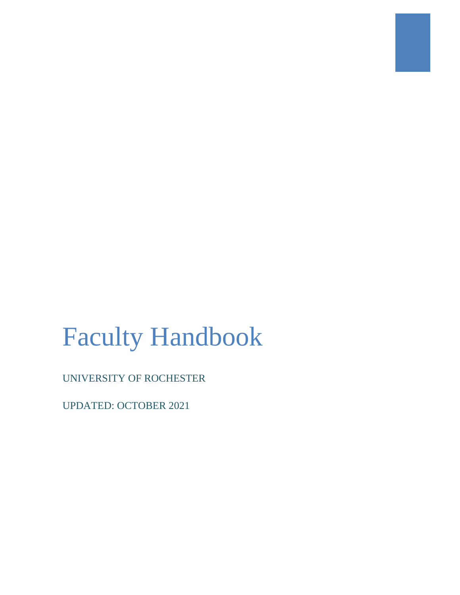# Faculty Handbook

UNIVERSITY OF ROCHESTER

UPDATED: OCTOBER 2021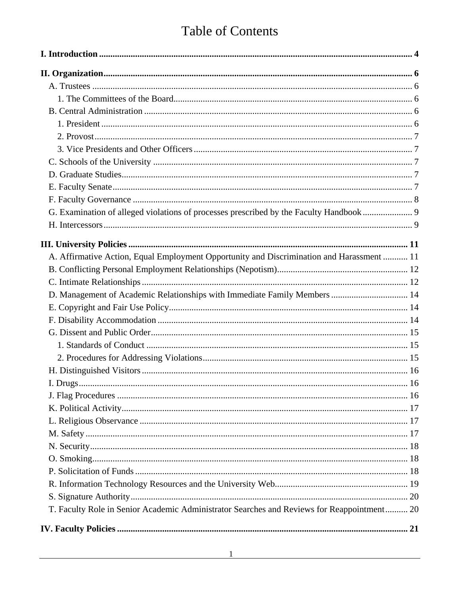# **Table of Contents**

| A. Affirmative Action, Equal Employment Opportunity and Discrimination and Harassment  11  |  |
|--------------------------------------------------------------------------------------------|--|
|                                                                                            |  |
|                                                                                            |  |
| D. Management of Academic Relationships with Immediate Family Members  14                  |  |
|                                                                                            |  |
|                                                                                            |  |
|                                                                                            |  |
|                                                                                            |  |
|                                                                                            |  |
|                                                                                            |  |
|                                                                                            |  |
|                                                                                            |  |
|                                                                                            |  |
|                                                                                            |  |
|                                                                                            |  |
|                                                                                            |  |
|                                                                                            |  |
|                                                                                            |  |
|                                                                                            |  |
|                                                                                            |  |
| T. Faculty Role in Senior Academic Administrator Searches and Reviews for Reappointment 20 |  |
|                                                                                            |  |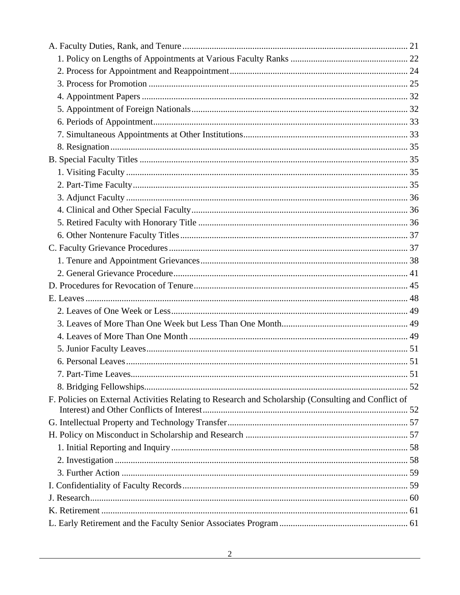| 7. Part-Time Leaves.                                                                                | .51 |
|-----------------------------------------------------------------------------------------------------|-----|
|                                                                                                     |     |
| F. Policies on External Activities Relating to Research and Scholarship (Consulting and Conflict of |     |
|                                                                                                     |     |
|                                                                                                     |     |
|                                                                                                     |     |
|                                                                                                     |     |
|                                                                                                     |     |
|                                                                                                     |     |
|                                                                                                     |     |
|                                                                                                     |     |
|                                                                                                     |     |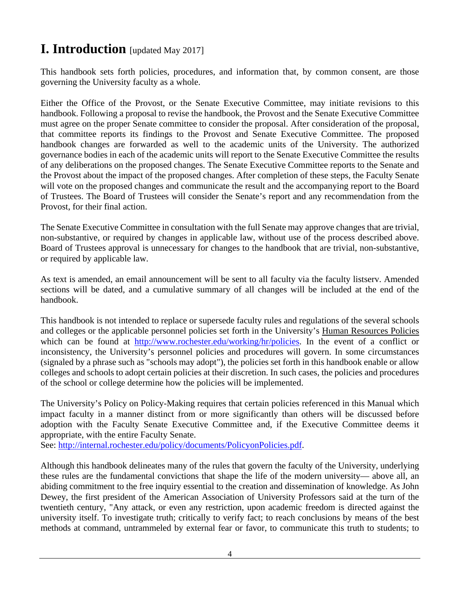# <span id="page-4-0"></span>**I. Introduction** [updated May 2017]

This handbook sets forth policies, procedures, and information that, by common consent, are those governing the University faculty as a whole.

Either the Office of the Provost, or the Senate Executive Committee, may initiate revisions to this handbook. Following a proposal to revise the handbook, the Provost and the Senate Executive Committee must agree on the proper Senate committee to consider the proposal. After consideration of the proposal, that committee reports its findings to the Provost and Senate Executive Committee. The proposed handbook changes are forwarded as well to the academic units of the University. The authorized governance bodies in each of the academic units will report to the Senate Executive Committee the results of any deliberations on the proposed changes. The Senate Executive Committee reports to the Senate and the Provost about the impact of the proposed changes. After completion of these steps, the Faculty Senate will vote on the proposed changes and communicate the result and the accompanying report to the Board of Trustees. The Board of Trustees will consider the Senate's report and any recommendation from the Provost, for their final action.

The Senate Executive Committee in consultation with the full Senate may approve changes that are trivial, non-substantive, or required by changes in applicable law, without use of the process described above. Board of Trustees approval is unnecessary for changes to the handbook that are trivial, non-substantive, or required by applicable law.

As text is amended, an email announcement will be sent to all faculty via the faculty listserv. Amended sections will be dated, and a cumulative summary of all changes will be included at the end of the handbook.

This handbook is not intended to replace or supersede faculty rules and regulations of the several schools and colleges or the applicable personnel policies set forth in the University's Human Resources Policies which can be found at [http://www.rochester.edu/working/hr/policies.](http://www.rochester.edu/working/hr/policies) In the event of a conflict or inconsistency, the University's personnel policies and procedures will govern. In some circumstances (signaled by a phrase such as "schools may adopt"), the policies set forth in this handbook enable or allow colleges and schools to adopt certain policies at their discretion. In such cases, the policies and procedures of the school or college determine how the policies will be implemented.

The University's Policy on Policy-Making requires that certain policies referenced in this Manual which impact faculty in a manner distinct from or more significantly than others will be discussed before adoption with the Faculty Senate Executive Committee and, if the Executive Committee deems it appropriate, with the entire Faculty Senate.

See: [http://internal.rochester.edu/policy/documents/PolicyonPolicies.pdf.](http://internal.rochester.edu/policy/documents/PolicyonPolicies.pdf)

Although this handbook delineates many of the rules that govern the faculty of the University, underlying these rules are the fundamental convictions that shape the life of the modern university— above all, an abiding commitment to the free inquiry essential to the creation and dissemination of knowledge. As John Dewey, the first president of the American Association of University Professors said at the turn of the twentieth century, "Any attack, or even any restriction, upon academic freedom is directed against the university itself. To investigate truth; critically to verify fact; to reach conclusions by means of the best methods at command, untrammeled by external fear or favor, to communicate this truth to students; to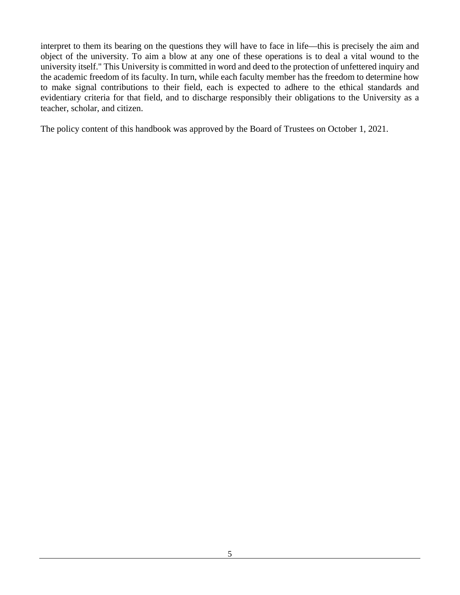interpret to them its bearing on the questions they will have to face in life—this is precisely the aim and object of the university. To aim a blow at any one of these operations is to deal a vital wound to the university itself." This University is committed in word and deed to the protection of unfettered inquiry and the academic freedom of its faculty. In turn, while each faculty member has the freedom to determine how to make signal contributions to their field, each is expected to adhere to the ethical standards and evidentiary criteria for that field, and to discharge responsibly their obligations to the University as a teacher, scholar, and citizen.

The policy content of this handbook was approved by the Board of Trustees on October 1, 2021.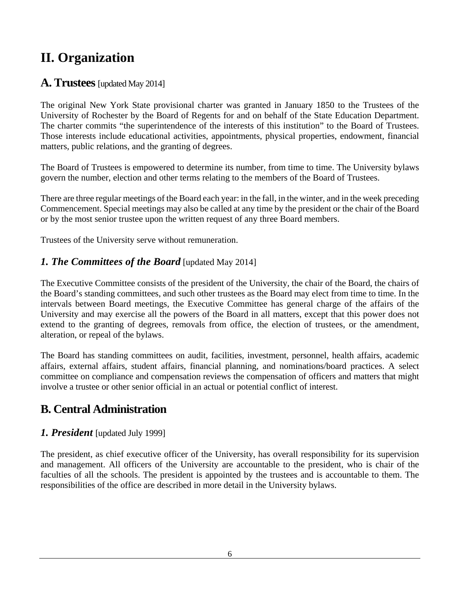# <span id="page-6-0"></span>**II. Organization**

# <span id="page-6-1"></span>**A. Trustees** [updated May 2014]

The original New York State provisional charter was granted in January 1850 to the Trustees of the University of Rochester by the Board of Regents for and on behalf of the State Education Department. The charter commits "the superintendence of the interests of this institution" to the Board of Trustees. Those interests include educational activities, appointments, physical properties, endowment, financial matters, public relations, and the granting of degrees.

The Board of Trustees is empowered to determine its number, from time to time. The University bylaws govern the number, election and other terms relating to the members of the Board of Trustees.

There are three regular meetings of the Board each year: in the fall, in the winter, and in the week preceding Commencement. Special meetings may also be called at any time by the president or the chair of the Board or by the most senior trustee upon the written request of any three Board members.

Trustees of the University serve without remuneration.

#### <span id="page-6-2"></span>*1. The Committees of the Board* [updated May 2014]

The Executive Committee consists of the president of the University, the chair of the Board, the chairs of the Board's standing committees, and such other trustees as the Board may elect from time to time. In the intervals between Board meetings, the Executive Committee has general charge of the affairs of the University and may exercise all the powers of the Board in all matters, except that this power does not extend to the granting of degrees, removals from office, the election of trustees, or the amendment, alteration, or repeal of the bylaws.

The Board has standing committees on audit, facilities, investment, personnel, health affairs, academic affairs, external affairs, student affairs, financial planning, and nominations/board practices. A select committee on compliance and compensation reviews the compensation of officers and matters that might involve a trustee or other senior official in an actual or potential conflict of interest.

# <span id="page-6-3"></span>**B. Central Administration**

#### <span id="page-6-4"></span>*1. President* [updated July 1999]

The president, as chief executive officer of the University, has overall responsibility for its supervision and management. All officers of the University are accountable to the president, who is chair of the faculties of all the schools. The president is appointed by the trustees and is accountable to them. The responsibilities of the office are described in more detail in the University bylaws.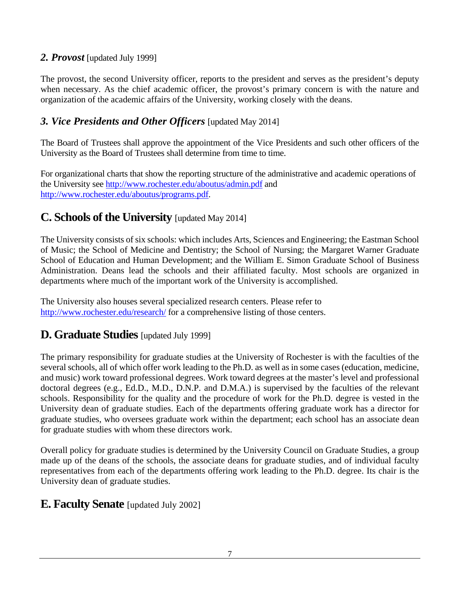#### <span id="page-7-0"></span>*2. Provost* [updated July 1999]

The provost, the second University officer, reports to the president and serves as the president's deputy when necessary. As the chief academic officer, the provost's primary concern is with the nature and organization of the academic affairs of the University, working closely with the deans.

# <span id="page-7-1"></span>*3. Vice Presidents and Other Officers* [updated May 2014]

The Board of Trustees shall approve the appointment of the Vice Presidents and such other officers of the University as the Board of Trustees shall determine from time to time.

For organizational charts that show the reporting structure of the administrative and academic operations of the University see<http://www.rochester.edu/aboutus/admin.pdf> and [http://www.rochester.edu/aboutus/programs.pdf.](http://www.rochester.edu/aboutus/programs.pdf)

# <span id="page-7-2"></span>**C. Schools of the University** [updated May 2014]

The University consists of six schools: which includes Arts, Sciences and Engineering; the Eastman School of Music; the School of Medicine and Dentistry; the School of Nursing; the Margaret Warner Graduate School of Education and Human Development; and the William E. Simon Graduate School of Business Administration. Deans lead the schools and their affiliated faculty. Most schools are organized in departments where much of the important work of the University is accomplished.

The University also houses several specialized research centers. Please refer to <http://www.rochester.edu/research/> for a comprehensive listing of those centers.

# <span id="page-7-3"></span>**D. Graduate Studies** [updated July 1999]

The primary responsibility for graduate studies at the University of Rochester is with the faculties of the several schools, all of which offer work leading to the Ph.D. as well as in some cases (education, medicine, and music) work toward professional degrees. Work toward degrees at the master's level and professional doctoral degrees (e.g., Ed.D., M.D., D.N.P. and D.M.A.) is supervised by the faculties of the relevant schools. Responsibility for the quality and the procedure of work for the Ph.D. degree is vested in the University dean of graduate studies. Each of the departments offering graduate work has a director for graduate studies, who oversees graduate work within the department; each school has an associate dean for graduate studies with whom these directors work.

Overall policy for graduate studies is determined by the University Council on Graduate Studies, a group made up of the deans of the schools, the associate deans for graduate studies, and of individual faculty representatives from each of the departments offering work leading to the Ph.D. degree. Its chair is the University dean of graduate studies.

# <span id="page-7-4"></span>**E. Faculty Senate** [updated July 2002]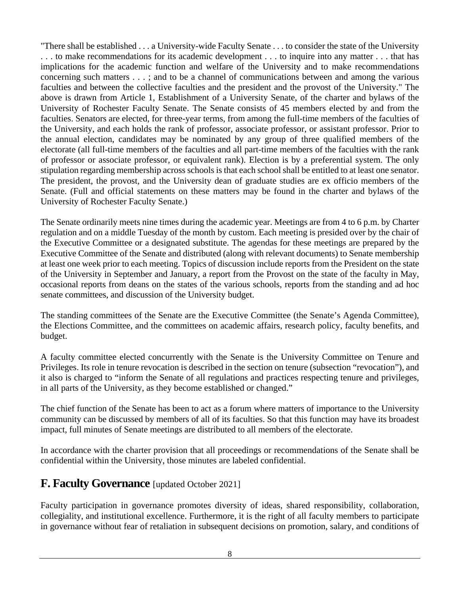"There shall be established . . . a University-wide Faculty Senate . . . to consider the state of the University . . . to make recommendations for its academic development . . . to inquire into any matter . . . that has implications for the academic function and welfare of the University and to make recommendations concerning such matters . . . ; and to be a channel of communications between and among the various faculties and between the collective faculties and the president and the provost of the University." The above is drawn from Article 1, Establishment of a University Senate, of the charter and bylaws of the University of Rochester Faculty Senate. The Senate consists of 45 members elected by and from the faculties. Senators are elected, for three-year terms, from among the full-time members of the faculties of the University, and each holds the rank of professor, associate professor, or assistant professor. Prior to the annual election, candidates may be nominated by any group of three qualified members of the electorate (all full-time members of the faculties and all part-time members of the faculties with the rank of professor or associate professor, or equivalent rank). Election is by a preferential system. The only stipulation regarding membership across schools is that each school shall be entitled to at least one senator. The president, the provost, and the University dean of graduate studies are ex officio members of the Senate. (Full and official statements on these matters may be found in the charter and bylaws of the University of Rochester Faculty Senate.)

The Senate ordinarily meets nine times during the academic year. Meetings are from 4 to 6 p.m. by Charter regulation and on a middle Tuesday of the month by custom. Each meeting is presided over by the chair of the Executive Committee or a designated substitute. The agendas for these meetings are prepared by the Executive Committee of the Senate and distributed (along with relevant documents) to Senate membership at least one week prior to each meeting. Topics of discussion include reports from the President on the state of the University in September and January, a report from the Provost on the state of the faculty in May, occasional reports from deans on the states of the various schools, reports from the standing and ad hoc senate committees, and discussion of the University budget.

The standing committees of the Senate are the Executive Committee (the Senate's Agenda Committee), the Elections Committee, and the committees on academic affairs, research policy, faculty benefits, and budget.

A faculty committee elected concurrently with the Senate is the University Committee on Tenure and Privileges. Its role in tenure revocation is described in the section on tenure (subsection "revocation"), and it also is charged to "inform the Senate of all regulations and practices respecting tenure and privileges, in all parts of the University, as they become established or changed."

The chief function of the Senate has been to act as a forum where matters of importance to the University community can be discussed by members of all of its faculties. So that this function may have its broadest impact, full minutes of Senate meetings are distributed to all members of the electorate.

In accordance with the charter provision that all proceedings or recommendations of the Senate shall be confidential within the University, those minutes are labeled confidential.

# <span id="page-8-0"></span>**F. Faculty Governance** [updated October 2021]

Faculty participation in governance promotes diversity of ideas, shared responsibility, collaboration, collegiality, and institutional excellence. Furthermore, it is the right of all faculty members to participate in governance without fear of retaliation in subsequent decisions on promotion, salary, and conditions of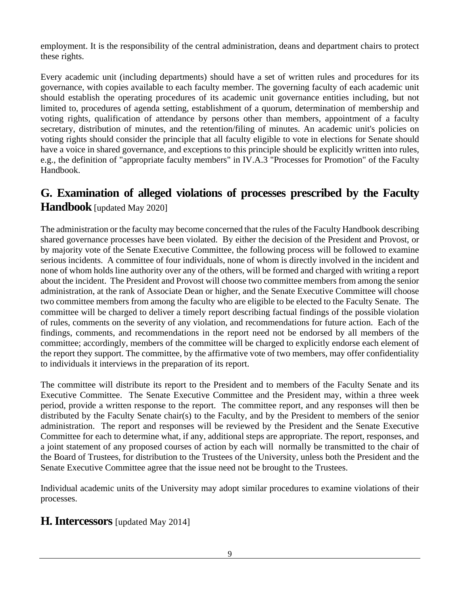employment. It is the responsibility of the central administration, deans and department chairs to protect these rights.

Every academic unit (including departments) should have a set of written rules and procedures for its governance, with copies available to each faculty member. The governing faculty of each academic unit should establish the operating procedures of its academic unit governance entities including, but not limited to, procedures of agenda setting, establishment of a quorum, determination of membership and voting rights, qualification of attendance by persons other than members, appointment of a faculty secretary, distribution of minutes, and the retention/filing of minutes. An academic unit's policies on voting rights should consider the principle that all faculty eligible to vote in elections for Senate should have a voice in shared governance, and exceptions to this principle should be explicitly written into rules, e.g., the definition of "appropriate faculty members" in IV.A.3 "Processes for Promotion" of the Faculty Handbook.

# <span id="page-9-0"></span>**G. Examination of alleged violations of processes prescribed by the Faculty Handbook** [updated May 2020]

The administration or the faculty may become concerned that the rules of the Faculty Handbook describing shared governance processes have been violated. By either the decision of the President and Provost, or by majority vote of the Senate Executive Committee, the following process will be followed to examine serious incidents. A committee of four individuals, none of whom is directly involved in the incident and none of whom holds line authority over any of the others, will be formed and charged with writing a report about the incident. The President and Provost will choose two committee members from among the senior administration, at the rank of Associate Dean or higher, and the Senate Executive Committee will choose two committee members from among the faculty who are eligible to be elected to the Faculty Senate. The committee will be charged to deliver a timely report describing factual findings of the possible violation of rules, comments on the severity of any violation, and recommendations for future action. Each of the findings, comments, and recommendations in the report need not be endorsed by all members of the committee; accordingly, members of the committee will be charged to explicitly endorse each element of the report they support. The committee, by the affirmative vote of two members, may offer confidentiality to individuals it interviews in the preparation of its report.

The committee will distribute its report to the President and to members of the Faculty Senate and its Executive Committee. The Senate Executive Committee and the President may, within a three week period, provide a written response to the report. The committee report, and any responses will then be distributed by the Faculty Senate chair(s) to the Faculty, and by the President to members of the senior administration. The report and responses will be reviewed by the President and the Senate Executive Committee for each to determine what, if any, additional steps are appropriate. The report, responses, and a joint statement of any proposed courses of action by each will normally be transmitted to the chair of the Board of Trustees, for distribution to the Trustees of the University, unless both the President and the Senate Executive Committee agree that the issue need not be brought to the Trustees.

Individual academic units of the University may adopt similar procedures to examine violations of their processes.

# <span id="page-9-1"></span>**H. Intercessors** [updated May 2014]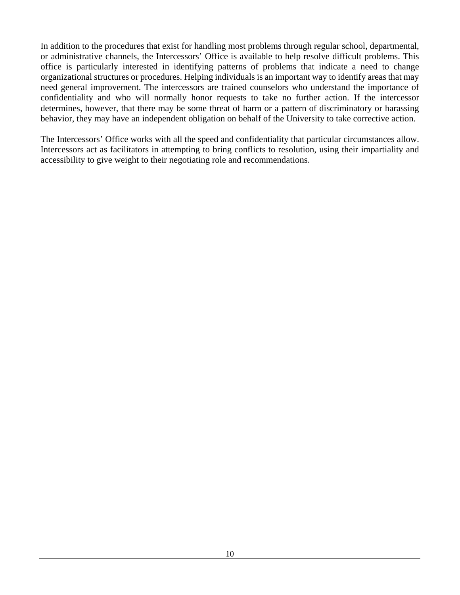In addition to the procedures that exist for handling most problems through regular school, departmental, or administrative channels, the Intercessors' Office is available to help resolve difficult problems. This office is particularly interested in identifying patterns of problems that indicate a need to change organizational structures or procedures. Helping individuals is an important way to identify areas that may need general improvement. The intercessors are trained counselors who understand the importance of confidentiality and who will normally honor requests to take no further action. If the intercessor determines, however, that there may be some threat of harm or a pattern of discriminatory or harassing behavior, they may have an independent obligation on behalf of the University to take corrective action.

The Intercessors' Office works with all the speed and confidentiality that particular circumstances allow. Intercessors act as facilitators in attempting to bring conflicts to resolution, using their impartiality and accessibility to give weight to their negotiating role and recommendations.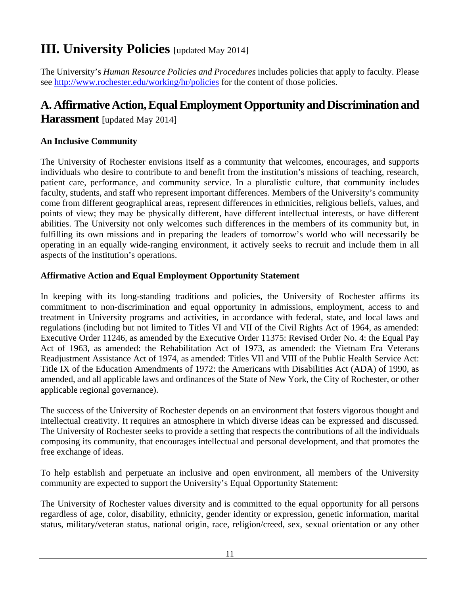# <span id="page-11-0"></span>**III. University Policies** [updated May 2014]

The University's *Human Resource Policies and Procedures* includes policies that apply to faculty. Please see<http://www.rochester.edu/working/hr/policies> for the content of those policies.

# <span id="page-11-1"></span>**A. Affirmative Action, Equal Employment Opportunity and Discrimination and**

**Harassment** [updated May 2014]

#### **An Inclusive Community**

The University of Rochester envisions itself as a community that welcomes, encourages, and supports individuals who desire to contribute to and benefit from the institution's missions of teaching, research, patient care, performance, and community service. In a pluralistic culture, that community includes faculty, students, and staff who represent important differences. Members of the University's community come from different geographical areas, represent differences in ethnicities, religious beliefs, values, and points of view; they may be physically different, have different intellectual interests, or have different abilities. The University not only welcomes such differences in the members of its community but, in fulfilling its own missions and in preparing the leaders of tomorrow's world who will necessarily be operating in an equally wide-ranging environment, it actively seeks to recruit and include them in all aspects of the institution's operations.

#### **Affirmative Action and Equal Employment Opportunity Statement**

In keeping with its long-standing traditions and policies, the University of Rochester affirms its commitment to non-discrimination and equal opportunity in admissions, employment, access to and treatment in University programs and activities, in accordance with federal, state, and local laws and regulations (including but not limited to Titles VI and VII of the Civil Rights Act of 1964, as amended: Executive Order 11246, as amended by the Executive Order 11375: Revised Order No. 4: the Equal Pay Act of 1963, as amended: the Rehabilitation Act of 1973, as amended: the Vietnam Era Veterans Readjustment Assistance Act of 1974, as amended: Titles VII and VIII of the Public Health Service Act: Title IX of the Education Amendments of 1972: the Americans with Disabilities Act (ADA) of 1990, as amended, and all applicable laws and ordinances of the State of New York, the City of Rochester, or other applicable regional governance).

The success of the University of Rochester depends on an environment that fosters vigorous thought and intellectual creativity. It requires an atmosphere in which diverse ideas can be expressed and discussed. The University of Rochester seeks to provide a setting that respects the contributions of all the individuals composing its community, that encourages intellectual and personal development, and that promotes the free exchange of ideas.

To help establish and perpetuate an inclusive and open environment, all members of the University community are expected to support the University's Equal Opportunity Statement:

The University of Rochester values diversity and is committed to the equal opportunity for all persons regardless of age, color, disability, ethnicity, gender identity or expression, genetic information, marital status, military/veteran status, national origin, race, religion/creed, sex, sexual orientation or any other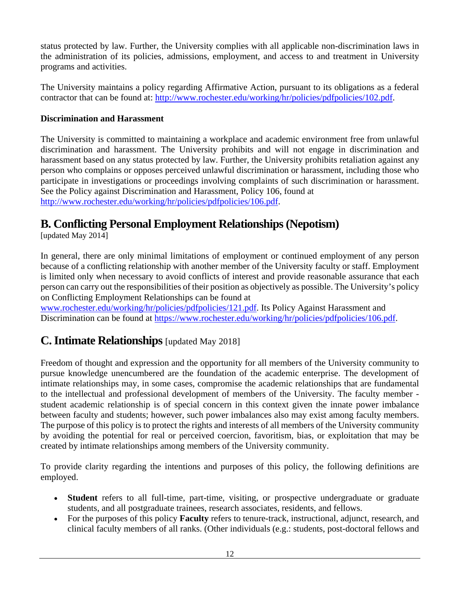status protected by law. Further, the University complies with all applicable non-discrimination laws in the administration of its policies, admissions, employment, and access to and treatment in University programs and activities.

The University maintains a policy regarding Affirmative Action, pursuant to its obligations as a federal contractor that can be found at: [http://www.rochester.edu/working/hr/policies/pdfpolicies/102.pdf.](http://www.rochester.edu/working/hr/policies/pdfpolicies/102.pdf)

#### **Discrimination and Harassment**

The University is committed to maintaining a workplace and academic environment free from unlawful discrimination and harassment. The University prohibits and will not engage in discrimination and harassment based on any status protected by law. Further, the University prohibits retaliation against any person who complains or opposes perceived unlawful discrimination or harassment, including those who participate in investigations or proceedings involving complaints of such discrimination or harassment. See the Policy against Discrimination and Harassment, Policy 106, found at [http://www.rochester.edu/working/hr/policies/pdfpolicies/106.pdf.](http://www.rochester.edu/working/hr/policies/pdfpolicies/106.pdf)

# <span id="page-12-0"></span>**B. Conflicting Personal Employment Relationships (Nepotism)**

[updated May 2014]

In general, there are only minimal limitations of employment or continued employment of any person because of a conflicting relationship with another member of the University faculty or staff. Employment is limited only when necessary to avoid conflicts of interest and provide reasonable assurance that each person can carry out the responsibilities of their position as objectively as possible. The University's policy on Conflicting Employment Relationships can be found at

[www.rochester.edu/working/hr/policies/pdfpolicies/121.pdf.](http://www.rochester.edu/working/hr/policies/pdfpolicies/121.pdf) Its Policy Against Harassment and Discrimination can be found at [https://www.rochester.edu/working/hr/policies/pdfpolicies/106.pdf.](https://www.rochester.edu/working/hr/policies/pdfpolicies/106.pdf)

# <span id="page-12-1"></span>**C.Intimate Relationships** [updated May 2018]

Freedom of thought and expression and the opportunity for all members of the University community to pursue knowledge unencumbered are the foundation of the academic enterprise. The development of intimate relationships may, in some cases, compromise the academic relationships that are fundamental to the intellectual and professional development of members of the University. The faculty member student academic relationship is of special concern in this context given the innate power imbalance between faculty and students; however, such power imbalances also may exist among faculty members. The purpose of this policy is to protect the rights and interests of all members of the University community by avoiding the potential for real or perceived coercion, favoritism, bias, or exploitation that may be created by intimate relationships among members of the University community.

To provide clarity regarding the intentions and purposes of this policy, the following definitions are employed.

- **Student** refers to all full-time, part-time, visiting, or prospective undergraduate or graduate students, and all postgraduate trainees, research associates, residents, and fellows.
- For the purposes of this policy **Faculty** refers to tenure-track, instructional, adjunct, research, and clinical faculty members of all ranks. (Other individuals (e.g.: students, post-doctoral fellows and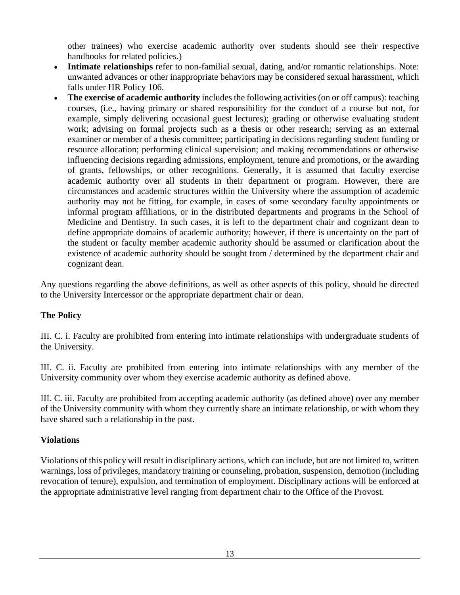other trainees) who exercise academic authority over students should see their respective handbooks for related policies.)

- **Intimate relationships** refer to non-familial sexual, dating, and/or romantic relationships. Note: unwanted advances or other inappropriate behaviors may be considered sexual harassment, which falls under HR Policy 106.
- **The exercise of academic authority** includes the following activities (on or off campus): teaching courses, (i.e., having primary or shared responsibility for the conduct of a course but not, for example, simply delivering occasional guest lectures); grading or otherwise evaluating student work; advising on formal projects such as a thesis or other research; serving as an external examiner or member of a thesis committee; participating in decisions regarding student funding or resource allocation; performing clinical supervision; and making recommendations or otherwise influencing decisions regarding admissions, employment, tenure and promotions, or the awarding of grants, fellowships, or other recognitions. Generally, it is assumed that faculty exercise academic authority over all students in their department or program. However, there are circumstances and academic structures within the University where the assumption of academic authority may not be fitting, for example, in cases of some secondary faculty appointments or informal program affiliations, or in the distributed departments and programs in the School of Medicine and Dentistry. In such cases, it is left to the department chair and cognizant dean to define appropriate domains of academic authority; however, if there is uncertainty on the part of the student or faculty member academic authority should be assumed or clarification about the existence of academic authority should be sought from / determined by the department chair and cognizant dean.

Any questions regarding the above definitions, as well as other aspects of this policy, should be directed to the University Intercessor or the appropriate department chair or dean.

#### **The Policy**

III. C. i. Faculty are prohibited from entering into intimate relationships with undergraduate students of the University.

III. C. ii. Faculty are prohibited from entering into intimate relationships with any member of the University community over whom they exercise academic authority as defined above.

III. C. iii. Faculty are prohibited from accepting academic authority (as defined above) over any member of the University community with whom they currently share an intimate relationship, or with whom they have shared such a relationship in the past.

#### **Violations**

Violations of this policy will result in disciplinary actions, which can include, but are not limited to, written warnings, loss of privileges, mandatory training or counseling, probation, suspension, demotion (including revocation of tenure), expulsion, and termination of employment. Disciplinary actions will be enforced at the appropriate administrative level ranging from department chair to the Office of the Provost.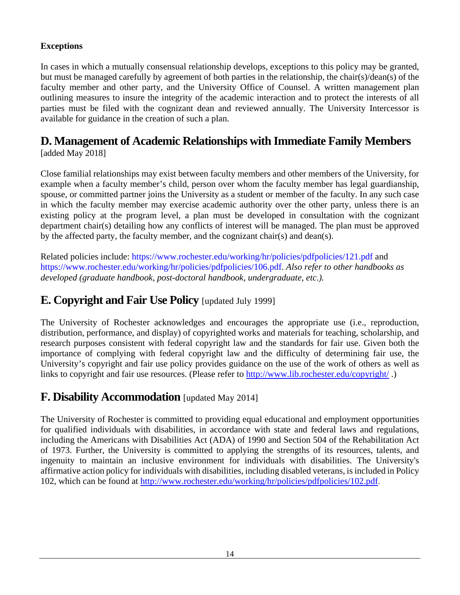#### **Exceptions**

In cases in which a mutually consensual relationship develops, exceptions to this policy may be granted, but must be managed carefully by agreement of both parties in the relationship, the chair(s)/dean(s) of the faculty member and other party, and the University Office of Counsel. A written management plan outlining measures to insure the integrity of the academic interaction and to protect the interests of all parties must be filed with the cognizant dean and reviewed annually. The University Intercessor is available for guidance in the creation of such a plan.

# <span id="page-14-0"></span>**D. Management of Academic Relationships with Immediate Family Members**

[added May 2018]

Close familial relationships may exist between faculty members and other members of the University, for example when a faculty member's child, person over whom the faculty member has legal guardianship, spouse, or committed partner joins the University as a student or member of the faculty. In any such case in which the faculty member may exercise academic authority over the other party, unless there is an existing policy at the program level, a plan must be developed in consultation with the cognizant department chair(s) detailing how any conflicts of interest will be managed. The plan must be approved by the affected party, the faculty member, and the cognizant chair(s) and dean(s).

Related policies include: https://www.rochester.edu/working/hr/policies/pdfpolicies/121.pdf and https://www.rochester.edu/working/hr/policies/pdfpolicies/106.pdf. *Also refer to other handbooks as developed (graduate handbook, post-doctoral handbook, undergraduate, etc.).*

# <span id="page-14-1"></span>**E. Copyright and Fair Use Policy** [updated July 1999]

The University of Rochester acknowledges and encourages the appropriate use (i.e., reproduction, distribution, performance, and display) of copyrighted works and materials for teaching, scholarship, and research purposes consistent with federal copyright law and the standards for fair use. Given both the importance of complying with federal copyright law and the difficulty of determining fair use, the University's copyright and fair use policy provides guidance on the use of the work of others as well as links to copyright and fair use resources. (Please refer to<http://www.lib.rochester.edu/copyright/>.)

# <span id="page-14-2"></span>**F. Disability Accommodation** [updated May 2014]

The University of Rochester is committed to providing equal educational and employment opportunities for qualified individuals with disabilities, in accordance with state and federal laws and regulations, including the Americans with Disabilities Act (ADA) of 1990 and Section 504 of the Rehabilitation Act of 1973. Further, the University is committed to applying the strengths of its resources, talents, and ingenuity to maintain an inclusive environment for individuals with disabilities. The University's affirmative action policy for individuals with disabilities, including disabled veterans, is included in Policy 102, which can be found at [http://www.rochester.edu/working/hr/policies/pdfpolicies/102.pdf.](http://www.rochester.edu/working/hr/policies/pdfpolicies/102.pdf)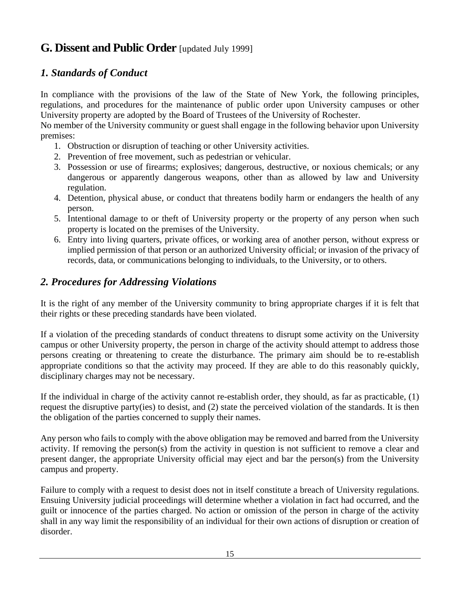# <span id="page-15-0"></span>**G. Dissent and Public Order** [updated July 1999]

#### <span id="page-15-1"></span>*1. Standards of Conduct*

In compliance with the provisions of the law of the State of New York, the following principles, regulations, and procedures for the maintenance of public order upon University campuses or other University property are adopted by the Board of Trustees of the University of Rochester.

No member of the University community or guest shall engage in the following behavior upon University premises:

- 1. Obstruction or disruption of teaching or other University activities.
- 2. Prevention of free movement, such as pedestrian or vehicular.
- 3. Possession or use of firearms; explosives; dangerous, destructive, or noxious chemicals; or any dangerous or apparently dangerous weapons, other than as allowed by law and University regulation.
- 4. Detention, physical abuse, or conduct that threatens bodily harm or endangers the health of any person.
- 5. Intentional damage to or theft of University property or the property of any person when such property is located on the premises of the University.
- 6. Entry into living quarters, private offices, or working area of another person, without express or implied permission of that person or an authorized University official; or invasion of the privacy of records, data, or communications belonging to individuals, to the University, or to others.

#### <span id="page-15-2"></span>*2. Procedures for Addressing Violations*

It is the right of any member of the University community to bring appropriate charges if it is felt that their rights or these preceding standards have been violated.

If a violation of the preceding standards of conduct threatens to disrupt some activity on the University campus or other University property, the person in charge of the activity should attempt to address those persons creating or threatening to create the disturbance. The primary aim should be to re-establish appropriate conditions so that the activity may proceed. If they are able to do this reasonably quickly, disciplinary charges may not be necessary.

If the individual in charge of the activity cannot re-establish order, they should, as far as practicable, (1) request the disruptive party(ies) to desist, and (2) state the perceived violation of the standards. It is then the obligation of the parties concerned to supply their names.

Any person who fails to comply with the above obligation may be removed and barred from the University activity. If removing the person(s) from the activity in question is not sufficient to remove a clear and present danger, the appropriate University official may eject and bar the person(s) from the University campus and property.

Failure to comply with a request to desist does not in itself constitute a breach of University regulations. Ensuing University judicial proceedings will determine whether a violation in fact had occurred, and the guilt or innocence of the parties charged. No action or omission of the person in charge of the activity shall in any way limit the responsibility of an individual for their own actions of disruption or creation of disorder.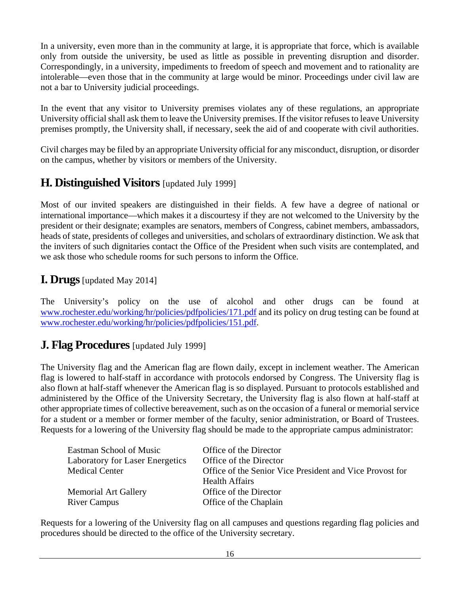In a university, even more than in the community at large, it is appropriate that force, which is available only from outside the university, be used as little as possible in preventing disruption and disorder. Correspondingly, in a university, impediments to freedom of speech and movement and to rationality are intolerable—even those that in the community at large would be minor. Proceedings under civil law are not a bar to University judicial proceedings.

In the event that any visitor to University premises violates any of these regulations, an appropriate University official shall ask them to leave the University premises. If the visitor refuses to leave University premises promptly, the University shall, if necessary, seek the aid of and cooperate with civil authorities.

Civil charges may be filed by an appropriate University official for any misconduct, disruption, or disorder on the campus, whether by visitors or members of the University.

# <span id="page-16-0"></span>**H. Distinguished Visitors** [updated July 1999]

Most of our invited speakers are distinguished in their fields. A few have a degree of national or international importance—which makes it a discourtesy if they are not welcomed to the University by the president or their designate; examples are senators, members of Congress, cabinet members, ambassadors, heads of state, presidents of colleges and universities, and scholars of extraordinary distinction. We ask that the inviters of such dignitaries contact the Office of the President when such visits are contemplated, and we ask those who schedule rooms for such persons to inform the Office.

#### <span id="page-16-1"></span>**I. Drugs**[updated May 2014]

The University's policy on the use of alcohol and other drugs can be found at [www.rochester.edu/working/hr/policies/pdfpolicies/171.pdf](http://www.rochester.edu/working/hr/policies/pdfpolicies/171.pdf) and its policy on drug testing can be found at [www.rochester.edu/working/hr/policies/pdfpolicies/151.pdf.](http://www.rochester.edu/working/hr/policies/pdfpolicies/151.pdf)

# <span id="page-16-2"></span>**J. Flag Procedures** [updated July 1999]

The University flag and the American flag are flown daily, except in inclement weather. The American flag is lowered to half-staff in accordance with protocols endorsed by Congress. The University flag is also flown at half-staff whenever the American flag is so displayed. Pursuant to protocols established and administered by the Office of the University Secretary, the University flag is also flown at half-staff at other appropriate times of collective bereavement, such as on the occasion of a funeral or memorial service for a student or a member or former member of the faculty, senior administration, or Board of Trustees. Requests for a lowering of the University flag should be made to the appropriate campus administrator:

| Eastman School of Music                | Office of the Director                                   |
|----------------------------------------|----------------------------------------------------------|
| <b>Laboratory for Laser Energetics</b> | Office of the Director                                   |
| <b>Medical Center</b>                  | Office of the Senior Vice President and Vice Provost for |
|                                        | <b>Health Affairs</b>                                    |
| <b>Memorial Art Gallery</b>            | Office of the Director                                   |
| <b>River Campus</b>                    | Office of the Chaplain                                   |

Requests for a lowering of the University flag on all campuses and questions regarding flag policies and procedures should be directed to the office of the University secretary.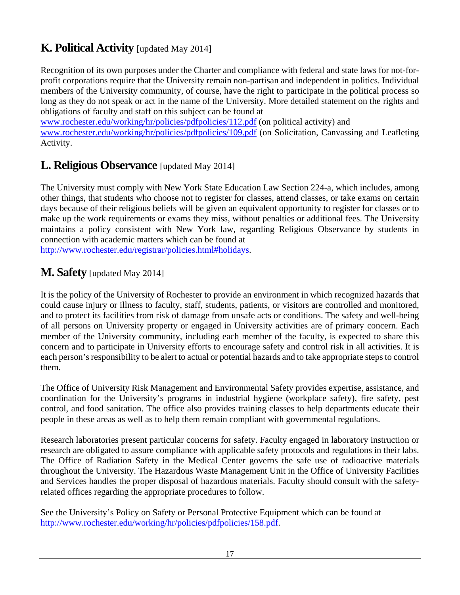# <span id="page-17-0"></span>**K. Political Activity** [updated May 2014]

Recognition of its own purposes under the Charter and compliance with federal and state laws for not-forprofit corporations require that the University remain non-partisan and independent in politics. Individual members of the University community, of course, have the right to participate in the political process so long as they do not speak or act in the name of the University. More detailed statement on the rights and obligations of faculty and staff on this subject can be found at

[www.rochester.edu/working/hr/policies/pdfpolicies/112.pdf](http://www.rochester.edu/working/hr/policies/pdfpolicies/112.pdf) (on political activity) and [www.rochester.edu/working/hr/policies/pdfpolicies/109.pdf](http://www.rochester.edu/working/hr/policies/pdfpolicies/109.pdf) (on Solicitation, Canvassing and Leafleting Activity.

# <span id="page-17-1"></span>**L. Religious Observance** [updated May 2014]

The University must comply with New York State Education Law Section 224-a, which includes, among other things, that students who choose not to register for classes, attend classes, or take exams on certain days because of their religious beliefs will be given an equivalent opportunity to register for classes or to make up the work requirements or exams they miss, without penalties or additional fees. The University maintains a policy consistent with New York law, regarding Religious Observance by students in connection with academic matters which can be found at

[http://www.rochester.edu/registrar/policies.html#holidays.](http://www.rochester.edu/registrar/policies.html#holidays)

# <span id="page-17-2"></span>**M. Safety** [updated May 2014]

It is the policy of the University of Rochester to provide an environment in which recognized hazards that could cause injury or illness to faculty, staff, students, patients, or visitors are controlled and monitored, and to protect its facilities from risk of damage from unsafe acts or conditions. The safety and well-being of all persons on University property or engaged in University activities are of primary concern. Each member of the University community, including each member of the faculty, is expected to share this concern and to participate in University efforts to encourage safety and control risk in all activities. It is each person's responsibility to be alert to actual or potential hazards and to take appropriate steps to control them.

The Office of University Risk Management and Environmental Safety provides expertise, assistance, and coordination for the University's programs in industrial hygiene (workplace safety), fire safety, pest control, and food sanitation. The office also provides training classes to help departments educate their people in these areas as well as to help them remain compliant with governmental regulations.

Research laboratories present particular concerns for safety. Faculty engaged in laboratory instruction or research are obligated to assure compliance with applicable safety protocols and regulations in their labs. The Office of Radiation Safety in the Medical Center governs the safe use of radioactive materials throughout the University. The Hazardous Waste Management Unit in the Office of University Facilities and Services handles the proper disposal of hazardous materials. Faculty should consult with the safetyrelated offices regarding the appropriate procedures to follow.

See the University's Policy on Safety or Personal Protective Equipment which can be found at [http://www.rochester.edu/working/hr/policies/pdfpolicies/158.pdf.](http://www.rochester.edu/working/hr/policies/pdfpolicies/158.pdf)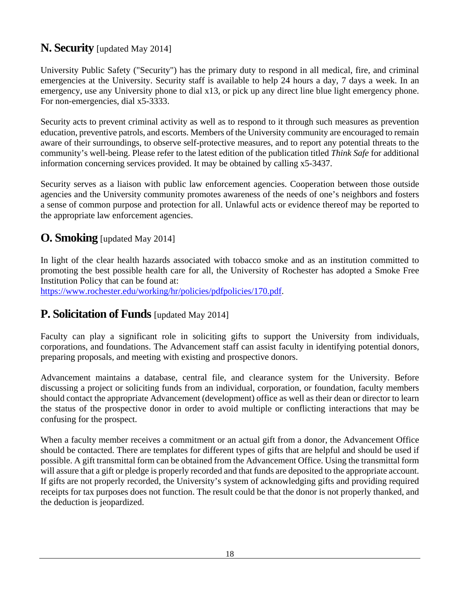# <span id="page-18-0"></span>**N. Security** [updated May 2014]

University Public Safety ("Security") has the primary duty to respond in all medical, fire, and criminal emergencies at the University. Security staff is available to help 24 hours a day, 7 days a week. In an emergency, use any University phone to dial x13, or pick up any direct line blue light emergency phone. For non-emergencies, dial x5-3333.

Security acts to prevent criminal activity as well as to respond to it through such measures as prevention education, preventive patrols, and escorts. Members of the University community are encouraged to remain aware of their surroundings, to observe self-protective measures, and to report any potential threats to the community's well-being. Please refer to the latest edition of the publication titled *Think Safe* for additional information concerning services provided. It may be obtained by calling x5-3437.

Security serves as a liaison with public law enforcement agencies. Cooperation between those outside agencies and the University community promotes awareness of the needs of one's neighbors and fosters a sense of common purpose and protection for all. Unlawful acts or evidence thereof may be reported to the appropriate law enforcement agencies.

# <span id="page-18-1"></span>**O. Smoking** [updated May 2014]

In light of the clear health hazards associated with tobacco smoke and as an institution committed to promoting the best possible health care for all, the University of Rochester has adopted a Smoke Free Institution Policy that can be found at:

[https://www.rochester.edu/working/hr/policies/pdfpolicies/170.pdf.](http://www.rochester.edu/working/hr/policies/pdfpolicies/170.pdf)

# <span id="page-18-2"></span>**P. Solicitation of Funds** [updated May 2014]

Faculty can play a significant role in soliciting gifts to support the University from individuals, corporations, and foundations. The Advancement staff can assist faculty in identifying potential donors, preparing proposals, and meeting with existing and prospective donors.

Advancement maintains a database, central file, and clearance system for the University. Before discussing a project or soliciting funds from an individual, corporation, or foundation, faculty members should contact the appropriate Advancement (development) office as well as their dean or director to learn the status of the prospective donor in order to avoid multiple or conflicting interactions that may be confusing for the prospect.

When a faculty member receives a commitment or an actual gift from a donor, the Advancement Office should be contacted. There are templates for different types of gifts that are helpful and should be used if possible. A gift transmittal form can be obtained from the Advancement Office. Using the transmittal form will assure that a gift or pledge is properly recorded and that funds are deposited to the appropriate account. If gifts are not properly recorded, the University's system of acknowledging gifts and providing required receipts for tax purposes does not function. The result could be that the donor is not properly thanked, and the deduction is jeopardized.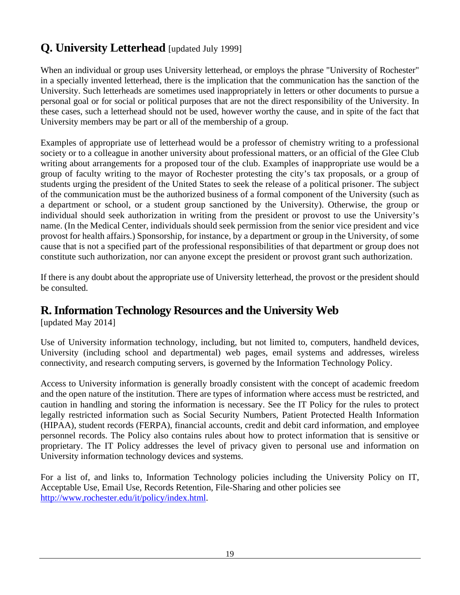# **Q. University Letterhead** [updated July 1999]

When an individual or group uses University letterhead, or employs the phrase "University of Rochester" in a specially invented letterhead, there is the implication that the communication has the sanction of the University. Such letterheads are sometimes used inappropriately in letters or other documents to pursue a personal goal or for social or political purposes that are not the direct responsibility of the University. In these cases, such a letterhead should not be used, however worthy the cause, and in spite of the fact that University members may be part or all of the membership of a group.

Examples of appropriate use of letterhead would be a professor of chemistry writing to a professional society or to a colleague in another university about professional matters, or an official of the Glee Club writing about arrangements for a proposed tour of the club. Examples of inappropriate use would be a group of faculty writing to the mayor of Rochester protesting the city's tax proposals, or a group of students urging the president of the United States to seek the release of a political prisoner. The subject of the communication must be the authorized business of a formal component of the University (such as a department or school, or a student group sanctioned by the University). Otherwise, the group or individual should seek authorization in writing from the president or provost to use the University's name. (In the Medical Center, individuals should seek permission from the senior vice president and vice provost for health affairs.) Sponsorship, for instance, by a department or group in the University, of some cause that is not a specified part of the professional responsibilities of that department or group does not constitute such authorization, nor can anyone except the president or provost grant such authorization.

If there is any doubt about the appropriate use of University letterhead, the provost or the president should be consulted.

# <span id="page-19-0"></span>**R.Information Technology Resources and the University Web**

[updated May 2014]

Use of University information technology, including, but not limited to, computers, handheld devices, University (including school and departmental) web pages, email systems and addresses, wireless connectivity, and research computing servers, is governed by the Information Technology Policy.

Access to University information is generally broadly consistent with the concept of academic freedom and the open nature of the institution. There are types of information where access must be restricted, and caution in handling and storing the information is necessary. See the IT Policy for the rules to protect legally restricted information such as Social Security Numbers, Patient Protected Health Information (HIPAA), student records (FERPA), financial accounts, credit and debit card information, and employee personnel records. The Policy also contains rules about how to protect information that is sensitive or proprietary. The IT Policy addresses the level of privacy given to personal use and information on University information technology devices and systems.

For a list of, and links to, Information Technology policies including the University Policy on IT, Acceptable Use, Email Use, Records Retention, File-Sharing and other policies see [http://www.rochester.edu/it/policy/index.html.](http://www.rochester.edu/it/policy/index.html)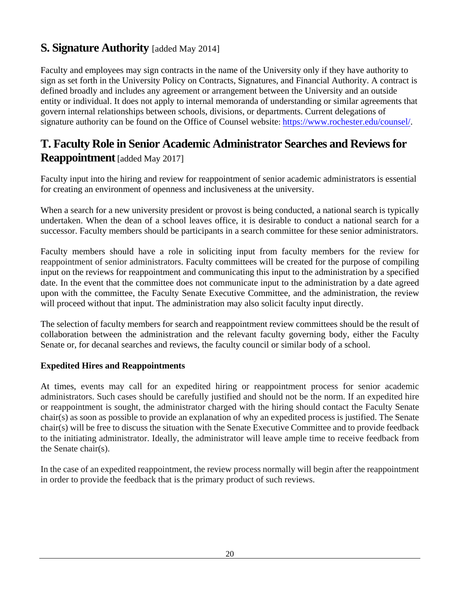# <span id="page-20-0"></span>**S. Signature Authority** [added May 2014]

Faculty and employees may sign contracts in the name of the University only if they have authority to sign as set forth in the University Policy on Contracts, Signatures, and Financial Authority. A contract is defined broadly and includes any agreement or arrangement between the University and an outside entity or individual. It does not apply to internal memoranda of understanding or similar agreements that govern internal relationships between schools, divisions, or departments. Current delegations of signature authority can be found on the Office of Counsel website: [https://www.rochester.edu/counsel/.](https://www.rochester.edu/counsel/)

# <span id="page-20-1"></span>**T. Faculty Role in Senior Academic Administrator Searches and Reviews for Reappointment** [added May 2017]

Faculty input into the hiring and review for reappointment of senior academic administrators is essential for creating an environment of openness and inclusiveness at the university.

When a search for a new university president or provost is being conducted, a national search is typically undertaken. When the dean of a school leaves office, it is desirable to conduct a national search for a successor. Faculty members should be participants in a search committee for these senior administrators.

Faculty members should have a role in soliciting input from faculty members for the review for reappointment of senior administrators. Faculty committees will be created for the purpose of compiling input on the reviews for reappointment and communicating this input to the administration by a specified date. In the event that the committee does not communicate input to the administration by a date agreed upon with the committee, the Faculty Senate Executive Committee, and the administration, the review will proceed without that input. The administration may also solicit faculty input directly.

The selection of faculty members for search and reappointment review committees should be the result of collaboration between the administration and the relevant faculty governing body, either the Faculty Senate or, for decanal searches and reviews, the faculty council or similar body of a school.

#### **Expedited Hires and Reappointments**

At times, events may call for an expedited hiring or reappointment process for senior academic administrators. Such cases should be carefully justified and should not be the norm. If an expedited hire or reappointment is sought, the administrator charged with the hiring should contact the Faculty Senate chair(s) as soon as possible to provide an explanation of why an expedited process is justified. The Senate chair(s) will be free to discuss the situation with the Senate Executive Committee and to provide feedback to the initiating administrator. Ideally, the administrator will leave ample time to receive feedback from the Senate chair(s).

In the case of an expedited reappointment, the review process normally will begin after the reappointment in order to provide the feedback that is the primary product of such reviews.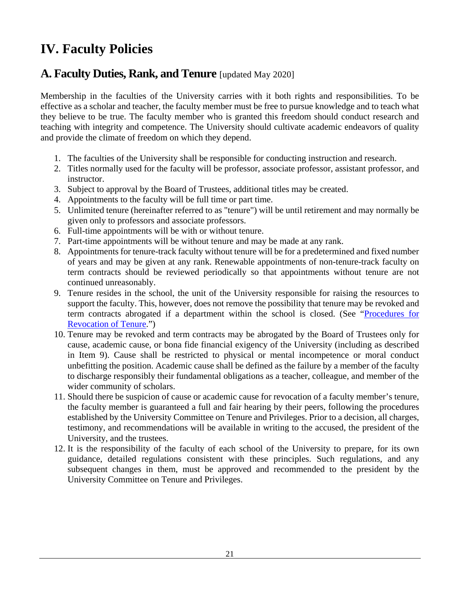# <span id="page-21-0"></span>**IV. Faculty Policies**

# <span id="page-21-1"></span>**A. Faculty Duties, Rank, and Tenure** [updated May 2020]

Membership in the faculties of the University carries with it both rights and responsibilities. To be effective as a scholar and teacher, the faculty member must be free to pursue knowledge and to teach what they believe to be true. The faculty member who is granted this freedom should conduct research and teaching with integrity and competence. The University should cultivate academic endeavors of quality and provide the climate of freedom on which they depend.

- 1. The faculties of the University shall be responsible for conducting instruction and research.
- 2. Titles normally used for the faculty will be professor, associate professor, assistant professor, and instructor.
- 3. Subject to approval by the Board of Trustees, additional titles may be created.
- 4. Appointments to the faculty will be full time or part time.
- 5. Unlimited tenure (hereinafter referred to as "tenure") will be until retirement and may normally be given only to professors and associate professors.
- 6. Full-time appointments will be with or without tenure.
- 7. Part-time appointments will be without tenure and may be made at any rank.
- 8. Appointments for tenure-track faculty without tenure will be for a predetermined and fixed number of years and may be given at any rank. Renewable appointments of non-tenure-track faculty on term contracts should be reviewed periodically so that appointments without tenure are not continued unreasonably.
- 9. Tenure resides in the school, the unit of the University responsible for raising the resources to support the faculty. This, however, does not remove the possibility that tenure may be revoked and term contracts abrogated if a department within the school is closed. (See "Procedures for [Revocation of Tenure.](#page-45-1)")
- 10. Tenure may be revoked and term contracts may be abrogated by the Board of Trustees only for cause, academic cause, or bona fide financial exigency of the University (including as described in Item 9). Cause shall be restricted to physical or mental incompetence or moral conduct unbefitting the position. Academic cause shall be defined as the failure by a member of the faculty to discharge responsibly their fundamental obligations as a teacher, colleague, and member of the wider community of scholars.
- 11. Should there be suspicion of cause or academic cause for revocation of a faculty member's tenure, the faculty member is guaranteed a full and fair hearing by their peers, following the procedures established by the University Committee on Tenure and Privileges. Prior to a decision, all charges, testimony, and recommendations will be available in writing to the accused, the president of the University, and the trustees.
- 12. It is the responsibility of the faculty of each school of the University to prepare, for its own guidance, detailed regulations consistent with these principles. Such regulations, and any subsequent changes in them, must be approved and recommended to the president by the University Committee on Tenure and Privileges.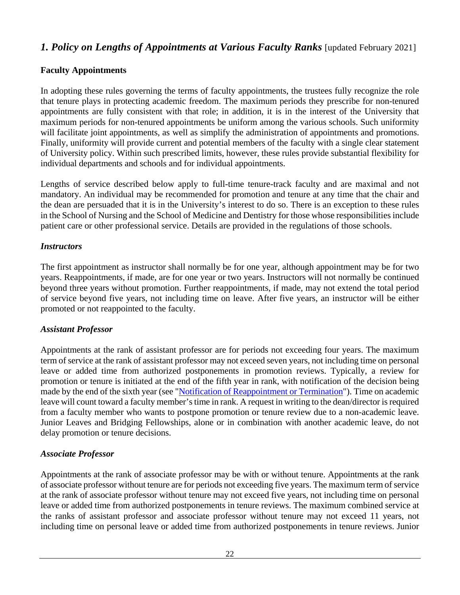# <span id="page-22-0"></span>*1. Policy on Lengths of Appointments at Various Faculty Ranks* [updated February 2021]

#### **Faculty Appointments**

In adopting these rules governing the terms of faculty appointments, the trustees fully recognize the role that tenure plays in protecting academic freedom. The maximum periods they prescribe for non-tenured appointments are fully consistent with that role; in addition, it is in the interest of the University that maximum periods for non-tenured appointments be uniform among the various schools. Such uniformity will facilitate joint appointments, as well as simplify the administration of appointments and promotions. Finally, uniformity will provide current and potential members of the faculty with a single clear statement of University policy. Within such prescribed limits, however, these rules provide substantial flexibility for individual departments and schools and for individual appointments.

Lengths of service described below apply to full-time tenure-track faculty and are maximal and not mandatory. An individual may be recommended for promotion and tenure at any time that the chair and the dean are persuaded that it is in the University's interest to do so. There is an exception to these rules in the School of Nursing and the School of Medicine and Dentistry for those whose responsibilities include patient care or other professional service. Details are provided in the regulations of those schools.

#### *Instructors*

The first appointment as instructor shall normally be for one year, although appointment may be for two years. Reappointments, if made, are for one year or two years. Instructors will not normally be continued beyond three years without promotion. Further reappointments, if made, may not extend the total period of service beyond five years, not including time on leave. After five years, an instructor will be either promoted or not reappointed to the faculty.

#### *Assistant Professor*

Appointments at the rank of assistant professor are for periods not exceeding four years. The maximum term of service at the rank of assistant professor may not exceed seven years, not including time on personal leave or added time from authorized postponements in promotion reviews. Typically, a review for promotion or tenure is initiated at the end of the fifth year in rank, with notification of the decision being made by the end of the sixth year (see ["Notification of Reappointment or Termination"](#page-23-0)). Time on academic leave will count toward a faculty member's time in rank. A request in writing to the dean/director is required from a faculty member who wants to postpone promotion or tenure review due to a non-academic leave. Junior Leaves and Bridging Fellowships, alone or in combination with another academic leave, do not delay promotion or tenure decisions.

#### *Associate Professor*

Appointments at the rank of associate professor may be with or without tenure. Appointments at the rank of associate professor without tenure are for periods not exceeding five years. The maximum term of service at the rank of associate professor without tenure may not exceed five years, not including time on personal leave or added time from authorized postponements in tenure reviews. The maximum combined service at the ranks of assistant professor and associate professor without tenure may not exceed 11 years, not including time on personal leave or added time from authorized postponements in tenure reviews. Junior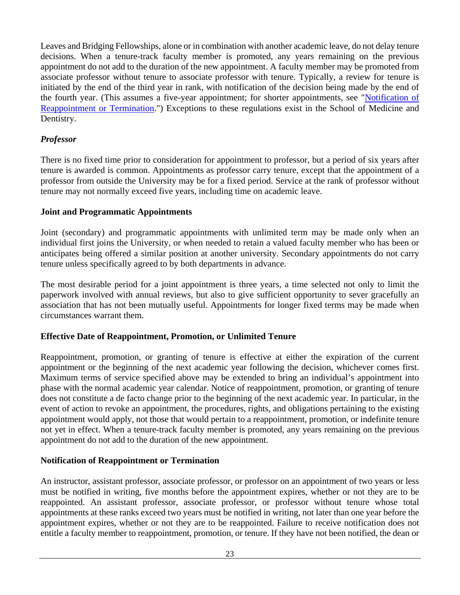Leaves and Bridging Fellowships, alone or in combination with another academic leave, do not delay tenure decisions. When a tenure-track faculty member is promoted, any years remaining on the previous appointment do not add to the duration of the new appointment. A faculty member may be promoted from associate professor without tenure to associate professor with tenure. Typically, a review for tenure is initiated by the end of the third year in rank, with notification of the decision being made by the end of the fourth year. (This assumes a five-year appointment; for shorter appointments, see ["Notification of](#page-23-0)  [Reappointment or Termination.](#page-23-0)") Exceptions to these regulations exist in the School of Medicine and Dentistry.

#### *Professor*

There is no fixed time prior to consideration for appointment to professor, but a period of six years after tenure is awarded is common. Appointments as professor carry tenure, except that the appointment of a professor from outside the University may be for a fixed period. Service at the rank of professor without tenure may not normally exceed five years, including time on academic leave.

#### **Joint and Programmatic Appointments**

Joint (secondary) and programmatic appointments with unlimited term may be made only when an individual first joins the University, or when needed to retain a valued faculty member who has been or anticipates being offered a similar position at another university. Secondary appointments do not carry tenure unless specifically agreed to by both departments in advance.

The most desirable period for a joint appointment is three years, a time selected not only to limit the paperwork involved with annual reviews, but also to give sufficient opportunity to sever gracefully an association that has not been mutually useful. Appointments for longer fixed terms may be made when circumstances warrant them.

#### **Effective Date of Reappointment, Promotion, or Unlimited Tenure**

Reappointment, promotion, or granting of tenure is effective at either the expiration of the current appointment or the beginning of the next academic year following the decision, whichever comes first. Maximum terms of service specified above may be extended to bring an individual's appointment into phase with the normal academic year calendar. Notice of reappointment, promotion, or granting of tenure does not constitute a de facto change prior to the beginning of the next academic year. In particular, in the event of action to revoke an appointment, the procedures, rights, and obligations pertaining to the existing appointment would apply, not those that would pertain to a reappointment, promotion, or indefinite tenure not yet in effect. When a tenure-track faculty member is promoted, any years remaining on the previous appointment do not add to the duration of the new appointment.

#### <span id="page-23-0"></span>**Notification of Reappointment or Termination**

An instructor, assistant professor, associate professor, or professor on an appointment of two years or less must be notified in writing, five months before the appointment expires, whether or not they are to be reappointed. An assistant professor, associate professor, or professor without tenure whose total appointments at these ranks exceed two years must be notified in writing, not later than one year before the appointment expires, whether or not they are to be reappointed. Failure to receive notification does not entitle a faculty member to reappointment, promotion, or tenure. If they have not been notified, the dean or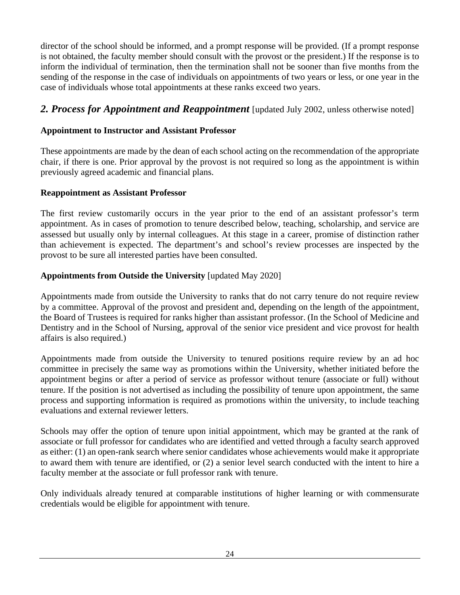director of the school should be informed, and a prompt response will be provided. (If a prompt response is not obtained, the faculty member should consult with the provost or the president.) If the response is to inform the individual of termination, then the termination shall not be sooner than five months from the sending of the response in the case of individuals on appointments of two years or less, or one year in the case of individuals whose total appointments at these ranks exceed two years.

#### <span id="page-24-0"></span>*2. Process for Appointment and Reappointment* [updated July 2002, unless otherwise noted]

#### **Appointment to Instructor and Assistant Professor**

These appointments are made by the dean of each school acting on the recommendation of the appropriate chair, if there is one. Prior approval by the provost is not required so long as the appointment is within previously agreed academic and financial plans.

#### **Reappointment as Assistant Professor**

The first review customarily occurs in the year prior to the end of an assistant professor's term appointment. As in cases of promotion to tenure described below, teaching, scholarship, and service are assessed but usually only by internal colleagues. At this stage in a career, promise of distinction rather than achievement is expected. The department's and school's review processes are inspected by the provost to be sure all interested parties have been consulted.

#### **Appointments from Outside the University** [updated May 2020]

Appointments made from outside the University to ranks that do not carry tenure do not require review by a committee. Approval of the provost and president and, depending on the length of the appointment, the Board of Trustees is required for ranks higher than assistant professor. (In the School of Medicine and Dentistry and in the School of Nursing, approval of the senior vice president and vice provost for health affairs is also required.)

Appointments made from outside the University to tenured positions require review by an ad hoc committee in precisely the same way as promotions within the University, whether initiated before the appointment begins or after a period of service as professor without tenure (associate or full) without tenure. If the position is not advertised as including the possibility of tenure upon appointment, the same process and supporting information is required as promotions within the university, to include teaching evaluations and external reviewer letters.

Schools may offer the option of tenure upon initial appointment, which may be granted at the rank of associate or full professor for candidates who are identified and vetted through a faculty search approved as either: (1) an open-rank search where senior candidates whose achievements would make it appropriate to award them with tenure are identified, or (2) a senior level search conducted with the intent to hire a faculty member at the associate or full professor rank with tenure.

Only individuals already tenured at comparable institutions of higher learning or with commensurate credentials would be eligible for appointment with tenure.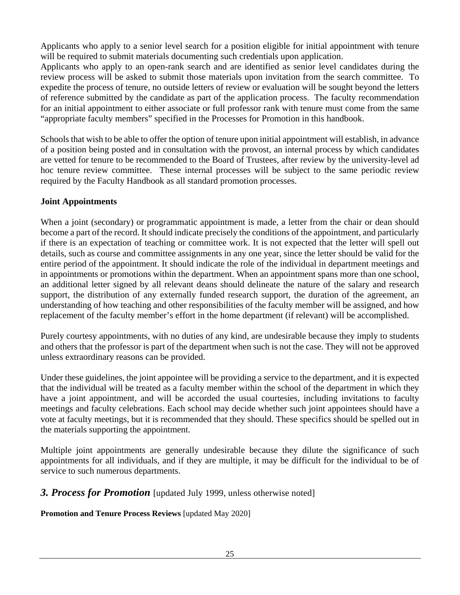Applicants who apply to a senior level search for a position eligible for initial appointment with tenure will be required to submit materials documenting such credentials upon application.

Applicants who apply to an open-rank search and are identified as senior level candidates during the review process will be asked to submit those materials upon invitation from the search committee. To expedite the process of tenure, no outside letters of review or evaluation will be sought beyond the letters of reference submitted by the candidate as part of the application process. The faculty recommendation for an initial appointment to either associate or full professor rank with tenure must come from the same "appropriate faculty members" specified in the Processes for Promotion in this handbook.

Schools that wish to be able to offer the option of tenure upon initial appointment will establish, in advance of a position being posted and in consultation with the provost, an internal process by which candidates are vetted for tenure to be recommended to the Board of Trustees, after review by the university-level ad hoc tenure review committee. These internal processes will be subject to the same periodic review required by the Faculty Handbook as all standard promotion processes.

#### **Joint Appointments**

When a joint (secondary) or programmatic appointment is made, a letter from the chair or dean should become a part of the record. It should indicate precisely the conditions of the appointment, and particularly if there is an expectation of teaching or committee work. It is not expected that the letter will spell out details, such as course and committee assignments in any one year, since the letter should be valid for the entire period of the appointment. It should indicate the role of the individual in department meetings and in appointments or promotions within the department. When an appointment spans more than one school, an additional letter signed by all relevant deans should delineate the nature of the salary and research support, the distribution of any externally funded research support, the duration of the agreement, an understanding of how teaching and other responsibilities of the faculty member will be assigned, and how replacement of the faculty member's effort in the home department (if relevant) will be accomplished.

Purely courtesy appointments, with no duties of any kind, are undesirable because they imply to students and others that the professor is part of the department when such is not the case. They will not be approved unless extraordinary reasons can be provided.

Under these guidelines, the joint appointee will be providing a service to the department, and it is expected that the individual will be treated as a faculty member within the school of the department in which they have a joint appointment, and will be accorded the usual courtesies, including invitations to faculty meetings and faculty celebrations. Each school may decide whether such joint appointees should have a vote at faculty meetings, but it is recommended that they should. These specifics should be spelled out in the materials supporting the appointment.

Multiple joint appointments are generally undesirable because they dilute the significance of such appointments for all individuals, and if they are multiple, it may be difficult for the individual to be of service to such numerous departments.

<span id="page-25-0"></span>*3. Process for Promotion* [updated July 1999, unless otherwise noted]

**Promotion and Tenure Process Reviews** [updated May 2020]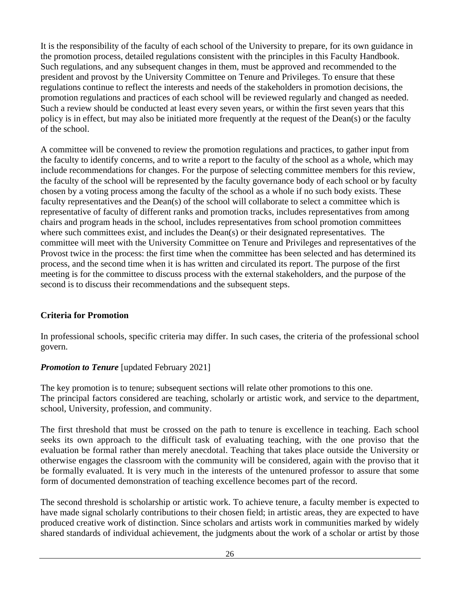It is the responsibility of the faculty of each school of the University to prepare, for its own guidance in the promotion process, detailed regulations consistent with the principles in this Faculty Handbook. Such regulations, and any subsequent changes in them, must be approved and recommended to the president and provost by the University Committee on Tenure and Privileges. To ensure that these regulations continue to reflect the interests and needs of the stakeholders in promotion decisions, the promotion regulations and practices of each school will be reviewed regularly and changed as needed. Such a review should be conducted at least every seven years, or within the first seven years that this policy is in effect, but may also be initiated more frequently at the request of the Dean(s) or the faculty of the school.

A committee will be convened to review the promotion regulations and practices, to gather input from the faculty to identify concerns, and to write a report to the faculty of the school as a whole, which may include recommendations for changes. For the purpose of selecting committee members for this review, the faculty of the school will be represented by the faculty governance body of each school or by faculty chosen by a voting process among the faculty of the school as a whole if no such body exists. These faculty representatives and the Dean(s) of the school will collaborate to select a committee which is representative of faculty of different ranks and promotion tracks, includes representatives from among chairs and program heads in the school, includes representatives from school promotion committees where such committees exist, and includes the Dean(s) or their designated representatives. The committee will meet with the University Committee on Tenure and Privileges and representatives of the Provost twice in the process: the first time when the committee has been selected and has determined its process, and the second time when it is has written and circulated its report. The purpose of the first meeting is for the committee to discuss process with the external stakeholders, and the purpose of the second is to discuss their recommendations and the subsequent steps.

#### **Criteria for Promotion**

In professional schools, specific criteria may differ. In such cases, the criteria of the professional school govern.

#### **Promotion to Tenure** [updated February 2021]

The key promotion is to tenure; subsequent sections will relate other promotions to this one. The principal factors considered are teaching, scholarly or artistic work, and service to the department, school, University, profession, and community.

The first threshold that must be crossed on the path to tenure is excellence in teaching. Each school seeks its own approach to the difficult task of evaluating teaching, with the one proviso that the evaluation be formal rather than merely anecdotal. Teaching that takes place outside the University or otherwise engages the classroom with the community will be considered, again with the proviso that it be formally evaluated. It is very much in the interests of the untenured professor to assure that some form of documented demonstration of teaching excellence becomes part of the record.

The second threshold is scholarship or artistic work. To achieve tenure, a faculty member is expected to have made signal scholarly contributions to their chosen field; in artistic areas, they are expected to have produced creative work of distinction. Since scholars and artists work in communities marked by widely shared standards of individual achievement, the judgments about the work of a scholar or artist by those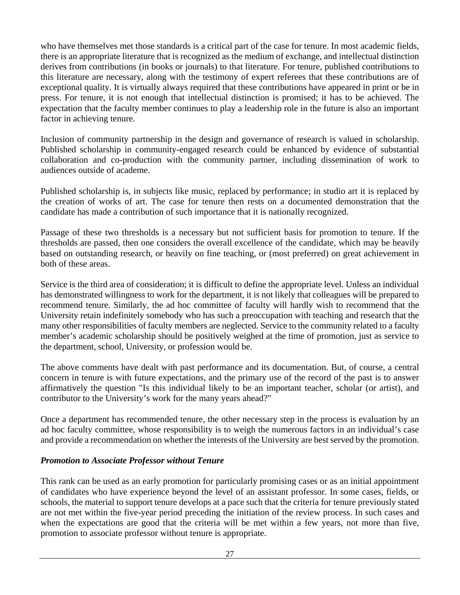who have themselves met those standards is a critical part of the case for tenure. In most academic fields, there is an appropriate literature that is recognized as the medium of exchange, and intellectual distinction derives from contributions (in books or journals) to that literature. For tenure, published contributions to this literature are necessary, along with the testimony of expert referees that these contributions are of exceptional quality. It is virtually always required that these contributions have appeared in print or be in press. For tenure, it is not enough that intellectual distinction is promised; it has to be achieved. The expectation that the faculty member continues to play a leadership role in the future is also an important factor in achieving tenure.

Inclusion of community partnership in the design and governance of research is valued in scholarship. Published scholarship in community-engaged research could be enhanced by evidence of substantial collaboration and co-production with the community partner, including dissemination of work to audiences outside of academe.

Published scholarship is, in subjects like music, replaced by performance; in studio art it is replaced by the creation of works of art. The case for tenure then rests on a documented demonstration that the candidate has made a contribution of such importance that it is nationally recognized.

Passage of these two thresholds is a necessary but not sufficient basis for promotion to tenure. If the thresholds are passed, then one considers the overall excellence of the candidate, which may be heavily based on outstanding research, or heavily on fine teaching, or (most preferred) on great achievement in both of these areas.

Service is the third area of consideration; it is difficult to define the appropriate level. Unless an individual has demonstrated willingness to work for the department, it is not likely that colleagues will be prepared to recommend tenure. Similarly, the ad hoc committee of faculty will hardly wish to recommend that the University retain indefinitely somebody who has such a preoccupation with teaching and research that the many other responsibilities of faculty members are neglected. Service to the community related to a faculty member's academic scholarship should be positively weighed at the time of promotion, just as service to the department, school, University, or profession would be.

The above comments have dealt with past performance and its documentation. But, of course, a central concern in tenure is with future expectations, and the primary use of the record of the past is to answer affirmatively the question "Is this individual likely to be an important teacher, scholar (or artist), and contributor to the University's work for the many years ahead?"

Once a department has recommended tenure, the other necessary step in the process is evaluation by an ad hoc faculty committee, whose responsibility is to weigh the numerous factors in an individual's case and provide a recommendation on whether the interests of the University are best served by the promotion.

#### *Promotion to Associate Professor without Tenure*

This rank can be used as an early promotion for particularly promising cases or as an initial appointment of candidates who have experience beyond the level of an assistant professor. In some cases, fields, or schools, the material to support tenure develops at a pace such that the criteria for tenure previously stated are not met within the five-year period preceding the initiation of the review process. In such cases and when the expectations are good that the criteria will be met within a few years, not more than five, promotion to associate professor without tenure is appropriate.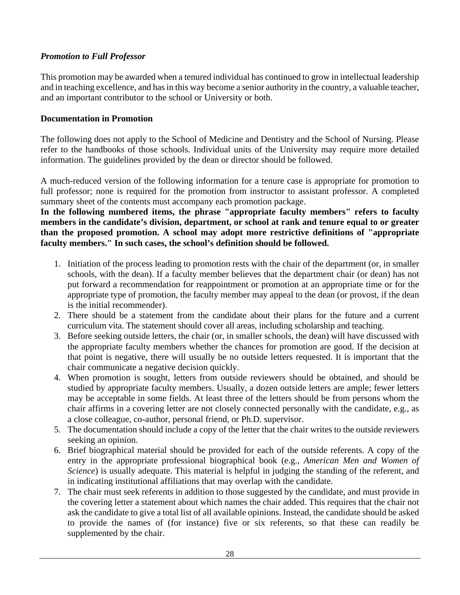#### *Promotion to Full Professor*

This promotion may be awarded when a tenured individual has continued to grow in intellectual leadership and in teaching excellence, and has in this way become a senior authority in the country, a valuable teacher, and an important contributor to the school or University or both.

#### **Documentation in Promotion**

The following does not apply to the School of Medicine and Dentistry and the School of Nursing. Please refer to the handbooks of those schools. Individual units of the University may require more detailed information. The guidelines provided by the dean or director should be followed.

A much-reduced version of the following information for a tenure case is appropriate for promotion to full professor; none is required for the promotion from instructor to assistant professor. A completed summary sheet of the contents must accompany each promotion package.

**In the following numbered items, the phrase "appropriate faculty members" refers to faculty members in the candidate's division, department, or school at rank and tenure equal to or greater than the proposed promotion. A school may adopt more restrictive definitions of "appropriate faculty members." In such cases, the school's definition should be followed.**

- 1. Initiation of the process leading to promotion rests with the chair of the department (or, in smaller schools, with the dean). If a faculty member believes that the department chair (or dean) has not put forward a recommendation for reappointment or promotion at an appropriate time or for the appropriate type of promotion, the faculty member may appeal to the dean (or provost, if the dean is the initial recommender).
- 2. There should be a statement from the candidate about their plans for the future and a current curriculum vita. The statement should cover all areas, including scholarship and teaching.
- 3. Before seeking outside letters, the chair (or, in smaller schools, the dean) will have discussed with the appropriate faculty members whether the chances for promotion are good. If the decision at that point is negative, there will usually be no outside letters requested. It is important that the chair communicate a negative decision quickly.
- 4. When promotion is sought, letters from outside reviewers should be obtained, and should be studied by appropriate faculty members. Usually, a dozen outside letters are ample; fewer letters may be acceptable in some fields. At least three of the letters should be from persons whom the chair affirms in a covering letter are not closely connected personally with the candidate, e.g., as a close colleague, co-author, personal friend, or Ph.D. supervisor.
- 5. The documentation should include a copy of the letter that the chair writes to the outside reviewers seeking an opinion.
- 6. Brief biographical material should be provided for each of the outside referents. A copy of the entry in the appropriate professional biographical book (e.g., *American Men and Women of Science*) is usually adequate. This material is helpful in judging the standing of the referent, and in indicating institutional affiliations that may overlap with the candidate.
- 7. The chair must seek referents in addition to those suggested by the candidate, and must provide in the covering letter a statement about which names the chair added. This requires that the chair not ask the candidate to give a total list of all available opinions. Instead, the candidate should be asked to provide the names of (for instance) five or six referents, so that these can readily be supplemented by the chair.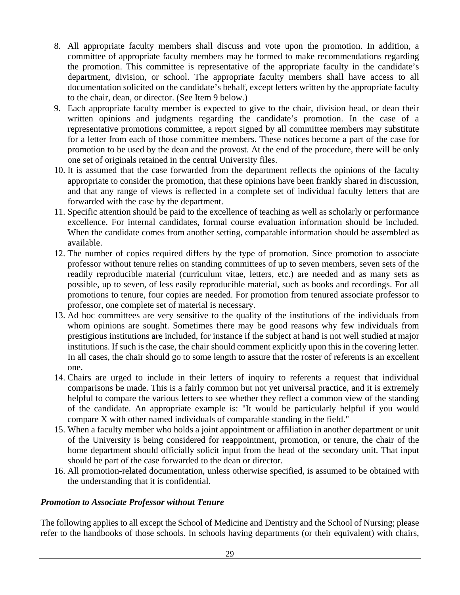- 8. All appropriate faculty members shall discuss and vote upon the promotion. In addition, a committee of appropriate faculty members may be formed to make recommendations regarding the promotion. This committee is representative of the appropriate faculty in the candidate's department, division, or school. The appropriate faculty members shall have access to all documentation solicited on the candidate's behalf, except letters written by the appropriate faculty to the chair, dean, or director. (See Item 9 below.)
- 9. Each appropriate faculty member is expected to give to the chair, division head, or dean their written opinions and judgments regarding the candidate's promotion. In the case of a representative promotions committee, a report signed by all committee members may substitute for a letter from each of those committee members. These notices become a part of the case for promotion to be used by the dean and the provost. At the end of the procedure, there will be only one set of originals retained in the central University files.
- 10. It is assumed that the case forwarded from the department reflects the opinions of the faculty appropriate to consider the promotion, that these opinions have been frankly shared in discussion, and that any range of views is reflected in a complete set of individual faculty letters that are forwarded with the case by the department.
- 11. Specific attention should be paid to the excellence of teaching as well as scholarly or performance excellence. For internal candidates, formal course evaluation information should be included. When the candidate comes from another setting, comparable information should be assembled as available.
- 12. The number of copies required differs by the type of promotion. Since promotion to associate professor without tenure relies on standing committees of up to seven members, seven sets of the readily reproducible material (curriculum vitae, letters, etc.) are needed and as many sets as possible, up to seven, of less easily reproducible material, such as books and recordings. For all promotions to tenure, four copies are needed. For promotion from tenured associate professor to professor, one complete set of material is necessary.
- 13. Ad hoc committees are very sensitive to the quality of the institutions of the individuals from whom opinions are sought. Sometimes there may be good reasons why few individuals from prestigious institutions are included, for instance if the subject at hand is not well studied at major institutions. If such is the case, the chair should comment explicitly upon this in the covering letter. In all cases, the chair should go to some length to assure that the roster of referents is an excellent one.
- 14. Chairs are urged to include in their letters of inquiry to referents a request that individual comparisons be made. This is a fairly common but not yet universal practice, and it is extremely helpful to compare the various letters to see whether they reflect a common view of the standing of the candidate. An appropriate example is: "It would be particularly helpful if you would compare X with other named individuals of comparable standing in the field."
- 15. When a faculty member who holds a joint appointment or affiliation in another department or unit of the University is being considered for reappointment, promotion, or tenure, the chair of the home department should officially solicit input from the head of the secondary unit. That input should be part of the case forwarded to the dean or director.
- 16. All promotion-related documentation, unless otherwise specified, is assumed to be obtained with the understanding that it is confidential.

#### <span id="page-29-0"></span>*Promotion to Associate Professor without Tenure*

The following applies to all except the School of Medicine and Dentistry and the School of Nursing; please refer to the handbooks of those schools. In schools having departments (or their equivalent) with chairs,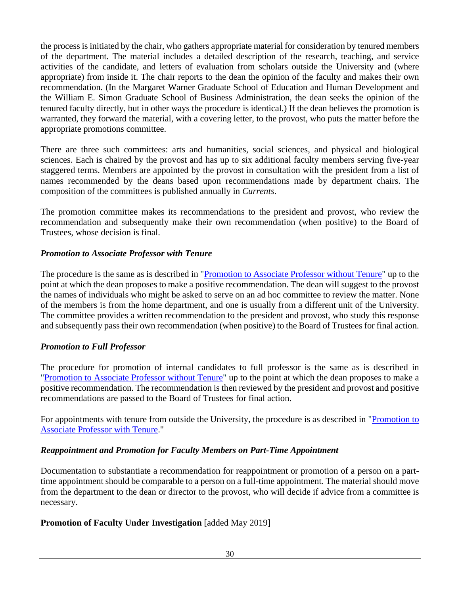the process is initiated by the chair, who gathers appropriate material for consideration by tenured members of the department. The material includes a detailed description of the research, teaching, and service activities of the candidate, and letters of evaluation from scholars outside the University and (where appropriate) from inside it. The chair reports to the dean the opinion of the faculty and makes their own recommendation. (In the Margaret Warner Graduate School of Education and Human Development and the William E. Simon Graduate School of Business Administration, the dean seeks the opinion of the tenured faculty directly, but in other ways the procedure is identical.) If the dean believes the promotion is warranted, they forward the material, with a covering letter, to the provost, who puts the matter before the appropriate promotions committee.

There are three such committees: arts and humanities, social sciences, and physical and biological sciences. Each is chaired by the provost and has up to six additional faculty members serving five-year staggered terms. Members are appointed by the provost in consultation with the president from a list of names recommended by the deans based upon recommendations made by department chairs. The composition of the committees is published annually in *Currents*.

The promotion committee makes its recommendations to the president and provost, who review the recommendation and subsequently make their own recommendation (when positive) to the Board of Trustees, whose decision is final.

#### <span id="page-30-0"></span>*Promotion to Associate Professor with Tenure*

The procedure is the same as is described in ["Promotion to Associate Professor without Tenure"](#page-29-0) up to the point at which the dean proposes to make a positive recommendation. The dean will suggest to the provost the names of individuals who might be asked to serve on an ad hoc committee to review the matter. None of the members is from the home department, and one is usually from a different unit of the University. The committee provides a written recommendation to the president and provost, who study this response and subsequently pass their own recommendation (when positive) to the Board of Trustees for final action.

#### *Promotion to Full Professor*

The procedure for promotion of internal candidates to full professor is the same as is described in ["Promotion to Associate Professor without Tenure"](#page-29-0) up to the point at which the dean proposes to make a positive recommendation. The recommendation is then reviewed by the president and provost and positive recommendations are passed to the Board of Trustees for final action.

For appointments with tenure from outside the University, the procedure is as described in ["Promotion to](#page-30-0)  [Associate Professor with Tenure.](#page-30-0)"

#### *Reappointment and Promotion for Faculty Members on Part-Time Appointment*

Documentation to substantiate a recommendation for reappointment or promotion of a person on a parttime appointment should be comparable to a person on a full-time appointment. The material should move from the department to the dean or director to the provost, who will decide if advice from a committee is necessary.

#### **Promotion of Faculty Under Investigation** [added May 2019]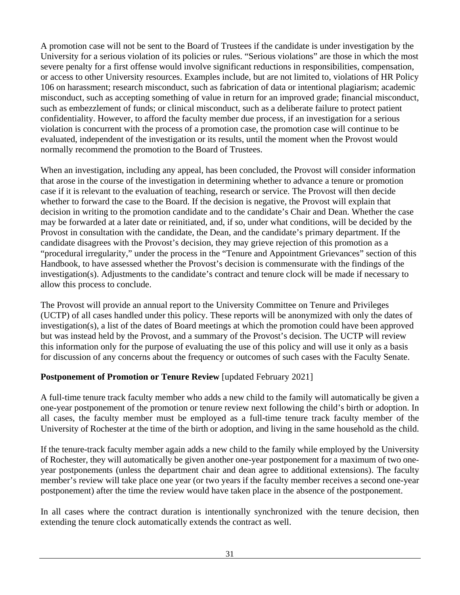A promotion case will not be sent to the Board of Trustees if the candidate is under investigation by the University for a serious violation of its policies or rules. "Serious violations" are those in which the most severe penalty for a first offense would involve significant reductions in responsibilities, compensation, or access to other University resources. Examples include, but are not limited to, violations of HR Policy 106 on harassment; research misconduct, such as fabrication of data or intentional plagiarism; academic misconduct, such as accepting something of value in return for an improved grade; financial misconduct, such as embezzlement of funds; or clinical misconduct, such as a deliberate failure to protect patient confidentiality. However, to afford the faculty member due process, if an investigation for a serious violation is concurrent with the process of a promotion case, the promotion case will continue to be evaluated, independent of the investigation or its results, until the moment when the Provost would normally recommend the promotion to the Board of Trustees.

When an investigation, including any appeal, has been concluded, the Provost will consider information that arose in the course of the investigation in determining whether to advance a tenure or promotion case if it is relevant to the evaluation of teaching, research or service. The Provost will then decide whether to forward the case to the Board. If the decision is negative, the Provost will explain that decision in writing to the promotion candidate and to the candidate's Chair and Dean. Whether the case may be forwarded at a later date or reinitiated, and, if so, under what conditions, will be decided by the Provost in consultation with the candidate, the Dean, and the candidate's primary department. If the candidate disagrees with the Provost's decision, they may grieve rejection of this promotion as a "procedural irregularity," under the process in the "Tenure and Appointment Grievances" section of this Handbook, to have assessed whether the Provost's decision is commensurate with the findings of the investigation(s). Adjustments to the candidate's contract and tenure clock will be made if necessary to allow this process to conclude.

The Provost will provide an annual report to the University Committee on Tenure and Privileges (UCTP) of all cases handled under this policy. These reports will be anonymized with only the dates of investigation(s), a list of the dates of Board meetings at which the promotion could have been approved but was instead held by the Provost, and a summary of the Provost's decision. The UCTP will review this information only for the purpose of evaluating the use of this policy and will use it only as a basis for discussion of any concerns about the frequency or outcomes of such cases with the Faculty Senate.

#### **Postponement of Promotion or Tenure Review [updated February 2021]**

A full-time tenure track faculty member who adds a new child to the family will automatically be given a one-year postponement of the promotion or tenure review next following the child's birth or adoption. In all cases, the faculty member must be employed as a full-time tenure track faculty member of the University of Rochester at the time of the birth or adoption, and living in the same household as the child.

If the tenure-track faculty member again adds a new child to the family while employed by the University of Rochester, they will automatically be given another one-year postponement for a maximum of two oneyear postponements (unless the department chair and dean agree to additional extensions). The faculty member's review will take place one year (or two years if the faculty member receives a second one-year postponement) after the time the review would have taken place in the absence of the postponement.

In all cases where the contract duration is intentionally synchronized with the tenure decision, then extending the tenure clock automatically extends the contract as well.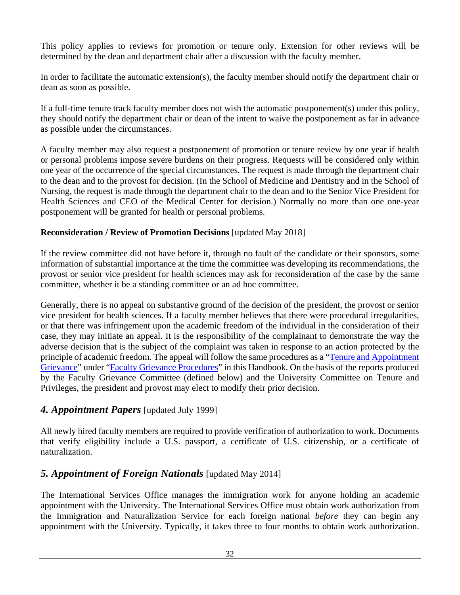This policy applies to reviews for promotion or tenure only. Extension for other reviews will be determined by the dean and department chair after a discussion with the faculty member.

In order to facilitate the automatic extension(s), the faculty member should notify the department chair or dean as soon as possible.

If a full-time tenure track faculty member does not wish the automatic postponement(s) under this policy, they should notify the department chair or dean of the intent to waive the postponement as far in advance as possible under the circumstances.

A faculty member may also request a postponement of promotion or tenure review by one year if health or personal problems impose severe burdens on their progress. Requests will be considered only within one year of the occurrence of the special circumstances. The request is made through the department chair to the dean and to the provost for decision. (In the School of Medicine and Dentistry and in the School of Nursing, the request is made through the department chair to the dean and to the Senior Vice President for Health Sciences and CEO of the Medical Center for decision.) Normally no more than one one-year postponement will be granted for health or personal problems.

#### **Reconsideration / Review of Promotion Decisions** [updated May 2018]

If the review committee did not have before it, through no fault of the candidate or their sponsors, some information of substantial importance at the time the committee was developing its recommendations, the provost or senior vice president for health sciences may ask for reconsideration of the case by the same committee, whether it be a standing committee or an ad hoc committee.

Generally, there is no appeal on substantive ground of the decision of the president, the provost or senior vice president for health sciences. If a faculty member believes that there were procedural irregularities, or that there was infringement upon the academic freedom of the individual in the consideration of their case, they may initiate an appeal. It is the responsibility of the complainant to demonstrate the way the adverse decision that is the subject of the complaint was taken in response to an action protected by the principle of academic freedom. The appeal will follow the same procedures as a ["Tenure and Appointment](#page-38-0)  [Grievance"](#page-38-0) under ["Faculty Grievance Procedures"](#page-37-2) in this Handbook. On the basis of the reports produced by the Faculty Grievance Committee (defined below) and the University Committee on Tenure and Privileges, the president and provost may elect to modify their prior decision.

#### <span id="page-32-0"></span>*4. Appointment Papers* [updated July 1999]

All newly hired faculty members are required to provide verification of authorization to work. Documents that verify eligibility include a U.S. passport, a certificate of U.S. citizenship, or a certificate of naturalization.

# <span id="page-32-1"></span>*5. Appointment of Foreign Nationals* [updated May 2014]

The International Services Office manages the immigration work for anyone holding an academic appointment with the University. The International Services Office must obtain work authorization from the Immigration and Naturalization Service for each foreign national *before* they can begin any appointment with the University. Typically, it takes three to four months to obtain work authorization.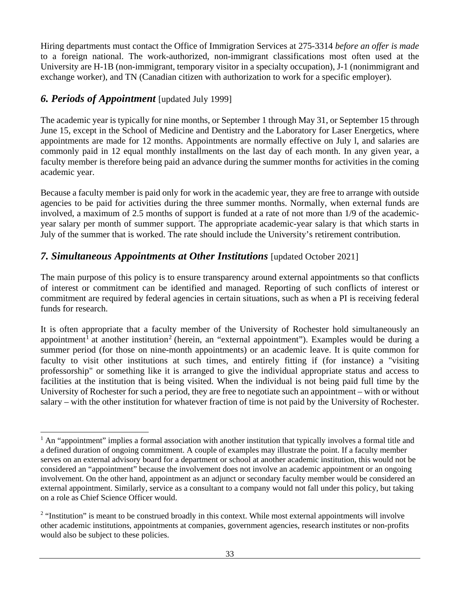Hiring departments must contact the Office of Immigration Services at 275-3314 *before an offer is made*  to a foreign national. The work-authorized, non-immigrant classifications most often used at the University are H-1B (non-immigrant, temporary visitor in a specialty occupation), J-1 (nonimmigrant and exchange worker), and TN (Canadian citizen with authorization to work for a specific employer).

#### <span id="page-33-0"></span>*6. Periods of Appointment* [updated July 1999]

The academic year is typically for nine months, or September 1 through May 31, or September 15 through June 15, except in the School of Medicine and Dentistry and the Laboratory for Laser Energetics, where appointments are made for 12 months. Appointments are normally effective on July l, and salaries are commonly paid in 12 equal monthly installments on the last day of each month. In any given year, a faculty member is therefore being paid an advance during the summer months for activities in the coming academic year.

Because a faculty member is paid only for work in the academic year, they are free to arrange with outside agencies to be paid for activities during the three summer months. Normally, when external funds are involved, a maximum of 2.5 months of support is funded at a rate of not more than 1/9 of the academicyear salary per month of summer support. The appropriate academic-year salary is that which starts in July of the summer that is worked. The rate should include the University's retirement contribution.

# <span id="page-33-1"></span>*7. Simultaneous Appointments at Other Institutions* [updated October 2021]

The main purpose of this policy is to ensure transparency around external appointments so that conflicts of interest or commitment can be identified and managed. Reporting of such conflicts of interest or commitment are required by federal agencies in certain situations, such as when a PI is receiving federal funds for research.

It is often appropriate that a faculty member of the University of Rochester hold simultaneously an appointment<sup>[1](#page-33-2)</sup> at another institution<sup>[2](#page-33-3)</sup> (herein, an "external appointment"). Examples would be during a summer period (for those on nine-month appointments) or an academic leave. It is quite common for faculty to visit other institutions at such times, and entirely fitting if (for instance) a "visiting professorship" or something like it is arranged to give the individual appropriate status and access to facilities at the institution that is being visited. When the individual is not being paid full time by the University of Rochester for such a period, they are free to negotiate such an appointment – with or without salary – with the other institution for whatever fraction of time is not paid by the University of Rochester.

<span id="page-33-2"></span> $<sup>1</sup>$  An "appointment" implies a formal association with another institution that typically involves a formal title and</sup> a defined duration of ongoing commitment. A couple of examples may illustrate the point. If a faculty member serves on an external advisory board for a department or school at another academic institution, this would not be considered an "appointment" because the involvement does not involve an academic appointment or an ongoing involvement. On the other hand, appointment as an adjunct or secondary faculty member would be considered an external appointment. Similarly, service as a consultant to a company would not fall under this policy, but taking on a role as Chief Science Officer would.

<span id="page-33-3"></span><sup>&</sup>lt;sup>2</sup> "Institution" is meant to be construed broadly in this context. While most external appointments will involve other academic institutions, appointments at companies, government agencies, research institutes or non-profits would also be subject to these policies.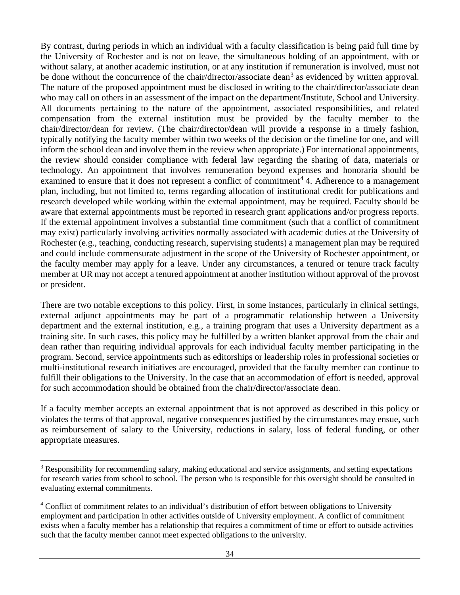By contrast, during periods in which an individual with a faculty classification is being paid full time by the University of Rochester and is not on leave, the simultaneous holding of an appointment, with or without salary, at another academic institution, or at any institution if remuneration is involved, must not be done without the concurrence of the chair/director/associate dean<sup>[3](#page-34-0)</sup> as evidenced by written approval. The nature of the proposed appointment must be disclosed in writing to the chair/director/associate dean who may call on others in an assessment of the impact on the department/Institute, School and University. All documents pertaining to the nature of the appointment, associated responsibilities, and related compensation from the external institution must be provided by the faculty member to the chair/director/dean for review. (The chair/director/dean will provide a response in a timely fashion, typically notifying the faculty member within two weeks of the decision or the timeline for one, and will inform the school dean and involve them in the review when appropriate.) For international appointments, the review should consider compliance with federal law regarding the sharing of data, materials or technology. An appointment that involves remuneration beyond expenses and honoraria should be examined to ensure that it does not represent a conflict of commitment<sup>[4](#page-34-1)</sup> 4. Adherence to a management plan, including, but not limited to, terms regarding allocation of institutional credit for publications and research developed while working within the external appointment, may be required. Faculty should be aware that external appointments must be reported in research grant applications and/or progress reports. If the external appointment involves a substantial time commitment (such that a conflict of commitment may exist) particularly involving activities normally associated with academic duties at the University of Rochester (e.g., teaching, conducting research, supervising students) a management plan may be required and could include commensurate adjustment in the scope of the University of Rochester appointment, or the faculty member may apply for a leave. Under any circumstances, a tenured or tenure track faculty member at UR may not accept a tenured appointment at another institution without approval of the provost or president.

There are two notable exceptions to this policy. First, in some instances, particularly in clinical settings, external adjunct appointments may be part of a programmatic relationship between a University department and the external institution, e.g., a training program that uses a University department as a training site. In such cases, this policy may be fulfilled by a written blanket approval from the chair and dean rather than requiring individual approvals for each individual faculty member participating in the program. Second, service appointments such as editorships or leadership roles in professional societies or multi-institutional research initiatives are encouraged, provided that the faculty member can continue to fulfill their obligations to the University. In the case that an accommodation of effort is needed, approval for such accommodation should be obtained from the chair/director/associate dean.

If a faculty member accepts an external appointment that is not approved as described in this policy or violates the terms of that approval, negative consequences justified by the circumstances may ensue, such as reimbursement of salary to the University, reductions in salary, loss of federal funding, or other appropriate measures.

<span id="page-34-0"></span><sup>&</sup>lt;sup>3</sup> Responsibility for recommending salary, making educational and service assignments, and setting expectations for research varies from school to school. The person who is responsible for this oversight should be consulted in evaluating external commitments.

<span id="page-34-1"></span><sup>4</sup> Conflict of commitment relates to an individual's distribution of effort between obligations to University employment and participation in other activities outside of University employment. A conflict of commitment exists when a faculty member has a relationship that requires a commitment of time or effort to outside activities such that the faculty member cannot meet expected obligations to the university.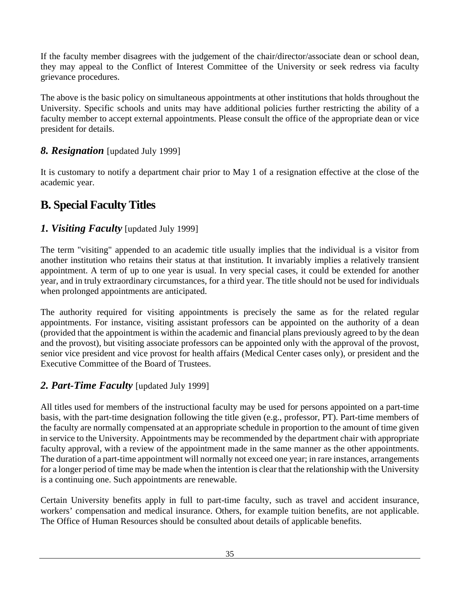If the faculty member disagrees with the judgement of the chair/director/associate dean or school dean, they may appeal to the Conflict of Interest Committee of the University or seek redress via faculty grievance procedures.

The above is the basic policy on simultaneous appointments at other institutions that holds throughout the University. Specific schools and units may have additional policies further restricting the ability of a faculty member to accept external appointments. Please consult the office of the appropriate dean or vice president for details.

#### <span id="page-35-0"></span>*8. Resignation* [updated July 1999]

It is customary to notify a department chair prior to May 1 of a resignation effective at the close of the academic year.

# <span id="page-35-1"></span>**B. Special Faculty Titles**

#### <span id="page-35-2"></span>*1. Visiting Faculty* [updated July 1999]

The term "visiting" appended to an academic title usually implies that the individual is a visitor from another institution who retains their status at that institution. It invariably implies a relatively transient appointment. A term of up to one year is usual. In very special cases, it could be extended for another year, and in truly extraordinary circumstances, for a third year. The title should not be used for individuals when prolonged appointments are anticipated.

The authority required for visiting appointments is precisely the same as for the related regular appointments. For instance, visiting assistant professors can be appointed on the authority of a dean (provided that the appointment is within the academic and financial plans previously agreed to by the dean and the provost), but visiting associate professors can be appointed only with the approval of the provost, senior vice president and vice provost for health affairs (Medical Center cases only), or president and the Executive Committee of the Board of Trustees.

# <span id="page-35-3"></span>*2. Part-Time Faculty* [updated July 1999]

All titles used for members of the instructional faculty may be used for persons appointed on a part-time basis, with the part-time designation following the title given (e.g., professor, PT). Part-time members of the faculty are normally compensated at an appropriate schedule in proportion to the amount of time given in service to the University. Appointments may be recommended by the department chair with appropriate faculty approval, with a review of the appointment made in the same manner as the other appointments. The duration of a part-time appointment will normally not exceed one year; in rare instances, arrangements for a longer period of time may be made when the intention is clear that the relationship with the University is a continuing one. Such appointments are renewable.

Certain University benefits apply in full to part-time faculty, such as travel and accident insurance, workers' compensation and medical insurance. Others, for example tuition benefits, are not applicable. The Office of Human Resources should be consulted about details of applicable benefits.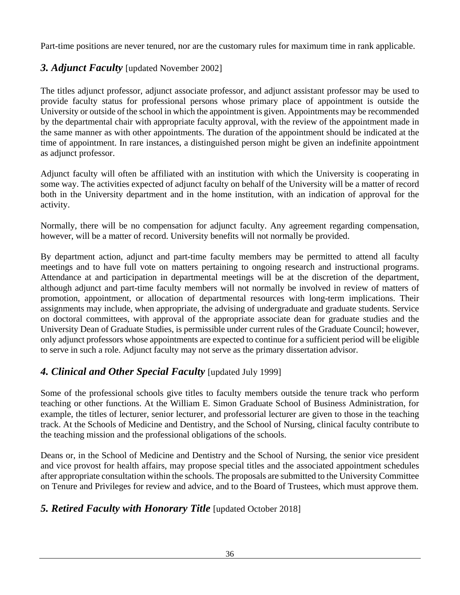Part-time positions are never tenured, nor are the customary rules for maximum time in rank applicable.

### *3. Adjunct Faculty* [updated November 2002]

The titles adjunct professor, adjunct associate professor, and adjunct assistant professor may be used to provide faculty status for professional persons whose primary place of appointment is outside the University or outside of the school in which the appointment is given. Appointments may be recommended by the departmental chair with appropriate faculty approval, with the review of the appointment made in the same manner as with other appointments. The duration of the appointment should be indicated at the time of appointment. In rare instances, a distinguished person might be given an indefinite appointment as adjunct professor.

Adjunct faculty will often be affiliated with an institution with which the University is cooperating in some way. The activities expected of adjunct faculty on behalf of the University will be a matter of record both in the University department and in the home institution, with an indication of approval for the activity.

Normally, there will be no compensation for adjunct faculty. Any agreement regarding compensation, however, will be a matter of record. University benefits will not normally be provided.

By department action, adjunct and part-time faculty members may be permitted to attend all faculty meetings and to have full vote on matters pertaining to ongoing research and instructional programs. Attendance at and participation in departmental meetings will be at the discretion of the department, although adjunct and part-time faculty members will not normally be involved in review of matters of promotion, appointment, or allocation of departmental resources with long-term implications. Their assignments may include, when appropriate, the advising of undergraduate and graduate students. Service on doctoral committees, with approval of the appropriate associate dean for graduate studies and the University Dean of Graduate Studies, is permissible under current rules of the Graduate Council; however, only adjunct professors whose appointments are expected to continue for a sufficient period will be eligible to serve in such a role. Adjunct faculty may not serve as the primary dissertation advisor.

### *4. Clinical and Other Special Faculty* [updated July 1999]

Some of the professional schools give titles to faculty members outside the tenure track who perform teaching or other functions. At the William E. Simon Graduate School of Business Administration, for example, the titles of lecturer, senior lecturer, and professorial lecturer are given to those in the teaching track. At the Schools of Medicine and Dentistry, and the School of Nursing, clinical faculty contribute to the teaching mission and the professional obligations of the schools.

Deans or, in the School of Medicine and Dentistry and the School of Nursing, the senior vice president and vice provost for health affairs, may propose special titles and the associated appointment schedules after appropriate consultation within the schools. The proposals are submitted to the University Committee on Tenure and Privileges for review and advice, and to the Board of Trustees, which must approve them.

#### *5. Retired Faculty with Honorary Title* [updated October 2018]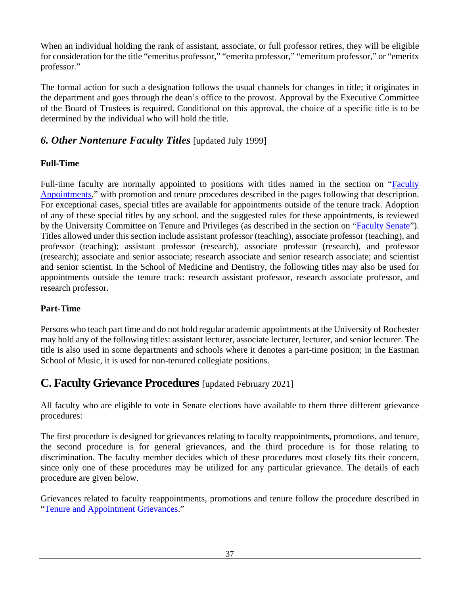When an individual holding the rank of assistant, associate, or full professor retires, they will be eligible for consideration for the title "emeritus professor," "emerita professor," "emeritum professor," or "emeritx professor."

The formal action for such a designation follows the usual channels for changes in title; it originates in the department and goes through the dean's office to the provost. Approval by the Executive Committee of the Board of Trustees is required. Conditional on this approval, the choice of a specific title is to be determined by the individual who will hold the title.

#### *6. Other Nontenure Faculty Titles* [updated July 1999]

#### **Full-Time**

Full-time faculty are normally appointed to positions with titles named in the section on ["Faculty](#page-22-0)  [Appointments,](#page-22-0)" with promotion and tenure procedures described in the pages following that description. For exceptional cases, special titles are available for appointments outside of the tenure track. Adoption of any of these special titles by any school, and the suggested rules for these appointments, is reviewed by the University Committee on Tenure and Privileges (as described in the section on ["Faculty Senate"](#page-7-0)). Titles allowed under this section include assistant professor (teaching), associate professor (teaching), and professor (teaching); assistant professor (research), associate professor (research), and professor (research); associate and senior associate; research associate and senior research associate; and scientist and senior scientist. In the School of Medicine and Dentistry, the following titles may also be used for appointments outside the tenure track: research assistant professor, research associate professor, and research professor.

#### **Part-Time**

Persons who teach part time and do not hold regular academic appointments at the University of Rochester may hold any of the following titles: assistant lecturer, associate lecturer, lecturer, and senior lecturer. The title is also used in some departments and schools where it denotes a part-time position; in the Eastman School of Music, it is used for non-tenured collegiate positions.

# **C. Faculty Grievance Procedures** [updated February 2021]

All faculty who are eligible to vote in Senate elections have available to them three different grievance procedures:

The first procedure is designed for grievances relating to faculty reappointments, promotions, and tenure, the second procedure is for general grievances, and the third procedure is for those relating to discrimination. The faculty member decides which of these procedures most closely fits their concern, since only one of these procedures may be utilized for any particular grievance. The details of each procedure are given below.

Grievances related to faculty reappointments, promotions and tenure follow the procedure described in ["Tenure and Appointment Grievances.](#page-38-0)"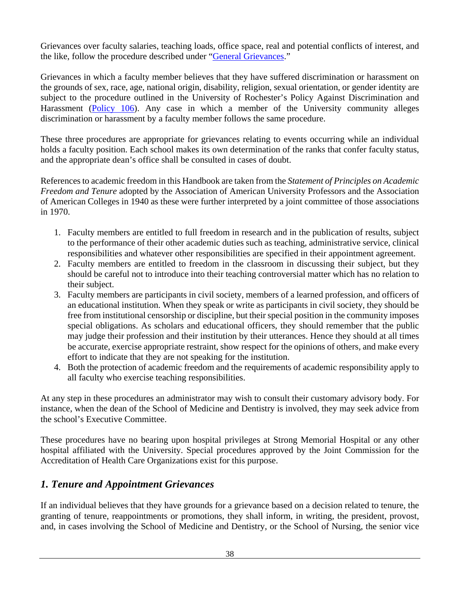<span id="page-38-0"></span>Grievances over faculty salaries, teaching loads, office space, real and potential conflicts of interest, and the like, follow the procedure described under ["General Grievances.](#page-41-0)"

Grievances in which a faculty member believes that they have suffered discrimination or harassment on the grounds of sex, race, age, national origin, disability, religion, sexual orientation, or gender identity are subject to the procedure outlined in the University of Rochester's Policy Against Discrimination and Harassment [\(Policy 106\)](https://www.rochester.edu/working/hr/policies/pdfpolicies/106.pdf). Any case in which a member of the University community alleges discrimination or harassment by a faculty member follows the same procedure.

These three procedures are appropriate for grievances relating to events occurring while an individual holds a faculty position. Each school makes its own determination of the ranks that confer faculty status, and the appropriate dean's office shall be consulted in cases of doubt.

References to academic freedom in this Handbook are taken from the *Statement of Principles on Academic Freedom and Tenure* adopted by the Association of American University Professors and the Association of American Colleges in 1940 as these were further interpreted by a joint committee of those associations in 1970.

- 1. Faculty members are entitled to full freedom in research and in the publication of results, subject to the performance of their other academic duties such as teaching, administrative service, clinical responsibilities and whatever other responsibilities are specified in their appointment agreement.
- 2. Faculty members are entitled to freedom in the classroom in discussing their subject, but they should be careful not to introduce into their teaching controversial matter which has no relation to their subject.
- 3. Faculty members are participants in civil society, members of a learned profession, and officers of an educational institution. When they speak or write as participants in civil society, they should be free from institutional censorship or discipline, but their special position in the community imposes special obligations. As scholars and educational officers, they should remember that the public may judge their profession and their institution by their utterances. Hence they should at all times be accurate, exercise appropriate restraint, show respect for the opinions of others, and make every effort to indicate that they are not speaking for the institution.
- 4. Both the protection of academic freedom and the requirements of academic responsibility apply to all faculty who exercise teaching responsibilities.

At any step in these procedures an administrator may wish to consult their customary advisory body. For instance, when the dean of the School of Medicine and Dentistry is involved, they may seek advice from the school's Executive Committee.

These procedures have no bearing upon hospital privileges at Strong Memorial Hospital or any other hospital affiliated with the University. Special procedures approved by the Joint Commission for the Accreditation of Health Care Organizations exist for this purpose.

### *1. Tenure and Appointment Grievances*

If an individual believes that they have grounds for a grievance based on a decision related to tenure, the granting of tenure, reappointments or promotions, they shall inform, in writing, the president, provost, and, in cases involving the School of Medicine and Dentistry, or the School of Nursing, the senior vice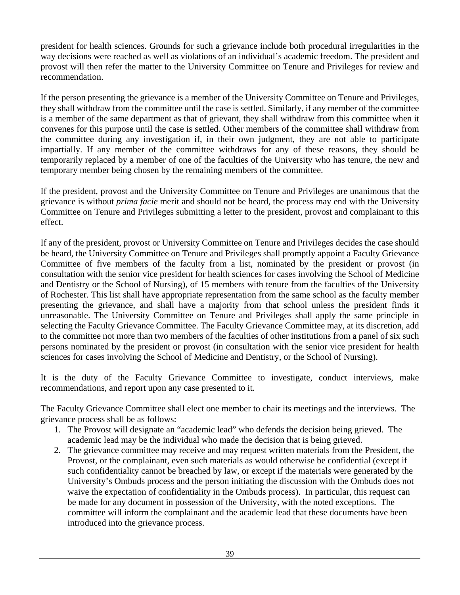president for health sciences. Grounds for such a grievance include both procedural irregularities in the way decisions were reached as well as violations of an individual's academic freedom. The president and provost will then refer the matter to the University Committee on Tenure and Privileges for review and recommendation.

If the person presenting the grievance is a member of the University Committee on Tenure and Privileges, they shall withdraw from the committee until the case is settled. Similarly, if any member of the committee is a member of the same department as that of grievant, they shall withdraw from this committee when it convenes for this purpose until the case is settled. Other members of the committee shall withdraw from the committee during any investigation if, in their own judgment, they are not able to participate impartially. If any member of the committee withdraws for any of these reasons, they should be temporarily replaced by a member of one of the faculties of the University who has tenure, the new and temporary member being chosen by the remaining members of the committee.

If the president, provost and the University Committee on Tenure and Privileges are unanimous that the grievance is without *prima facie* merit and should not be heard, the process may end with the University Committee on Tenure and Privileges submitting a letter to the president, provost and complainant to this effect.

If any of the president, provost or University Committee on Tenure and Privileges decides the case should be heard, the University Committee on Tenure and Privileges shall promptly appoint a Faculty Grievance Committee of five members of the faculty from a list, nominated by the president or provost (in consultation with the senior vice president for health sciences for cases involving the School of Medicine and Dentistry or the School of Nursing), of 15 members with tenure from the faculties of the University of Rochester. This list shall have appropriate representation from the same school as the faculty member presenting the grievance, and shall have a majority from that school unless the president finds it unreasonable. The University Committee on Tenure and Privileges shall apply the same principle in selecting the Faculty Grievance Committee. The Faculty Grievance Committee may, at its discretion, add to the committee not more than two members of the faculties of other institutions from a panel of six such persons nominated by the president or provost (in consultation with the senior vice president for health sciences for cases involving the School of Medicine and Dentistry, or the School of Nursing).

It is the duty of the Faculty Grievance Committee to investigate, conduct interviews, make recommendations, and report upon any case presented to it.

The Faculty Grievance Committee shall elect one member to chair its meetings and the interviews. The grievance process shall be as follows:

- 1. The Provost will designate an "academic lead" who defends the decision being grieved. The academic lead may be the individual who made the decision that is being grieved.
- 2. The grievance committee may receive and may request written materials from the President, the Provost, or the complainant, even such materials as would otherwise be confidential (except if such confidentiality cannot be breached by law, or except if the materials were generated by the University's Ombuds process and the person initiating the discussion with the Ombuds does not waive the expectation of confidentiality in the Ombuds process). In particular, this request can be made for any document in possession of the University, with the noted exceptions. The committee will inform the complainant and the academic lead that these documents have been introduced into the grievance process.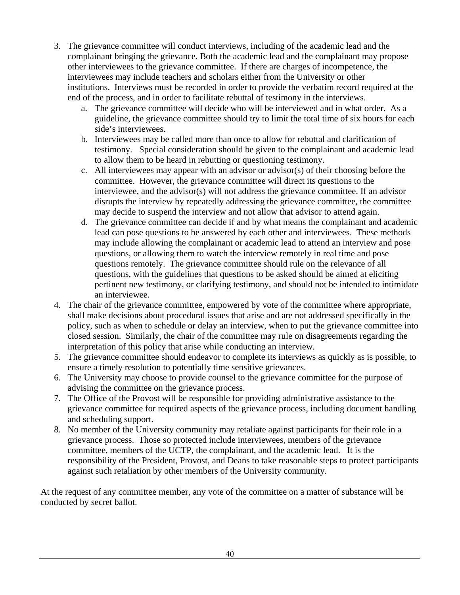- 3. The grievance committee will conduct interviews, including of the academic lead and the complainant bringing the grievance. Both the academic lead and the complainant may propose other interviewees to the grievance committee. If there are charges of incompetence, the interviewees may include teachers and scholars either from the University or other institutions. Interviews must be recorded in order to provide the verbatim record required at the end of the process, and in order to facilitate rebuttal of testimony in the interviews.
	- a. The grievance committee will decide who will be interviewed and in what order. As a guideline, the grievance committee should try to limit the total time of six hours for each side's interviewees.
	- b. Interviewees may be called more than once to allow for rebuttal and clarification of testimony. Special consideration should be given to the complainant and academic lead to allow them to be heard in rebutting or questioning testimony.
	- c. All interviewees may appear with an advisor or advisor(s) of their choosing before the committee. However, the grievance committee will direct its questions to the interviewee, and the advisor(s) will not address the grievance committee. If an advisor disrupts the interview by repeatedly addressing the grievance committee, the committee may decide to suspend the interview and not allow that advisor to attend again.
	- d. The grievance committee can decide if and by what means the complainant and academic lead can pose questions to be answered by each other and interviewees. These methods may include allowing the complainant or academic lead to attend an interview and pose questions, or allowing them to watch the interview remotely in real time and pose questions remotely. The grievance committee should rule on the relevance of all questions, with the guidelines that questions to be asked should be aimed at eliciting pertinent new testimony, or clarifying testimony, and should not be intended to intimidate an interviewee.
- 4. The chair of the grievance committee, empowered by vote of the committee where appropriate, shall make decisions about procedural issues that arise and are not addressed specifically in the policy, such as when to schedule or delay an interview, when to put the grievance committee into closed session. Similarly, the chair of the committee may rule on disagreements regarding the interpretation of this policy that arise while conducting an interview.
- 5. The grievance committee should endeavor to complete its interviews as quickly as is possible, to ensure a timely resolution to potentially time sensitive grievances.
- 6. The University may choose to provide counsel to the grievance committee for the purpose of advising the committee on the grievance process.
- 7. The Office of the Provost will be responsible for providing administrative assistance to the grievance committee for required aspects of the grievance process, including document handling and scheduling support.
- 8. No member of the University community may retaliate against participants for their role in a grievance process. Those so protected include interviewees, members of the grievance committee, members of the UCTP, the complainant, and the academic lead. It is the responsibility of the President, Provost, and Deans to take reasonable steps to protect participants against such retaliation by other members of the University community.

At the request of any committee member, any vote of the committee on a matter of substance will be conducted by secret ballot.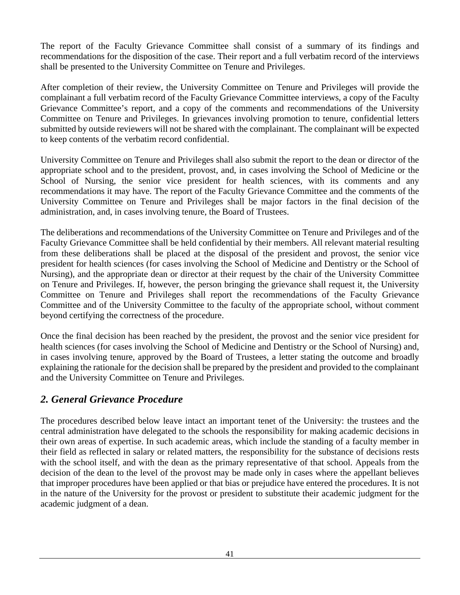The report of the Faculty Grievance Committee shall consist of a summary of its findings and recommendations for the disposition of the case. Their report and a full verbatim record of the interviews shall be presented to the University Committee on Tenure and Privileges.

After completion of their review, the University Committee on Tenure and Privileges will provide the complainant a full verbatim record of the Faculty Grievance Committee interviews, a copy of the Faculty Grievance Committee's report, and a copy of the comments and recommendations of the University Committee on Tenure and Privileges. In grievances involving promotion to tenure, confidential letters submitted by outside reviewers will not be shared with the complainant. The complainant will be expected to keep contents of the verbatim record confidential.

University Committee on Tenure and Privileges shall also submit the report to the dean or director of the appropriate school and to the president, provost, and, in cases involving the School of Medicine or the School of Nursing, the senior vice president for health sciences, with its comments and any recommendations it may have. The report of the Faculty Grievance Committee and the comments of the University Committee on Tenure and Privileges shall be major factors in the final decision of the administration, and, in cases involving tenure, the Board of Trustees.

The deliberations and recommendations of the University Committee on Tenure and Privileges and of the Faculty Grievance Committee shall be held confidential by their members. All relevant material resulting from these deliberations shall be placed at the disposal of the president and provost, the senior vice president for health sciences (for cases involving the School of Medicine and Dentistry or the School of Nursing), and the appropriate dean or director at their request by the chair of the University Committee on Tenure and Privileges. If, however, the person bringing the grievance shall request it, the University Committee on Tenure and Privileges shall report the recommendations of the Faculty Grievance Committee and of the University Committee to the faculty of the appropriate school, without comment beyond certifying the correctness of the procedure.

Once the final decision has been reached by the president, the provost and the senior vice president for health sciences (for cases involving the School of Medicine and Dentistry or the School of Nursing) and, in cases involving tenure, approved by the Board of Trustees, a letter stating the outcome and broadly explaining the rationale for the decision shall be prepared by the president and provided to the complainant and the University Committee on Tenure and Privileges.

#### <span id="page-41-0"></span>*2. General Grievance Procedure*

The procedures described below leave intact an important tenet of the University: the trustees and the central administration have delegated to the schools the responsibility for making academic decisions in their own areas of expertise. In such academic areas, which include the standing of a faculty member in their field as reflected in salary or related matters, the responsibility for the substance of decisions rests with the school itself, and with the dean as the primary representative of that school. Appeals from the decision of the dean to the level of the provost may be made only in cases where the appellant believes that improper procedures have been applied or that bias or prejudice have entered the procedures. It is not in the nature of the University for the provost or president to substitute their academic judgment for the academic judgment of a dean.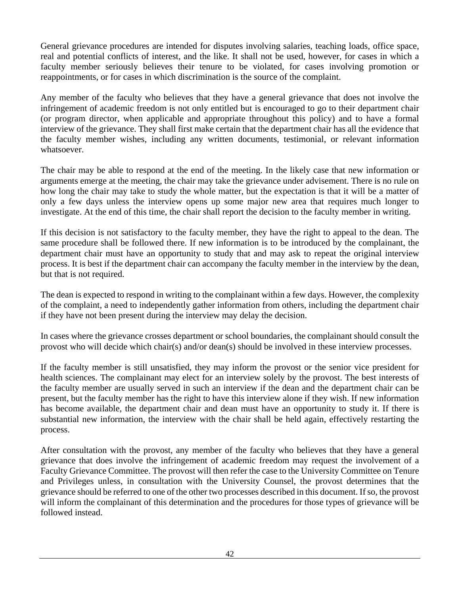General grievance procedures are intended for disputes involving salaries, teaching loads, office space, real and potential conflicts of interest, and the like. It shall not be used, however, for cases in which a faculty member seriously believes their tenure to be violated, for cases involving promotion or reappointments, or for cases in which discrimination is the source of the complaint.

Any member of the faculty who believes that they have a general grievance that does not involve the infringement of academic freedom is not only entitled but is encouraged to go to their department chair (or program director, when applicable and appropriate throughout this policy) and to have a formal interview of the grievance. They shall first make certain that the department chair has all the evidence that the faculty member wishes, including any written documents, testimonial, or relevant information whatsoever.

The chair may be able to respond at the end of the meeting. In the likely case that new information or arguments emerge at the meeting, the chair may take the grievance under advisement. There is no rule on how long the chair may take to study the whole matter, but the expectation is that it will be a matter of only a few days unless the interview opens up some major new area that requires much longer to investigate. At the end of this time, the chair shall report the decision to the faculty member in writing.

If this decision is not satisfactory to the faculty member, they have the right to appeal to the dean. The same procedure shall be followed there. If new information is to be introduced by the complainant, the department chair must have an opportunity to study that and may ask to repeat the original interview process. It is best if the department chair can accompany the faculty member in the interview by the dean, but that is not required.

The dean is expected to respond in writing to the complainant within a few days. However, the complexity of the complaint, a need to independently gather information from others, including the department chair if they have not been present during the interview may delay the decision.

In cases where the grievance crosses department or school boundaries, the complainant should consult the provost who will decide which chair(s) and/or dean(s) should be involved in these interview processes.

If the faculty member is still unsatisfied, they may inform the provost or the senior vice president for health sciences. The complainant may elect for an interview solely by the provost. The best interests of the faculty member are usually served in such an interview if the dean and the department chair can be present, but the faculty member has the right to have this interview alone if they wish. If new information has become available, the department chair and dean must have an opportunity to study it. If there is substantial new information, the interview with the chair shall be held again, effectively restarting the process.

After consultation with the provost, any member of the faculty who believes that they have a general grievance that does involve the infringement of academic freedom may request the involvement of a Faculty Grievance Committee. The provost will then refer the case to the University Committee on Tenure and Privileges unless, in consultation with the University Counsel, the provost determines that the grievance should be referred to one of the other two processes described in this document. If so, the provost will inform the complainant of this determination and the procedures for those types of grievance will be followed instead.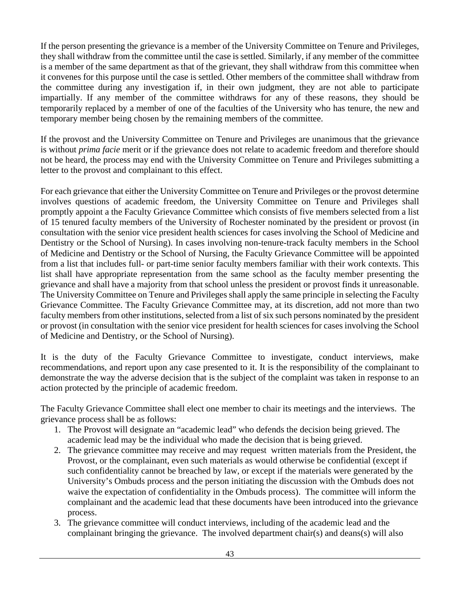If the person presenting the grievance is a member of the University Committee on Tenure and Privileges, they shall withdraw from the committee until the case is settled. Similarly, if any member of the committee is a member of the same department as that of the grievant, they shall withdraw from this committee when it convenes for this purpose until the case is settled. Other members of the committee shall withdraw from the committee during any investigation if, in their own judgment, they are not able to participate impartially. If any member of the committee withdraws for any of these reasons, they should be temporarily replaced by a member of one of the faculties of the University who has tenure, the new and temporary member being chosen by the remaining members of the committee.

If the provost and the University Committee on Tenure and Privileges are unanimous that the grievance is without *prima facie* merit or if the grievance does not relate to academic freedom and therefore should not be heard, the process may end with the University Committee on Tenure and Privileges submitting a letter to the provost and complainant to this effect.

For each grievance that either the University Committee on Tenure and Privileges or the provost determine involves questions of academic freedom, the University Committee on Tenure and Privileges shall promptly appoint a the Faculty Grievance Committee which consists of five members selected from a list of 15 tenured faculty members of the University of Rochester nominated by the president or provost (in consultation with the senior vice president health sciences for cases involving the School of Medicine and Dentistry or the School of Nursing). In cases involving non-tenure-track faculty members in the School of Medicine and Dentistry or the School of Nursing, the Faculty Grievance Committee will be appointed from a list that includes full- or part-time senior faculty members familiar with their work contexts. This list shall have appropriate representation from the same school as the faculty member presenting the grievance and shall have a majority from that school unless the president or provost finds it unreasonable. The University Committee on Tenure and Privileges shall apply the same principle in selecting the Faculty Grievance Committee. The Faculty Grievance Committee may, at its discretion, add not more than two faculty members from other institutions, selected from a list of six such persons nominated by the president or provost (in consultation with the senior vice president for health sciences for cases involving the School of Medicine and Dentistry, or the School of Nursing).

It is the duty of the Faculty Grievance Committee to investigate, conduct interviews, make recommendations, and report upon any case presented to it. It is the responsibility of the complainant to demonstrate the way the adverse decision that is the subject of the complaint was taken in response to an action protected by the principle of academic freedom.

The Faculty Grievance Committee shall elect one member to chair its meetings and the interviews. The grievance process shall be as follows:

- 1. The Provost will designate an "academic lead" who defends the decision being grieved. The academic lead may be the individual who made the decision that is being grieved.
- 2. The grievance committee may receive and may request written materials from the President, the Provost, or the complainant, even such materials as would otherwise be confidential (except if such confidentiality cannot be breached by law, or except if the materials were generated by the University's Ombuds process and the person initiating the discussion with the Ombuds does not waive the expectation of confidentiality in the Ombuds process). The committee will inform the complainant and the academic lead that these documents have been introduced into the grievance process.
- 3. The grievance committee will conduct interviews, including of the academic lead and the complainant bringing the grievance. The involved department chair(s) and deans(s) will also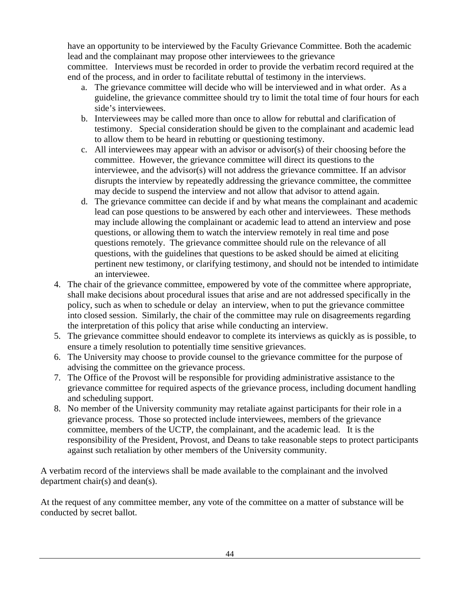have an opportunity to be interviewed by the Faculty Grievance Committee. Both the academic lead and the complainant may propose other interviewees to the grievance committee. Interviews must be recorded in order to provide the verbatim record required at the end of the process, and in order to facilitate rebuttal of testimony in the interviews.

- a. The grievance committee will decide who will be interviewed and in what order. As a guideline, the grievance committee should try to limit the total time of four hours for each side's interviewees.
- b. Interviewees may be called more than once to allow for rebuttal and clarification of testimony. Special consideration should be given to the complainant and academic lead to allow them to be heard in rebutting or questioning testimony.
- c. All interviewees may appear with an advisor or advisor(s) of their choosing before the committee. However, the grievance committee will direct its questions to the interviewee, and the advisor(s) will not address the grievance committee. If an advisor disrupts the interview by repeatedly addressing the grievance committee, the committee may decide to suspend the interview and not allow that advisor to attend again.
- d. The grievance committee can decide if and by what means the complainant and academic lead can pose questions to be answered by each other and interviewees. These methods may include allowing the complainant or academic lead to attend an interview and pose questions, or allowing them to watch the interview remotely in real time and pose questions remotely. The grievance committee should rule on the relevance of all questions, with the guidelines that questions to be asked should be aimed at eliciting pertinent new testimony, or clarifying testimony, and should not be intended to intimidate an interviewee.
- 4. The chair of the grievance committee, empowered by vote of the committee where appropriate, shall make decisions about procedural issues that arise and are not addressed specifically in the policy, such as when to schedule or delay an interview, when to put the grievance committee into closed session. Similarly, the chair of the committee may rule on disagreements regarding the interpretation of this policy that arise while conducting an interview.
- 5. The grievance committee should endeavor to complete its interviews as quickly as is possible, to ensure a timely resolution to potentially time sensitive grievances.
- 6. The University may choose to provide counsel to the grievance committee for the purpose of advising the committee on the grievance process.
- 7. The Office of the Provost will be responsible for providing administrative assistance to the grievance committee for required aspects of the grievance process, including document handling and scheduling support.
- 8. No member of the University community may retaliate against participants for their role in a grievance process. Those so protected include interviewees, members of the grievance committee, members of the UCTP, the complainant, and the academic lead. It is the responsibility of the President, Provost, and Deans to take reasonable steps to protect participants against such retaliation by other members of the University community.

A verbatim record of the interviews shall be made available to the complainant and the involved department chair(s) and dean(s).

At the request of any committee member, any vote of the committee on a matter of substance will be conducted by secret ballot.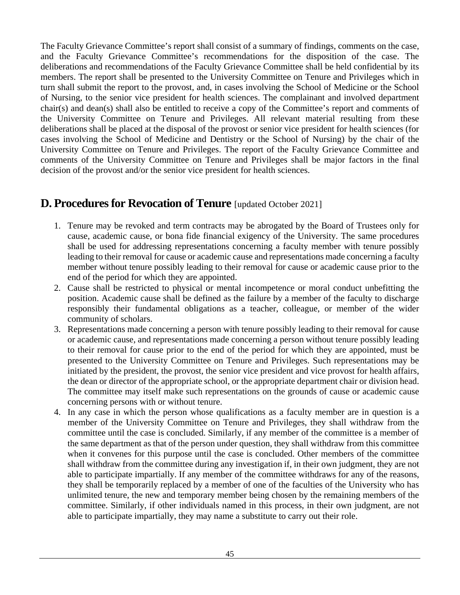The Faculty Grievance Committee's report shall consist of a summary of findings, comments on the case, and the Faculty Grievance Committee's recommendations for the disposition of the case. The deliberations and recommendations of the Faculty Grievance Committee shall be held confidential by its members. The report shall be presented to the University Committee on Tenure and Privileges which in turn shall submit the report to the provost, and, in cases involving the School of Medicine or the School of Nursing, to the senior vice president for health sciences. The complainant and involved department chair(s) and dean(s) shall also be entitled to receive a copy of the Committee's report and comments of the University Committee on Tenure and Privileges. All relevant material resulting from these deliberations shall be placed at the disposal of the provost or senior vice president for health sciences (for cases involving the School of Medicine and Dentistry or the School of Nursing) by the chair of the University Committee on Tenure and Privileges. The report of the Faculty Grievance Committee and comments of the University Committee on Tenure and Privileges shall be major factors in the final decision of the provost and/or the senior vice president for health sciences.

## **D. Procedures for Revocation of Tenure** [updated October 2021]

- 1. Tenure may be revoked and term contracts may be abrogated by the Board of Trustees only for cause, academic cause, or bona fide financial exigency of the University. The same procedures shall be used for addressing representations concerning a faculty member with tenure possibly leading to their removal for cause or academic cause and representations made concerning a faculty member without tenure possibly leading to their removal for cause or academic cause prior to the end of the period for which they are appointed.
- 2. Cause shall be restricted to physical or mental incompetence or moral conduct unbefitting the position. Academic cause shall be defined as the failure by a member of the faculty to discharge responsibly their fundamental obligations as a teacher, colleague, or member of the wider community of scholars.
- 3. Representations made concerning a person with tenure possibly leading to their removal for cause or academic cause, and representations made concerning a person without tenure possibly leading to their removal for cause prior to the end of the period for which they are appointed, must be presented to the University Committee on Tenure and Privileges. Such representations may be initiated by the president, the provost, the senior vice president and vice provost for health affairs, the dean or director of the appropriate school, or the appropriate department chair or division head. The committee may itself make such representations on the grounds of cause or academic cause concerning persons with or without tenure.
- 4. In any case in which the person whose qualifications as a faculty member are in question is a member of the University Committee on Tenure and Privileges, they shall withdraw from the committee until the case is concluded. Similarly, if any member of the committee is a member of the same department as that of the person under question, they shall withdraw from this committee when it convenes for this purpose until the case is concluded. Other members of the committee shall withdraw from the committee during any investigation if, in their own judgment, they are not able to participate impartially. If any member of the committee withdraws for any of the reasons, they shall be temporarily replaced by a member of one of the faculties of the University who has unlimited tenure, the new and temporary member being chosen by the remaining members of the committee. Similarly, if other individuals named in this process, in their own judgment, are not able to participate impartially, they may name a substitute to carry out their role.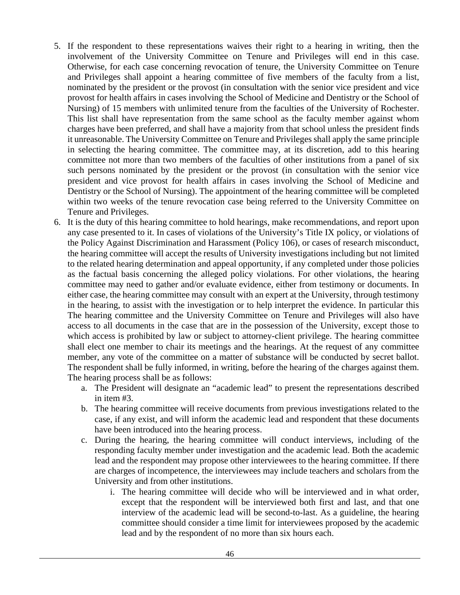- 5. If the respondent to these representations waives their right to a hearing in writing, then the involvement of the University Committee on Tenure and Privileges will end in this case. Otherwise, for each case concerning revocation of tenure, the University Committee on Tenure and Privileges shall appoint a hearing committee of five members of the faculty from a list, nominated by the president or the provost (in consultation with the senior vice president and vice provost for health affairs in cases involving the School of Medicine and Dentistry or the School of Nursing) of 15 members with unlimited tenure from the faculties of the University of Rochester. This list shall have representation from the same school as the faculty member against whom charges have been preferred, and shall have a majority from that school unless the president finds it unreasonable. The University Committee on Tenure and Privileges shall apply the same principle in selecting the hearing committee. The committee may, at its discretion, add to this hearing committee not more than two members of the faculties of other institutions from a panel of six such persons nominated by the president or the provost (in consultation with the senior vice president and vice provost for health affairs in cases involving the School of Medicine and Dentistry or the School of Nursing). The appointment of the hearing committee will be completed within two weeks of the tenure revocation case being referred to the University Committee on Tenure and Privileges.
- 6. It is the duty of this hearing committee to hold hearings, make recommendations, and report upon any case presented to it. In cases of violations of the University's Title IX policy, or violations of the Policy Against Discrimination and Harassment (Policy 106), or cases of research misconduct, the hearing committee will accept the results of University investigations including but not limited to the related hearing determination and appeal opportunity, if any completed under those policies as the factual basis concerning the alleged policy violations. For other violations, the hearing committee may need to gather and/or evaluate evidence, either from testimony or documents. In either case, the hearing committee may consult with an expert at the University, through testimony in the hearing, to assist with the investigation or to help interpret the evidence. In particular this The hearing committee and the University Committee on Tenure and Privileges will also have access to all documents in the case that are in the possession of the University, except those to which access is prohibited by law or subject to attorney-client privilege. The hearing committee shall elect one member to chair its meetings and the hearings. At the request of any committee member, any vote of the committee on a matter of substance will be conducted by secret ballot. The respondent shall be fully informed, in writing, before the hearing of the charges against them. The hearing process shall be as follows:
	- a. The President will designate an "academic lead" to present the representations described in item #3.
	- b. The hearing committee will receive documents from previous investigations related to the case, if any exist, and will inform the academic lead and respondent that these documents have been introduced into the hearing process.
	- c. During the hearing, the hearing committee will conduct interviews, including of the responding faculty member under investigation and the academic lead. Both the academic lead and the respondent may propose other interviewees to the hearing committee. If there are charges of incompetence, the interviewees may include teachers and scholars from the University and from other institutions.
		- i. The hearing committee will decide who will be interviewed and in what order, except that the respondent will be interviewed both first and last, and that one interview of the academic lead will be second-to-last. As a guideline, the hearing committee should consider a time limit for interviewees proposed by the academic lead and by the respondent of no more than six hours each.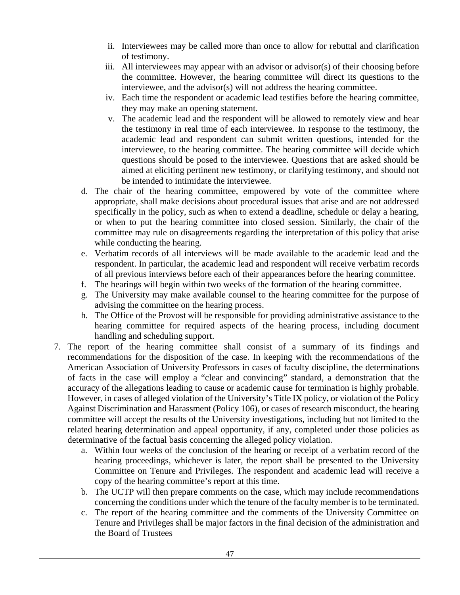- ii. Interviewees may be called more than once to allow for rebuttal and clarification of testimony.
- iii. All interviewees may appear with an advisor or advisor(s) of their choosing before the committee. However, the hearing committee will direct its questions to the interviewee, and the advisor(s) will not address the hearing committee.
- iv. Each time the respondent or academic lead testifies before the hearing committee, they may make an opening statement.
- v. The academic lead and the respondent will be allowed to remotely view and hear the testimony in real time of each interviewee. In response to the testimony, the academic lead and respondent can submit written questions, intended for the interviewee, to the hearing committee. The hearing committee will decide which questions should be posed to the interviewee. Questions that are asked should be aimed at eliciting pertinent new testimony, or clarifying testimony, and should not be intended to intimidate the interviewee.
- d. The chair of the hearing committee, empowered by vote of the committee where appropriate, shall make decisions about procedural issues that arise and are not addressed specifically in the policy, such as when to extend a deadline, schedule or delay a hearing, or when to put the hearing committee into closed session. Similarly, the chair of the committee may rule on disagreements regarding the interpretation of this policy that arise while conducting the hearing.
- e. Verbatim records of all interviews will be made available to the academic lead and the respondent. In particular, the academic lead and respondent will receive verbatim records of all previous interviews before each of their appearances before the hearing committee.
- f. The hearings will begin within two weeks of the formation of the hearing committee.
- g. The University may make available counsel to the hearing committee for the purpose of advising the committee on the hearing process.
- h. The Office of the Provost will be responsible for providing administrative assistance to the hearing committee for required aspects of the hearing process, including document handling and scheduling support.
- 7. The report of the hearing committee shall consist of a summary of its findings and recommendations for the disposition of the case. In keeping with the recommendations of the American Association of University Professors in cases of faculty discipline, the determinations of facts in the case will employ a "clear and convincing" standard, a demonstration that the accuracy of the allegations leading to cause or academic cause for termination is highly probable. However, in cases of alleged violation of the University's Title IX policy, or violation of the Policy Against Discrimination and Harassment (Policy 106), or cases of research misconduct, the hearing committee will accept the results of the University investigations, including but not limited to the related hearing determination and appeal opportunity, if any, completed under those policies as determinative of the factual basis concerning the alleged policy violation.
	- a. Within four weeks of the conclusion of the hearing or receipt of a verbatim record of the hearing proceedings, whichever is later, the report shall be presented to the University Committee on Tenure and Privileges. The respondent and academic lead will receive a copy of the hearing committee's report at this time.
	- b. The UCTP will then prepare comments on the case, which may include recommendations concerning the conditions under which the tenure of the faculty member is to be terminated.
	- c. The report of the hearing committee and the comments of the University Committee on Tenure and Privileges shall be major factors in the final decision of the administration and the Board of Trustees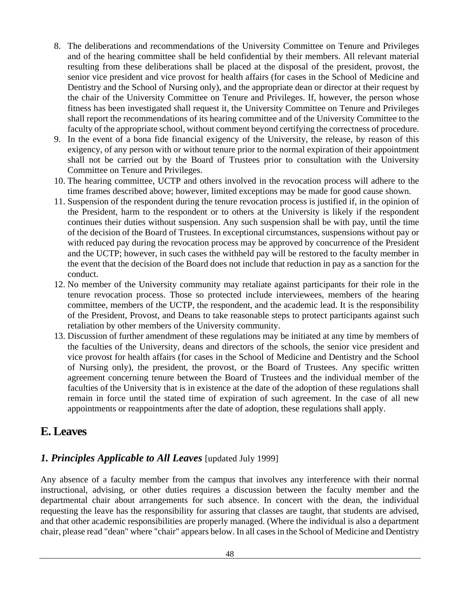- 8. The deliberations and recommendations of the University Committee on Tenure and Privileges and of the hearing committee shall be held confidential by their members. All relevant material resulting from these deliberations shall be placed at the disposal of the president, provost, the senior vice president and vice provost for health affairs (for cases in the School of Medicine and Dentistry and the School of Nursing only), and the appropriate dean or director at their request by the chair of the University Committee on Tenure and Privileges. If, however, the person whose fitness has been investigated shall request it, the University Committee on Tenure and Privileges shall report the recommendations of its hearing committee and of the University Committee to the faculty of the appropriate school, without comment beyond certifying the correctness of procedure.
- 9. In the event of a bona fide financial exigency of the University, the release, by reason of this exigency, of any person with or without tenure prior to the normal expiration of their appointment shall not be carried out by the Board of Trustees prior to consultation with the University Committee on Tenure and Privileges.
- 10. The hearing committee, UCTP and others involved in the revocation process will adhere to the time frames described above; however, limited exceptions may be made for good cause shown.
- 11. Suspension of the respondent during the tenure revocation process is justified if, in the opinion of the President, harm to the respondent or to others at the University is likely if the respondent continues their duties without suspension. Any such suspension shall be with pay, until the time of the decision of the Board of Trustees. In exceptional circumstances, suspensions without pay or with reduced pay during the revocation process may be approved by concurrence of the President and the UCTP; however, in such cases the withheld pay will be restored to the faculty member in the event that the decision of the Board does not include that reduction in pay as a sanction for the conduct.
- 12. No member of the University community may retaliate against participants for their role in the tenure revocation process. Those so protected include interviewees, members of the hearing committee, members of the UCTP, the respondent, and the academic lead. It is the responsibility of the President, Provost, and Deans to take reasonable steps to protect participants against such retaliation by other members of the University community.
- 13. Discussion of further amendment of these regulations may be initiated at any time by members of the faculties of the University, deans and directors of the schools, the senior vice president and vice provost for health affairs (for cases in the School of Medicine and Dentistry and the School of Nursing only), the president, the provost, or the Board of Trustees. Any specific written agreement concerning tenure between the Board of Trustees and the individual member of the faculties of the University that is in existence at the date of the adoption of these regulations shall remain in force until the stated time of expiration of such agreement. In the case of all new appointments or reappointments after the date of adoption, these regulations shall apply.

## <span id="page-48-0"></span>**E. Leaves**

#### *1. Principles Applicable to All Leaves* [updated July 1999]

Any absence of a faculty member from the campus that involves any interference with their normal instructional, advising, or other duties requires a discussion between the faculty member and the departmental chair about arrangements for such absence. In concert with the dean, the individual requesting the leave has the responsibility for assuring that classes are taught, that students are advised, and that other academic responsibilities are properly managed. (Where the individual is also a department chair, please read "dean" where "chair" appears below. In all cases in the School of Medicine and Dentistry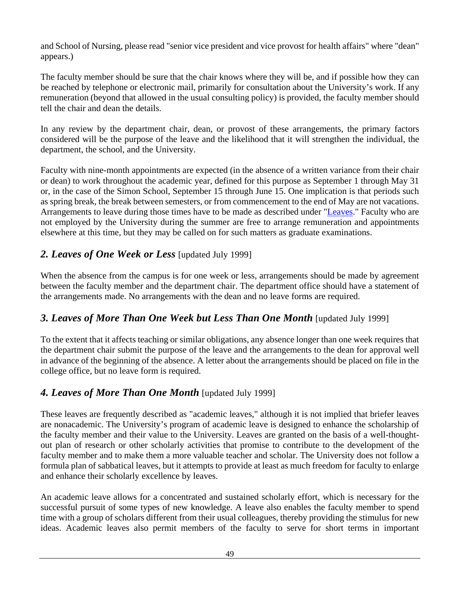and School of Nursing, please read "senior vice president and vice provost for health affairs" where "dean" appears.)

The faculty member should be sure that the chair knows where they will be, and if possible how they can be reached by telephone or electronic mail, primarily for consultation about the University's work. If any remuneration (beyond that allowed in the usual consulting policy) is provided, the faculty member should tell the chair and dean the details.

In any review by the department chair, dean, or provost of these arrangements, the primary factors considered will be the purpose of the leave and the likelihood that it will strengthen the individual, the department, the school, and the University.

Faculty with nine-month appointments are expected (in the absence of a written variance from their chair or dean) to work throughout the academic year, defined for this purpose as September 1 through May 31 or, in the case of the Simon School, September 15 through June 15. One implication is that periods such as spring break, the break between semesters, or from commencement to the end of May are not vacations. Arrangements to leave during those times have to be made as described under ["Leaves.](#page-48-0)" Faculty who are not employed by the University during the summer are free to arrange remuneration and appointments elsewhere at this time, but they may be called on for such matters as graduate examinations.

#### *2. Leaves of One Week or Less* [updated July 1999]

When the absence from the campus is for one week or less, arrangements should be made by agreement between the faculty member and the department chair. The department office should have a statement of the arrangements made. No arrangements with the dean and no leave forms are required.

#### *3. Leaves of More Than One Week but Less Than One Month* [updated July 1999]

To the extent that it affects teaching or similar obligations, any absence longer than one week requires that the department chair submit the purpose of the leave and the arrangements to the dean for approval well in advance of the beginning of the absence. A letter about the arrangements should be placed on file in the college office, but no leave form is required.

#### *4. Leaves of More Than One Month* [updated July 1999]

These leaves are frequently described as "academic leaves," although it is not implied that briefer leaves are nonacademic. The University's program of academic leave is designed to enhance the scholarship of the faculty member and their value to the University. Leaves are granted on the basis of a well-thoughtout plan of research or other scholarly activities that promise to contribute to the development of the faculty member and to make them a more valuable teacher and scholar. The University does not follow a formula plan of sabbatical leaves, but it attempts to provide at least as much freedom for faculty to enlarge and enhance their scholarly excellence by leaves.

An academic leave allows for a concentrated and sustained scholarly effort, which is necessary for the successful pursuit of some types of new knowledge. A leave also enables the faculty member to spend time with a group of scholars different from their usual colleagues, thereby providing the stimulus for new ideas. Academic leaves also permit members of the faculty to serve for short terms in important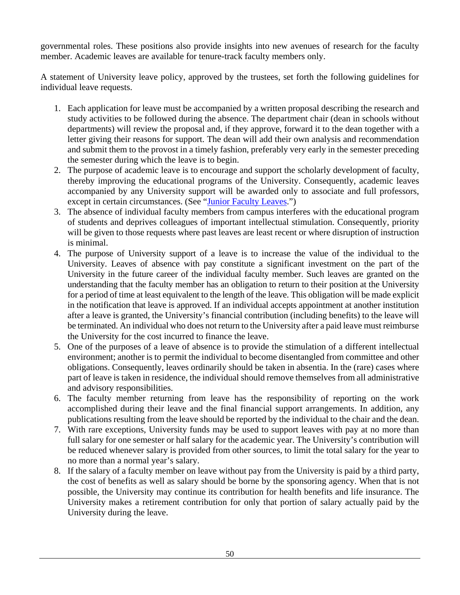governmental roles. These positions also provide insights into new avenues of research for the faculty member. Academic leaves are available for tenure-track faculty members only.

A statement of University leave policy, approved by the trustees, set forth the following guidelines for individual leave requests.

- 1. Each application for leave must be accompanied by a written proposal describing the research and study activities to be followed during the absence. The department chair (dean in schools without departments) will review the proposal and, if they approve, forward it to the dean together with a letter giving their reasons for support. The dean will add their own analysis and recommendation and submit them to the provost in a timely fashion, preferably very early in the semester preceding the semester during which the leave is to begin.
- 2. The purpose of academic leave is to encourage and support the scholarly development of faculty, thereby improving the educational programs of the University. Consequently, academic leaves accompanied by any University support will be awarded only to associate and full professors, except in certain circumstances. (See ["Junior Faculty Leaves.](#page-51-0)")
- 3. The absence of individual faculty members from campus interferes with the educational program of students and deprives colleagues of important intellectual stimulation. Consequently, priority will be given to those requests where past leaves are least recent or where disruption of instruction is minimal.
- 4. The purpose of University support of a leave is to increase the value of the individual to the University. Leaves of absence with pay constitute a significant investment on the part of the University in the future career of the individual faculty member. Such leaves are granted on the understanding that the faculty member has an obligation to return to their position at the University for a period of time at least equivalent to the length of the leave. This obligation will be made explicit in the notification that leave is approved. If an individual accepts appointment at another institution after a leave is granted, the University's financial contribution (including benefits) to the leave will be terminated. An individual who does not return to the University after a paid leave must reimburse the University for the cost incurred to finance the leave.
- 5. One of the purposes of a leave of absence is to provide the stimulation of a different intellectual environment; another is to permit the individual to become disentangled from committee and other obligations. Consequently, leaves ordinarily should be taken in absentia. In the (rare) cases where part of leave is taken in residence, the individual should remove themselves from all administrative and advisory responsibilities.
- 6. The faculty member returning from leave has the responsibility of reporting on the work accomplished during their leave and the final financial support arrangements. In addition, any publications resulting from the leave should be reported by the individual to the chair and the dean.
- 7. With rare exceptions, University funds may be used to support leaves with pay at no more than full salary for one semester or half salary for the academic year. The University's contribution will be reduced whenever salary is provided from other sources, to limit the total salary for the year to no more than a normal year's salary.
- 8. If the salary of a faculty member on leave without pay from the University is paid by a third party, the cost of benefits as well as salary should be borne by the sponsoring agency. When that is not possible, the University may continue its contribution for health benefits and life insurance. The University makes a retirement contribution for only that portion of salary actually paid by the University during the leave.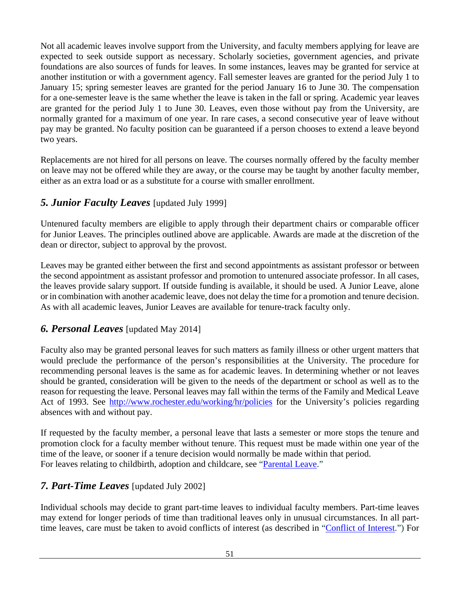Not all academic leaves involve support from the University, and faculty members applying for leave are expected to seek outside support as necessary. Scholarly societies, government agencies, and private foundations are also sources of funds for leaves. In some instances, leaves may be granted for service at another institution or with a government agency. Fall semester leaves are granted for the period July 1 to January 15; spring semester leaves are granted for the period January 16 to June 30. The compensation for a one-semester leave is the same whether the leave is taken in the fall or spring. Academic year leaves are granted for the period July 1 to June 30. Leaves, even those without pay from the University, are normally granted for a maximum of one year. In rare cases, a second consecutive year of leave without pay may be granted. No faculty position can be guaranteed if a person chooses to extend a leave beyond two years.

Replacements are not hired for all persons on leave. The courses normally offered by the faculty member on leave may not be offered while they are away, or the course may be taught by another faculty member, either as an extra load or as a substitute for a course with smaller enrollment.

#### <span id="page-51-0"></span>*5. Junior Faculty Leaves* [updated July 1999]

Untenured faculty members are eligible to apply through their department chairs or comparable officer for Junior Leaves. The principles outlined above are applicable. Awards are made at the discretion of the dean or director, subject to approval by the provost.

Leaves may be granted either between the first and second appointments as assistant professor or between the second appointment as assistant professor and promotion to untenured associate professor. In all cases, the leaves provide salary support. If outside funding is available, it should be used. A Junior Leave, alone or in combination with another academic leave, does not delay the time for a promotion and tenure decision. As with all academic leaves, Junior Leaves are available for tenure-track faculty only.

#### *6. Personal Leaves* [updated May 2014]

Faculty also may be granted personal leaves for such matters as family illness or other urgent matters that would preclude the performance of the person's responsibilities at the University. The procedure for recommending personal leaves is the same as for academic leaves. In determining whether or not leaves should be granted, consideration will be given to the needs of the department or school as well as to the reason for requesting the leave. Personal leaves may fall within the terms of the Family and Medical Leave Act of 1993. See<http://www.rochester.edu/working/hr/policies> for the University's policies regarding absences with and without pay.

If requested by the faculty member, a personal leave that lasts a semester or more stops the tenure and promotion clock for a faculty member without tenure. This request must be made within one year of the time of the leave, or sooner if a tenure decision would normally be made within that period. For leaves relating to childbirth, adoption and childcare, see ["Parental Leave.](#page-66-0)"

#### <span id="page-51-1"></span>*7. Part-Time Leaves* [updated July 2002]

Individual schools may decide to grant part-time leaves to individual faculty members. Part-time leaves may extend for longer periods of time than traditional leaves only in unusual circumstances. In all parttime leaves, care must be taken to avoid conflicts of interest (as described in ["Conflict of Interest.](#page-52-0)") For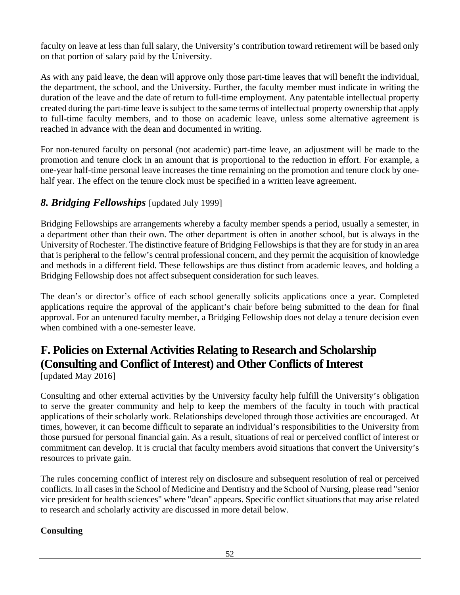faculty on leave at less than full salary, the University's contribution toward retirement will be based only on that portion of salary paid by the University.

As with any paid leave, the dean will approve only those part-time leaves that will benefit the individual, the department, the school, and the University. Further, the faculty member must indicate in writing the duration of the leave and the date of return to full-time employment. Any patentable intellectual property created during the part-time leave is subject to the same terms of intellectual property ownership that apply to full-time faculty members, and to those on academic leave, unless some alternative agreement is reached in advance with the dean and documented in writing.

For non-tenured faculty on personal (not academic) part-time leave, an adjustment will be made to the promotion and tenure clock in an amount that is proportional to the reduction in effort. For example, a one-year half-time personal leave increases the time remaining on the promotion and tenure clock by onehalf year. The effect on the tenure clock must be specified in a written leave agreement.

#### *8. Bridging Fellowships* [updated July 1999]

Bridging Fellowships are arrangements whereby a faculty member spends a period, usually a semester, in a department other than their own. The other department is often in another school, but is always in the University of Rochester. The distinctive feature of Bridging Fellowships is that they are for study in an area that is peripheral to the fellow's central professional concern, and they permit the acquisition of knowledge and methods in a different field. These fellowships are thus distinct from academic leaves, and holding a Bridging Fellowship does not affect subsequent consideration for such leaves.

The dean's or director's office of each school generally solicits applications once a year. Completed applications require the approval of the applicant's chair before being submitted to the dean for final approval. For an untenured faculty member, a Bridging Fellowship does not delay a tenure decision even when combined with a one-semester leave.

# <span id="page-52-0"></span>**F. Policies on External Activities Relating to Research and Scholarship (Consulting and Conflict of Interest) and Other Conflicts of Interest**

[updated May 2016]

Consulting and other external activities by the University faculty help fulfill the University's obligation to serve the greater community and help to keep the members of the faculty in touch with practical applications of their scholarly work. Relationships developed through those activities are encouraged. At times, however, it can become difficult to separate an individual's responsibilities to the University from those pursued for personal financial gain. As a result, situations of real or perceived conflict of interest or commitment can develop. It is crucial that faculty members avoid situations that convert the University's resources to private gain.

The rules concerning conflict of interest rely on disclosure and subsequent resolution of real or perceived conflicts. In all cases in the School of Medicine and Dentistry and the School of Nursing, please read "senior vice president for health sciences" where "dean" appears. Specific conflict situations that may arise related to research and scholarly activity are discussed in more detail below.

#### **Consulting**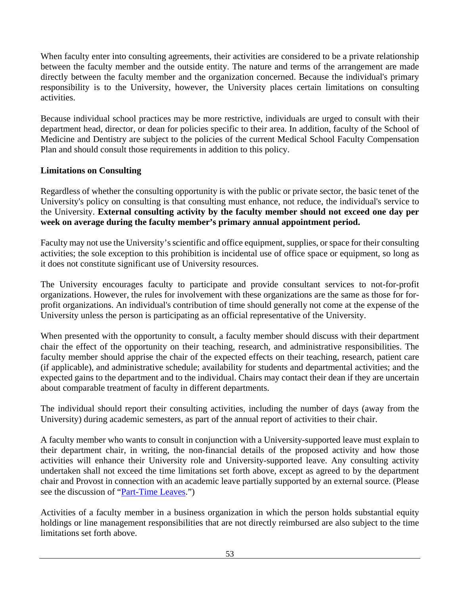When faculty enter into consulting agreements, their activities are considered to be a private relationship between the faculty member and the outside entity. The nature and terms of the arrangement are made directly between the faculty member and the organization concerned. Because the individual's primary responsibility is to the University, however, the University places certain limitations on consulting activities.

Because individual school practices may be more restrictive, individuals are urged to consult with their department head, director, or dean for policies specific to their area. In addition, faculty of the School of Medicine and Dentistry are subject to the policies of the current Medical School Faculty Compensation Plan and should consult those requirements in addition to this policy.

#### **Limitations on Consulting**

Regardless of whether the consulting opportunity is with the public or private sector, the basic tenet of the University's policy on consulting is that consulting must enhance, not reduce, the individual's service to the University. **External consulting activity by the faculty member should not exceed one day per week on average during the faculty member's primary annual appointment period.**

Faculty may not use the University's scientific and office equipment, supplies, or space for their consulting activities; the sole exception to this prohibition is incidental use of office space or equipment, so long as it does not constitute significant use of University resources.

The University encourages faculty to participate and provide consultant services to not-for-profit organizations. However, the rules for involvement with these organizations are the same as those for forprofit organizations. An individual's contribution of time should generally not come at the expense of the University unless the person is participating as an official representative of the University.

When presented with the opportunity to consult, a faculty member should discuss with their department chair the effect of the opportunity on their teaching, research, and administrative responsibilities. The faculty member should apprise the chair of the expected effects on their teaching, research, patient care (if applicable), and administrative schedule; availability for students and departmental activities; and the expected gains to the department and to the individual. Chairs may contact their dean if they are uncertain about comparable treatment of faculty in different departments.

The individual should report their consulting activities, including the number of days (away from the University) during academic semesters, as part of the annual report of activities to their chair.

A faculty member who wants to consult in conjunction with a University-supported leave must explain to their department chair, in writing, the non-financial details of the proposed activity and how those activities will enhance their University role and University-supported leave. Any consulting activity undertaken shall not exceed the time limitations set forth above, except as agreed to by the department chair and Provost in connection with an academic leave partially supported by an external source. (Please see the discussion of ["Part-Time Leaves.](#page-51-1)")

Activities of a faculty member in a business organization in which the person holds substantial equity holdings or line management responsibilities that are not directly reimbursed are also subject to the time limitations set forth above.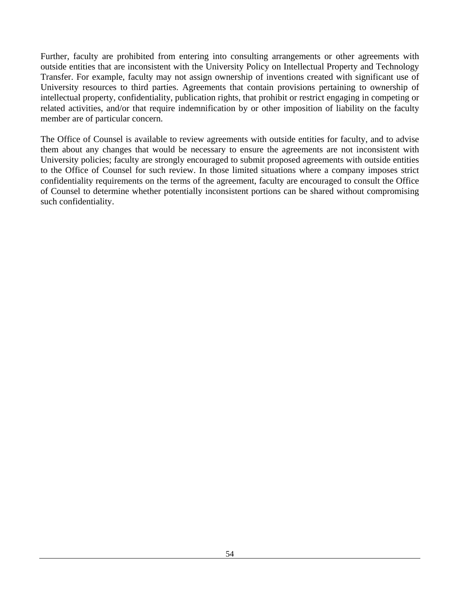Further, faculty are prohibited from entering into consulting arrangements or other agreements with outside entities that are inconsistent with the University Policy on Intellectual Property and Technology Transfer. For example, faculty may not assign ownership of inventions created with significant use of University resources to third parties. Agreements that contain provisions pertaining to ownership of intellectual property, confidentiality, publication rights, that prohibit or restrict engaging in competing or related activities, and/or that require indemnification by or other imposition of liability on the faculty member are of particular concern.

The Office of Counsel is available to review agreements with outside entities for faculty, and to advise them about any changes that would be necessary to ensure the agreements are not inconsistent with University policies; faculty are strongly encouraged to submit proposed agreements with outside entities to the Office of Counsel for such review. In those limited situations where a company imposes strict confidentiality requirements on the terms of the agreement, faculty are encouraged to consult the Office of Counsel to determine whether potentially inconsistent portions can be shared without compromising such confidentiality.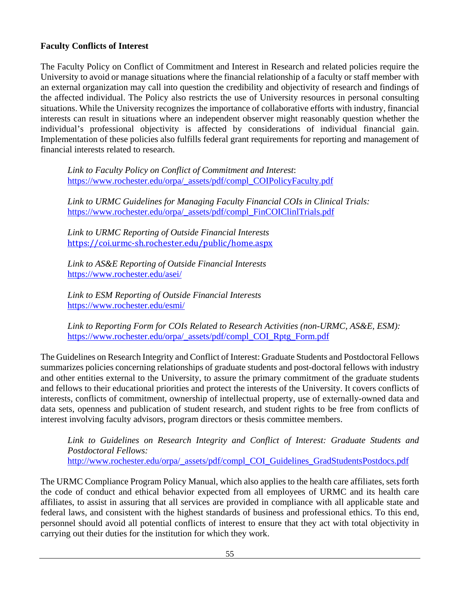#### **Faculty Conflicts of Interest**

The Faculty Policy on Conflict of Commitment and Interest in Research and related policies require the University to avoid or manage situations where the financial relationship of a faculty or staff member with an external organization may call into question the credibility and objectivity of research and findings of the affected individual. The Policy also restricts the use of University resources in personal consulting situations. While the University recognizes the importance of collaborative efforts with industry, financial interests can result in situations where an independent observer might reasonably question whether the individual's professional objectivity is affected by considerations of individual financial gain. Implementation of these policies also fulfills federal grant requirements for reporting and management of financial interests related to research.

*Link to Faculty Policy on Conflict of Commitment and Interest*: [https://www.rochester.edu/orpa/\\_assets/pdf/compl\\_COIPolicyFaculty.pdf](https://www.rochester.edu/orpa/_assets/pdf/compl_COIPolicyFaculty.pdf)

*Link to URMC Guidelines for Managing Faculty Financial COIs in Clinical Trials:* [https://www.rochester.edu/orpa/\\_assets/pdf/compl\\_FinCOIClinlTrials.pdf](https://www.rochester.edu/orpa/_assets/pdf/compl_FinCOIClinlTrials.pdf)

*Link to URMC Reporting of Outside Financial Interests* <https://coi.urmc-sh.rochester.edu/public/home.aspx>

*Link to AS&E Reporting of Outside Financial Interests* <https://www.rochester.edu/asei/>

*Link to ESM Reporting of Outside Financial Interests* <https://www.rochester.edu/esmi/>

*Link to Reporting Form for COIs Related to Research Activities (non-URMC, AS&E, ESM):* [https://www.rochester.edu/orpa/\\_assets/pdf/compl\\_COI\\_Rptg\\_Form.pdf](https://www.rochester.edu/orpa/_assets/pdf/compl_COI_Rptg_Form.pdf)

The Guidelines on Research Integrity and Conflict of Interest: Graduate Students and Postdoctoral Fellows summarizes policies concerning relationships of graduate students and post-doctoral fellows with industry and other entities external to the University, to assure the primary commitment of the graduate students and fellows to their educational priorities and protect the interests of the University. It covers conflicts of interests, conflicts of commitment, ownership of intellectual property, use of externally-owned data and data sets, openness and publication of student research, and student rights to be free from conflicts of interest involving faculty advisors, program directors or thesis committee members.

*Link to Guidelines on Research Integrity and Conflict of Interest: Graduate Students and Postdoctoral Fellows:* [http://www.rochester.edu/orpa/\\_assets/pdf/compl\\_COI\\_Guidelines\\_GradStudentsPostdocs.pdf](http://www.rochester.edu/orpa/_assets/pdf/compl_COI_Guidelines_GradStudentsPostdocs.pdf)

The URMC Compliance Program Policy Manual, which also applies to the health care affiliates, sets forth the code of conduct and ethical behavior expected from all employees of URMC and its health care affiliates, to assist in assuring that all services are provided in compliance with all applicable state and federal laws, and consistent with the highest standards of business and professional ethics. To this end, personnel should avoid all potential conflicts of interest to ensure that they act with total objectivity in carrying out their duties for the institution for which they work.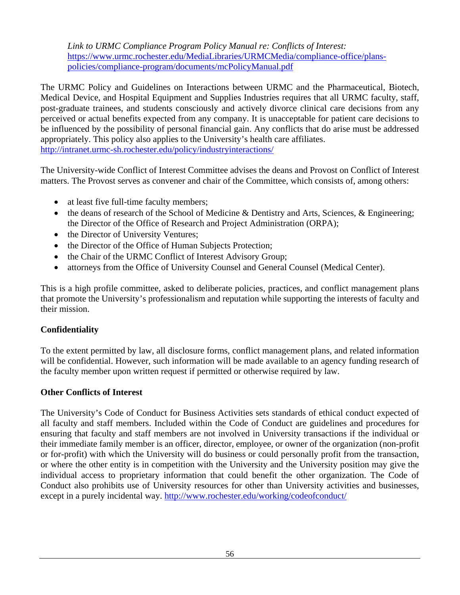*Link to URMC Compliance Program Policy Manual re: Conflicts of Interest:* [https://www.urmc.rochester.edu/MediaLibraries/URMCMedia/compliance-office/plans](https://www.urmc.rochester.edu/MediaLibraries/URMCMedia/compliance-office/plans-policies/compliance-program/documents/mcPolicyManual.pdf)[policies/compliance-program/documents/mcPolicyManual.pdf](https://www.urmc.rochester.edu/MediaLibraries/URMCMedia/compliance-office/plans-policies/compliance-program/documents/mcPolicyManual.pdf)

The URMC Policy and Guidelines on Interactions between URMC and the Pharmaceutical, Biotech, Medical Device, and Hospital Equipment and Supplies Industries requires that all URMC faculty, staff, post-graduate trainees, and students consciously and actively divorce clinical care decisions from any perceived or actual benefits expected from any company. It is unacceptable for patient care decisions to be influenced by the possibility of personal financial gain. Any conflicts that do arise must be addressed appropriately. This policy also applies to the University's health care affiliates. <http://intranet.urmc-sh.rochester.edu/policy/industryinteractions/>

The University-wide Conflict of Interest Committee advises the deans and Provost on Conflict of Interest matters. The Provost serves as convener and chair of the Committee, which consists of, among others:

- at least five full-time faculty members;
- the deans of research of the School of Medicine & Dentistry and Arts, Sciences, & Engineering; the Director of the Office of Research and Project Administration (ORPA);
- the Director of University Ventures;
- the Director of the Office of Human Subjects Protection;
- the Chair of the URMC Conflict of Interest Advisory Group;
- attorneys from the Office of University Counsel and General Counsel (Medical Center).

This is a high profile committee, asked to deliberate policies, practices, and conflict management plans that promote the University's professionalism and reputation while supporting the interests of faculty and their mission.

#### **Confidentiality**

To the extent permitted by law, all disclosure forms, conflict management plans, and related information will be confidential. However, such information will be made available to an agency funding research of the faculty member upon written request if permitted or otherwise required by law.

#### **Other Conflicts of Interest**

The University's Code of Conduct for Business Activities sets standards of ethical conduct expected of all faculty and staff members. Included within the Code of Conduct are guidelines and procedures for ensuring that faculty and staff members are not involved in University transactions if the individual or their immediate family member is an officer, director, employee, or owner of the organization (non-profit or for-profit) with which the University will do business or could personally profit from the transaction, or where the other entity is in competition with the University and the University position may give the individual access to proprietary information that could benefit the other organization. The Code of Conduct also prohibits use of University resources for other than University activities and businesses, except in a purely incidental way. <http://www.rochester.edu/working/codeofconduct/>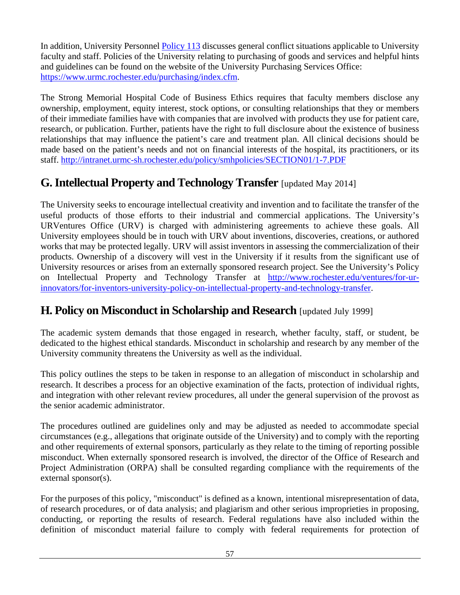In addition, University Personnel [Policy 113](http://www.rochester.edu/working/hr/policies/pdfpolicies/113.pdf) discusses general conflict situations applicable to University faculty and staff. Policies of the University relating to purchasing of goods and services and helpful hints and guidelines can be found on the website of the University Purchasing Services Office: [https://www.urmc.rochester.edu/purchasing/index.cfm.](https://www.urmc.rochester.edu/purchasing/index.cfm)

The Strong Memorial Hospital Code of Business Ethics requires that faculty members disclose any ownership, employment, equity interest, stock options, or consulting relationships that they or members of their immediate families have with companies that are involved with products they use for patient care, research, or publication. Further, patients have the right to full disclosure about the existence of business relationships that may influence the patient's care and treatment plan. All clinical decisions should be made based on the patient's needs and not on financial interests of the hospital, its practitioners, or its staff. <http://intranet.urmc-sh.rochester.edu/policy/smhpolicies/SECTION01/1-7.PDF>

# **G.Intellectual Property and Technology Transfer** [updated May 2014]

The University seeks to encourage intellectual creativity and invention and to facilitate the transfer of the useful products of those efforts to their industrial and commercial applications. The University's URVentures Office (URV) is charged with administering agreements to achieve these goals. All University employees should be in touch with URV about inventions, discoveries, creations, or authored works that may be protected legally. URV will assist inventors in assessing the commercialization of their products. Ownership of a discovery will vest in the University if it results from the significant use of University resources or arises from an externally sponsored research project. See the University's Policy on Intellectual Property and Technology Transfer at [http://www.rochester.edu/ventures/for-ur](http://www.rochester.edu/ventures/for-ur-innovators/for-inventors-university-policy-on-intellectual-property-and-technology-transfer)[innovators/for-inventors-university-policy-on-intellectual-property-and-technology-transfer.](http://www.rochester.edu/ventures/for-ur-innovators/for-inventors-university-policy-on-intellectual-property-and-technology-transfer)

# **H. Policy on Misconduct in Scholarship and Research** [updated July 1999]

The academic system demands that those engaged in research, whether faculty, staff, or student, be dedicated to the highest ethical standards. Misconduct in scholarship and research by any member of the University community threatens the University as well as the individual.

This policy outlines the steps to be taken in response to an allegation of misconduct in scholarship and research. It describes a process for an objective examination of the facts, protection of individual rights, and integration with other relevant review procedures, all under the general supervision of the provost as the senior academic administrator.

The procedures outlined are guidelines only and may be adjusted as needed to accommodate special circumstances (e.g., allegations that originate outside of the University) and to comply with the reporting and other requirements of external sponsors, particularly as they relate to the timing of reporting possible misconduct. When externally sponsored research is involved, the director of the Office of Research and Project Administration (ORPA) shall be consulted regarding compliance with the requirements of the external sponsor(s).

For the purposes of this policy, "misconduct" is defined as a known, intentional misrepresentation of data, of research procedures, or of data analysis; and plagiarism and other serious improprieties in proposing, conducting, or reporting the results of research. Federal regulations have also included within the definition of misconduct material failure to comply with federal requirements for protection of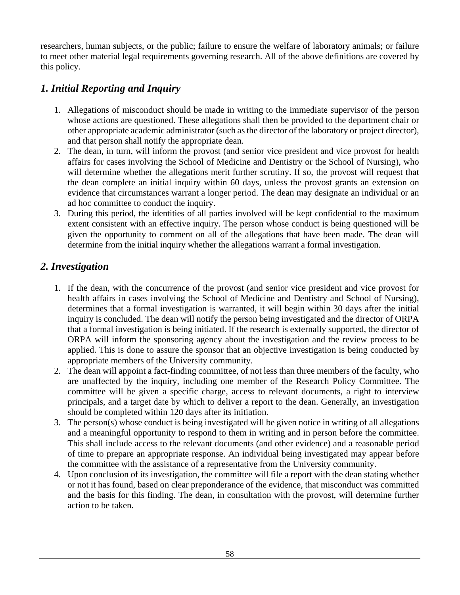researchers, human subjects, or the public; failure to ensure the welfare of laboratory animals; or failure to meet other material legal requirements governing research. All of the above definitions are covered by this policy.

## *1. Initial Reporting and Inquiry*

- 1. Allegations of misconduct should be made in writing to the immediate supervisor of the person whose actions are questioned. These allegations shall then be provided to the department chair or other appropriate academic administrator (such as the director of the laboratory or project director), and that person shall notify the appropriate dean.
- 2. The dean, in turn, will inform the provost (and senior vice president and vice provost for health affairs for cases involving the School of Medicine and Dentistry or the School of Nursing), who will determine whether the allegations merit further scrutiny. If so, the provost will request that the dean complete an initial inquiry within 60 days, unless the provost grants an extension on evidence that circumstances warrant a longer period. The dean may designate an individual or an ad hoc committee to conduct the inquiry.
- 3. During this period, the identities of all parties involved will be kept confidential to the maximum extent consistent with an effective inquiry. The person whose conduct is being questioned will be given the opportunity to comment on all of the allegations that have been made. The dean will determine from the initial inquiry whether the allegations warrant a formal investigation.

#### *2. Investigation*

- 1. If the dean, with the concurrence of the provost (and senior vice president and vice provost for health affairs in cases involving the School of Medicine and Dentistry and School of Nursing), determines that a formal investigation is warranted, it will begin within 30 days after the initial inquiry is concluded. The dean will notify the person being investigated and the director of ORPA that a formal investigation is being initiated. If the research is externally supported, the director of ORPA will inform the sponsoring agency about the investigation and the review process to be applied. This is done to assure the sponsor that an objective investigation is being conducted by appropriate members of the University community.
- 2. The dean will appoint a fact-finding committee, of not less than three members of the faculty, who are unaffected by the inquiry, including one member of the Research Policy Committee. The committee will be given a specific charge, access to relevant documents, a right to interview principals, and a target date by which to deliver a report to the dean. Generally, an investigation should be completed within 120 days after its initiation.
- 3. The person(s) whose conduct is being investigated will be given notice in writing of all allegations and a meaningful opportunity to respond to them in writing and in person before the committee. This shall include access to the relevant documents (and other evidence) and a reasonable period of time to prepare an appropriate response. An individual being investigated may appear before the committee with the assistance of a representative from the University community.
- 4. Upon conclusion of its investigation, the committee will file a report with the dean stating whether or not it has found, based on clear preponderance of the evidence, that misconduct was committed and the basis for this finding. The dean, in consultation with the provost, will determine further action to be taken.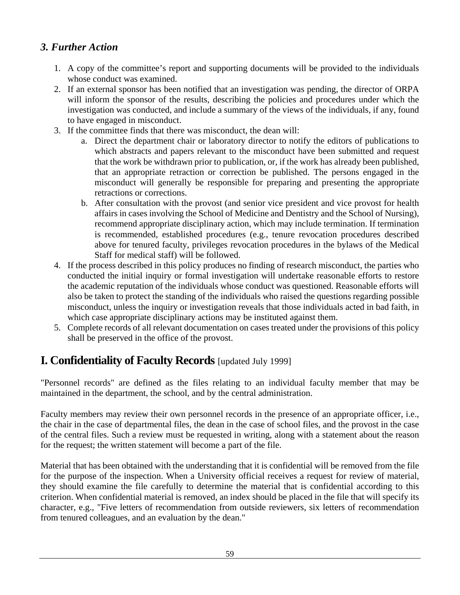## *3. Further Action*

- 1. A copy of the committee's report and supporting documents will be provided to the individuals whose conduct was examined.
- 2. If an external sponsor has been notified that an investigation was pending, the director of ORPA will inform the sponsor of the results, describing the policies and procedures under which the investigation was conducted, and include a summary of the views of the individuals, if any, found to have engaged in misconduct.
- 3. If the committee finds that there was misconduct, the dean will:
	- a. Direct the department chair or laboratory director to notify the editors of publications to which abstracts and papers relevant to the misconduct have been submitted and request that the work be withdrawn prior to publication, or, if the work has already been published, that an appropriate retraction or correction be published. The persons engaged in the misconduct will generally be responsible for preparing and presenting the appropriate retractions or corrections.
	- b. After consultation with the provost (and senior vice president and vice provost for health affairs in cases involving the School of Medicine and Dentistry and the School of Nursing), recommend appropriate disciplinary action, which may include termination. If termination is recommended, established procedures (e.g., tenure revocation procedures described above for tenured faculty, privileges revocation procedures in the bylaws of the Medical Staff for medical staff) will be followed.
- 4. If the process described in this policy produces no finding of research misconduct, the parties who conducted the initial inquiry or formal investigation will undertake reasonable efforts to restore the academic reputation of the individuals whose conduct was questioned. Reasonable efforts will also be taken to protect the standing of the individuals who raised the questions regarding possible misconduct, unless the inquiry or investigation reveals that those individuals acted in bad faith, in which case appropriate disciplinary actions may be instituted against them.
- 5. Complete records of all relevant documentation on cases treated under the provisions of this policy shall be preserved in the office of the provost.

# **I. Confidentiality of Faculty Records** [updated July 1999]

"Personnel records" are defined as the files relating to an individual faculty member that may be maintained in the department, the school, and by the central administration.

Faculty members may review their own personnel records in the presence of an appropriate officer, i.e., the chair in the case of departmental files, the dean in the case of school files, and the provost in the case of the central files. Such a review must be requested in writing, along with a statement about the reason for the request; the written statement will become a part of the file.

Material that has been obtained with the understanding that it is confidential will be removed from the file for the purpose of the inspection. When a University official receives a request for review of material, they should examine the file carefully to determine the material that is confidential according to this criterion. When confidential material is removed, an index should be placed in the file that will specify its character, e.g., "Five letters of recommendation from outside reviewers, six letters of recommendation from tenured colleagues, and an evaluation by the dean."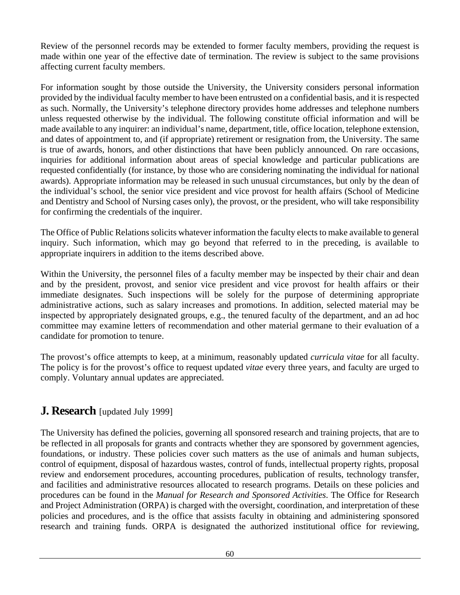Review of the personnel records may be extended to former faculty members, providing the request is made within one year of the effective date of termination. The review is subject to the same provisions affecting current faculty members.

For information sought by those outside the University, the University considers personal information provided by the individual faculty member to have been entrusted on a confidential basis, and it is respected as such. Normally, the University's telephone directory provides home addresses and telephone numbers unless requested otherwise by the individual. The following constitute official information and will be made available to any inquirer: an individual's name, department, title, office location, telephone extension, and dates of appointment to, and (if appropriate) retirement or resignation from, the University. The same is true of awards, honors, and other distinctions that have been publicly announced. On rare occasions, inquiries for additional information about areas of special knowledge and particular publications are requested confidentially (for instance, by those who are considering nominating the individual for national awards). Appropriate information may be released in such unusual circumstances, but only by the dean of the individual's school, the senior vice president and vice provost for health affairs (School of Medicine and Dentistry and School of Nursing cases only), the provost, or the president, who will take responsibility for confirming the credentials of the inquirer.

The Office of Public Relations solicits whatever information the faculty elects to make available to general inquiry. Such information, which may go beyond that referred to in the preceding, is available to appropriate inquirers in addition to the items described above.

Within the University, the personnel files of a faculty member may be inspected by their chair and dean and by the president, provost, and senior vice president and vice provost for health affairs or their immediate designates. Such inspections will be solely for the purpose of determining appropriate administrative actions, such as salary increases and promotions. In addition, selected material may be inspected by appropriately designated groups, e.g., the tenured faculty of the department, and an ad hoc committee may examine letters of recommendation and other material germane to their evaluation of a candidate for promotion to tenure.

The provost's office attempts to keep, at a minimum, reasonably updated *curricula vitae* for all faculty. The policy is for the provost's office to request updated *vitae* every three years, and faculty are urged to comply. Voluntary annual updates are appreciated.

## **J. Research** [updated July 1999]

The University has defined the policies, governing all sponsored research and training projects, that are to be reflected in all proposals for grants and contracts whether they are sponsored by government agencies, foundations, or industry. These policies cover such matters as the use of animals and human subjects, control of equipment, disposal of hazardous wastes, control of funds, intellectual property rights, proposal review and endorsement procedures, accounting procedures, publication of results, technology transfer, and facilities and administrative resources allocated to research programs. Details on these policies and procedures can be found in the *Manual for Research and Sponsored Activities*. The Office for Research and Project Administration (ORPA) is charged with the oversight, coordination, and interpretation of these policies and procedures, and is the office that assists faculty in obtaining and administering sponsored research and training funds. ORPA is designated the authorized institutional office for reviewing,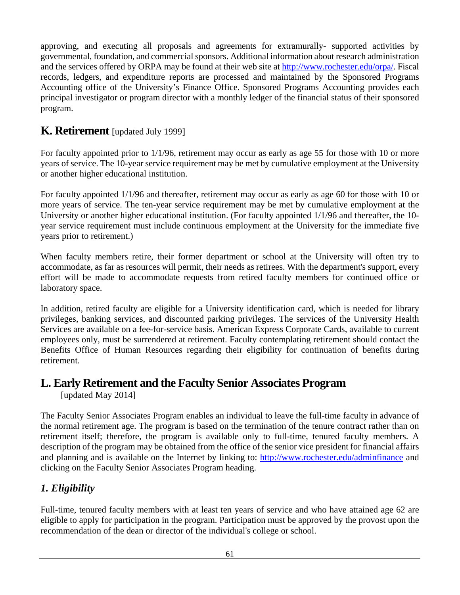approving, and executing all proposals and agreements for extramurally- supported activities by governmental, foundation, and commercial sponsors. Additional information about research administration and the services offered by ORPA may be found at their web site at [http://www.rochester.edu/orpa/.](http://www.rochester.edu/orpa/) Fiscal records, ledgers, and expenditure reports are processed and maintained by the Sponsored Programs Accounting office of the University's Finance Office. Sponsored Programs Accounting provides each principal investigator or program director with a monthly ledger of the financial status of their sponsored program.

## **K. Retirement** [updated July 1999]

For faculty appointed prior to  $1/1/96$ , retirement may occur as early as age 55 for those with 10 or more years of service. The 10-year service requirement may be met by cumulative employment at the University or another higher educational institution.

For faculty appointed 1/1/96 and thereafter, retirement may occur as early as age 60 for those with 10 or more years of service. The ten-year service requirement may be met by cumulative employment at the University or another higher educational institution. (For faculty appointed 1/1/96 and thereafter, the 10 year service requirement must include continuous employment at the University for the immediate five years prior to retirement.)

When faculty members retire, their former department or school at the University will often try to accommodate, as far as resources will permit, their needs as retirees. With the department's support, every effort will be made to accommodate requests from retired faculty members for continued office or laboratory space.

In addition, retired faculty are eligible for a University identification card, which is needed for library privileges, banking services, and discounted parking privileges. The services of the University Health Services are available on a fee-for-service basis. American Express Corporate Cards, available to current employees only, must be surrendered at retirement. Faculty contemplating retirement should contact the Benefits Office of Human Resources regarding their eligibility for continuation of benefits during retirement.

# **L. Early Retirement and the Faculty Senior Associates Program**

[updated May 2014]

The Faculty Senior Associates Program enables an individual to leave the full-time faculty in advance of the normal retirement age. The program is based on the termination of the tenure contract rather than on retirement itself; therefore, the program is available only to full-time, tenured faculty members. A description of the program may be obtained from the office of the senior vice president for financial affairs and planning and is available on the Internet by linking to: <http://www.rochester.edu/adminfinance> and clicking on the Faculty Senior Associates Program heading.

## *1. Eligibility*

Full-time, tenured faculty members with at least ten years of service and who have attained age 62 are eligible to apply for participation in the program. Participation must be approved by the provost upon the recommendation of the dean or director of the individual's college or school.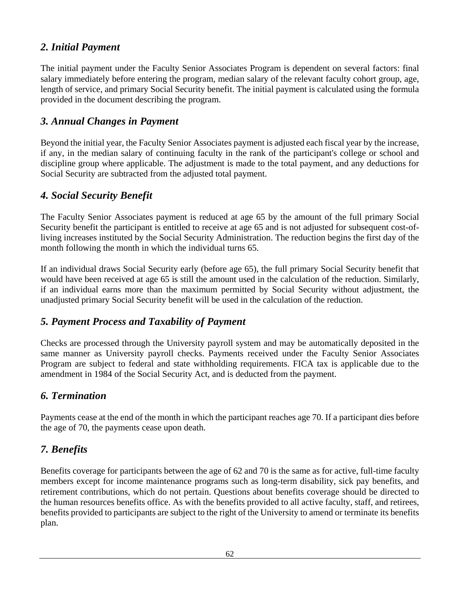### *2. Initial Payment*

The initial payment under the Faculty Senior Associates Program is dependent on several factors: final salary immediately before entering the program, median salary of the relevant faculty cohort group, age, length of service, and primary Social Security benefit. The initial payment is calculated using the formula provided in the document describing the program.

#### *3. Annual Changes in Payment*

Beyond the initial year, the Faculty Senior Associates payment is adjusted each fiscal year by the increase, if any, in the median salary of continuing faculty in the rank of the participant's college or school and discipline group where applicable. The adjustment is made to the total payment, and any deductions for Social Security are subtracted from the adjusted total payment.

### *4. Social Security Benefit*

The Faculty Senior Associates payment is reduced at age 65 by the amount of the full primary Social Security benefit the participant is entitled to receive at age 65 and is not adjusted for subsequent cost-ofliving increases instituted by the Social Security Administration. The reduction begins the first day of the month following the month in which the individual turns 65.

If an individual draws Social Security early (before age 65), the full primary Social Security benefit that would have been received at age 65 is still the amount used in the calculation of the reduction. Similarly, if an individual earns more than the maximum permitted by Social Security without adjustment, the unadjusted primary Social Security benefit will be used in the calculation of the reduction.

#### *5. Payment Process and Taxability of Payment*

Checks are processed through the University payroll system and may be automatically deposited in the same manner as University payroll checks. Payments received under the Faculty Senior Associates Program are subject to federal and state withholding requirements. FICA tax is applicable due to the amendment in 1984 of the Social Security Act, and is deducted from the payment.

#### *6. Termination*

Payments cease at the end of the month in which the participant reaches age 70. If a participant dies before the age of 70, the payments cease upon death.

### *7. Benefits*

Benefits coverage for participants between the age of 62 and 70 is the same as for active, full-time faculty members except for income maintenance programs such as long-term disability, sick pay benefits, and retirement contributions, which do not pertain. Questions about benefits coverage should be directed to the human resources benefits office. As with the benefits provided to all active faculty, staff, and retirees, benefits provided to participants are subject to the right of the University to amend or terminate its benefits plan.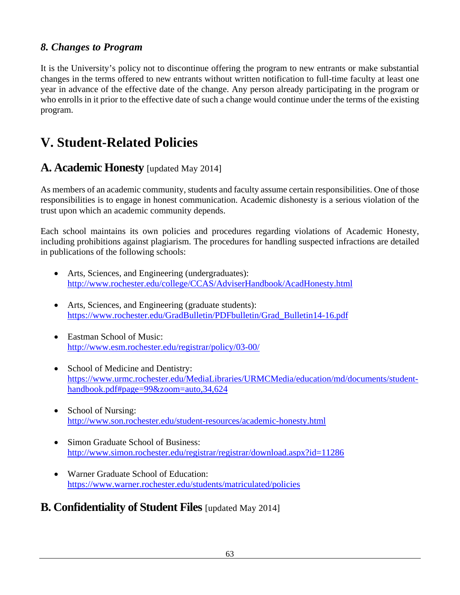### *8. Changes to Program*

It is the University's policy not to discontinue offering the program to new entrants or make substantial changes in the terms offered to new entrants without written notification to full-time faculty at least one year in advance of the effective date of the change. Any person already participating in the program or who enrolls in it prior to the effective date of such a change would continue under the terms of the existing program.

# **V. Student-Related Policies**

### **A. Academic Honesty** [updated May 2014]

As members of an academic community, students and faculty assume certain responsibilities. One of those responsibilities is to engage in honest communication. Academic dishonesty is a serious violation of the trust upon which an academic community depends.

Each school maintains its own policies and procedures regarding violations of Academic Honesty, including prohibitions against plagiarism. The procedures for handling suspected infractions are detailed in publications of the following schools:

- Arts, Sciences, and Engineering (undergraduates): <http://www.rochester.edu/college/CCAS/AdviserHandbook/AcadHonesty.html>
- Arts, Sciences, and Engineering (graduate students): [https://www.rochester.edu/GradBulletin/PDFbulletin/Grad\\_Bulletin14-16.pdf](https://www.rochester.edu/GradBulletin/PDFbulletin/Grad_Bulletin14-16.pdf)
- Eastman School of Music: <http://www.esm.rochester.edu/registrar/policy/03-00/>
- School of Medicine and Dentistry: [https://www.urmc.rochester.edu/MediaLibraries/URMCMedia/education/md/documents/student](https://www.urmc.rochester.edu/MediaLibraries/URMCMedia/education/md/documents/student-handbook.pdf#page=99&zoom=auto,34,624)[handbook.pdf#page=99&zoom=auto,34,624](https://www.urmc.rochester.edu/MediaLibraries/URMCMedia/education/md/documents/student-handbook.pdf#page=99&zoom=auto,34,624)
- School of Nursing: <http://www.son.rochester.edu/student-resources/academic-honesty.html>
- Simon Graduate School of Business: <http://www.simon.rochester.edu/registrar/registrar/download.aspx?id=11286>
- Warner Graduate School of Education: <https://www.warner.rochester.edu/students/matriculated/policies>

# **B. Confidentiality of Student Files** [updated May 2014]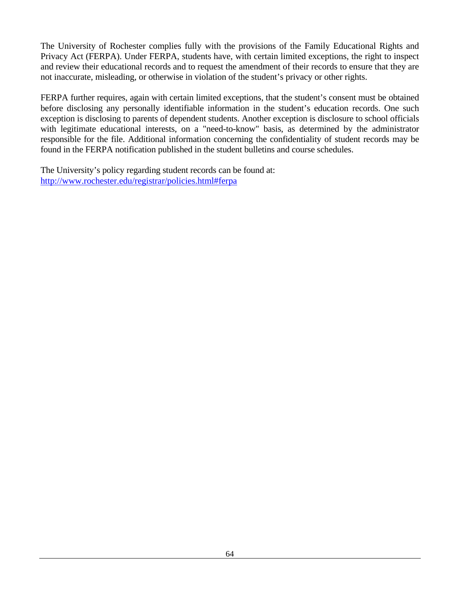The University of Rochester complies fully with the provisions of the Family Educational Rights and Privacy Act (FERPA). Under FERPA, students have, with certain limited exceptions, the right to inspect and review their educational records and to request the amendment of their records to ensure that they are not inaccurate, misleading, or otherwise in violation of the student's privacy or other rights.

FERPA further requires, again with certain limited exceptions, that the student's consent must be obtained before disclosing any personally identifiable information in the student's education records. One such exception is disclosing to parents of dependent students. Another exception is disclosure to school officials with legitimate educational interests, on a "need-to-know" basis, as determined by the administrator responsible for the file. Additional information concerning the confidentiality of student records may be found in the FERPA notification published in the student bulletins and course schedules.

The University's policy regarding student records can be found at: <http://www.rochester.edu/registrar/policies.html#ferpa>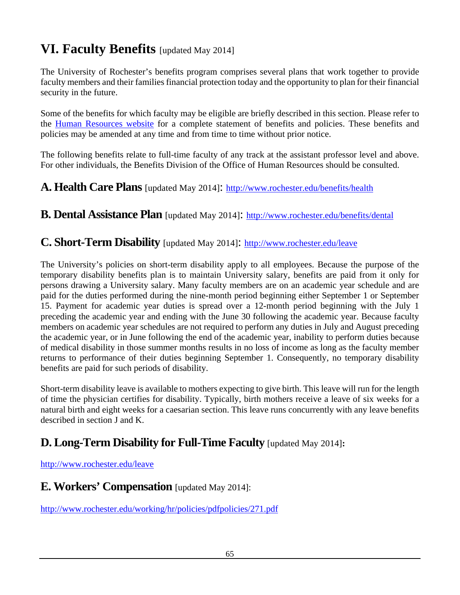# **VI. Faculty Benefits** [updated May 2014]

The University of Rochester's benefits program comprises several plans that work together to provide faculty members and their families financial protection today and the opportunity to plan for their financial security in the future.

Some of the benefits for which faculty may be eligible are briefly described in this section. Please refer to the [Human Resources website](http://www.rochester.edu/working/hr/) for a complete statement of benefits and policies. These benefits and policies may be amended at any time and from time to time without prior notice.

The following benefits relate to full-time faculty of any track at the assistant professor level and above. For other individuals, the Benefits Division of the Office of Human Resources should be consulted.

### **A. Health Care Plans** [updated May 2014]: <http://www.rochester.edu/benefits/health>

**B. Dental Assistance Plan** [updated May 2014]: <http://www.rochester.edu/benefits/dental>

#### **C. Short-Term Disability** [updated May 2014]: <http://www.rochester.edu/leave>

The University's policies on short-term disability apply to all employees. Because the purpose of the temporary disability benefits plan is to maintain University salary, benefits are paid from it only for persons drawing a University salary. Many faculty members are on an academic year schedule and are paid for the duties performed during the nine-month period beginning either September 1 or September 15. Payment for academic year duties is spread over a 12-month period beginning with the July 1 preceding the academic year and ending with the June 30 following the academic year. Because faculty members on academic year schedules are not required to perform any duties in July and August preceding the academic year, or in June following the end of the academic year, inability to perform duties because of medical disability in those summer months results in no loss of income as long as the faculty member returns to performance of their duties beginning September 1. Consequently, no temporary disability benefits are paid for such periods of disability.

Short-term disability leave is available to mothers expecting to give birth. This leave will run for the length of time the physician certifies for disability. Typically, birth mothers receive a leave of six weeks for a natural birth and eight weeks for a caesarian section. This leave runs concurrently with any leave benefits described in section J and K.

# **D. Long-Term Disability for Full-Time Faculty** [updated May 2014]**:**

#### <http://www.rochester.edu/leave>

### **E. Workers' Compensation** [updated May 2014]:

<http://www.rochester.edu/working/hr/policies/pdfpolicies/271.pdf>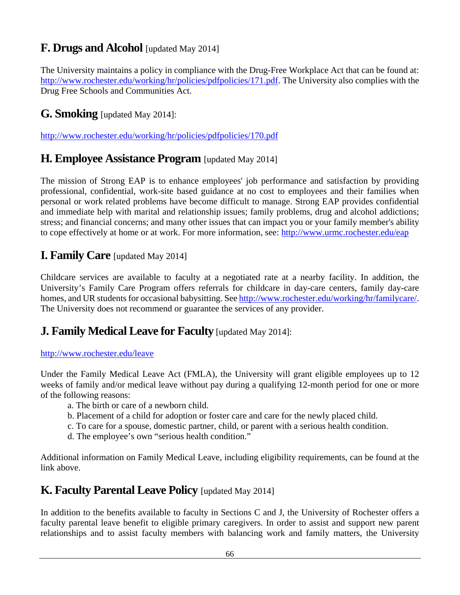# **F. Drugs and Alcohol** [updated May 2014]

The University maintains a policy in compliance with the Drug-Free Workplace Act that can be found at: [http://www.rochester.edu/working/hr/policies/pdfpolicies/171.pdf.](http://www.rochester.edu/working/hr/policies/pdfpolicies/171.pdf) The University also complies with the Drug Free Schools and Communities Act.

## **G. Smoking** [updated May 2014]:

<http://www.rochester.edu/working/hr/policies/pdfpolicies/170.pdf>

## **H. Employee Assistance Program** [updated May 2014]

The mission of Strong EAP is to enhance employees' job performance and satisfaction by providing professional, confidential, work-site based guidance at no cost to employees and their families when personal or work related problems have become difficult to manage. Strong EAP provides confidential and immediate help with marital and relationship issues; family problems, drug and alcohol addictions; stress; and financial concerns; and many other issues that can impact you or your family member's ability to cope effectively at home or at work. For more information, see:<http://www.urmc.rochester.edu/eap>

### **I. Family Care** [updated May 2014]

Childcare services are available to faculty at a negotiated rate at a nearby facility. In addition, the University's Family Care Program offers referrals for childcare in day-care centers, family day-care homes, and UR students for occasional babysitting. Se[e http://www.rochester.edu/working/hr/familycare/.](http://www.rochester.edu/working/hr/familycare/) The University does not recommend or guarantee the services of any provider.

## **J. Family Medical Leave for Faculty** [updated May 2014]:

#### <http://www.rochester.edu/leave>

Under the Family Medical Leave Act (FMLA), the University will grant eligible employees up to 12 weeks of family and/or medical leave without pay during a qualifying 12-month period for one or more of the following reasons:

- a. The birth or care of a newborn child.
- b. Placement of a child for adoption or foster care and care for the newly placed child.
- c. To care for a spouse, domestic partner, child, or parent with a serious health condition.
- d. The employee's own "serious health condition."

Additional information on Family Medical Leave, including eligibility requirements, can be found at the link above.

### <span id="page-66-0"></span>**K. Faculty Parental Leave Policy** [updated May 2014]

In addition to the benefits available to faculty in Sections C and J, the University of Rochester offers a faculty parental leave benefit to eligible primary caregivers. In order to assist and support new parent relationships and to assist faculty members with balancing work and family matters, the University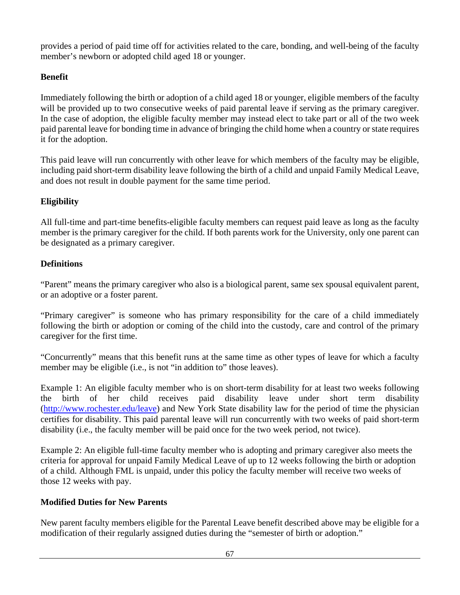provides a period of paid time off for activities related to the care, bonding, and well-being of the faculty member's newborn or adopted child aged 18 or younger.

#### **Benefit**

Immediately following the birth or adoption of a child aged 18 or younger, eligible members of the faculty will be provided up to two consecutive weeks of paid parental leave if serving as the primary caregiver. In the case of adoption, the eligible faculty member may instead elect to take part or all of the two week paid parental leave for bonding time in advance of bringing the child home when a country or state requires it for the adoption.

This paid leave will run concurrently with other leave for which members of the faculty may be eligible, including paid short-term disability leave following the birth of a child and unpaid Family Medical Leave, and does not result in double payment for the same time period.

#### **Eligibility**

All full-time and part-time benefits-eligible faculty members can request paid leave as long as the faculty member is the primary caregiver for the child. If both parents work for the University, only one parent can be designated as a primary caregiver.

#### **Definitions**

"Parent" means the primary caregiver who also is a biological parent, same sex spousal equivalent parent, or an adoptive or a foster parent.

"Primary caregiver" is someone who has primary responsibility for the care of a child immediately following the birth or adoption or coming of the child into the custody, care and control of the primary caregiver for the first time.

"Concurrently" means that this benefit runs at the same time as other types of leave for which a faculty member may be eligible (i.e., is not "in addition to" those leaves).

Example 1: An eligible faculty member who is on short-term disability for at least two weeks following the birth of her child receives paid disability leave under short term disability [\(http://www.rochester.edu/leave\)](http://www.rochester.edu/leave) and New York State disability law for the period of time the physician certifies for disability. This paid parental leave will run concurrently with two weeks of paid short-term disability (i.e., the faculty member will be paid once for the two week period, not twice).

Example 2: An eligible full-time faculty member who is adopting and primary caregiver also meets the criteria for approval for unpaid Family Medical Leave of up to 12 weeks following the birth or adoption of a child. Although FML is unpaid, under this policy the faculty member will receive two weeks of those 12 weeks with pay.

#### **Modified Duties for New Parents**

New parent faculty members eligible for the Parental Leave benefit described above may be eligible for a modification of their regularly assigned duties during the "semester of birth or adoption."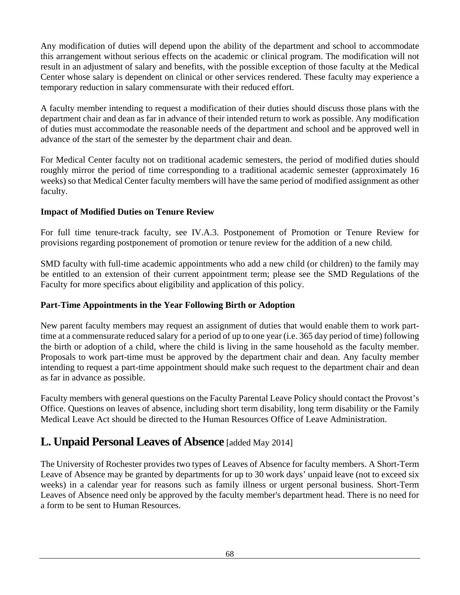Any modification of duties will depend upon the ability of the department and school to accommodate this arrangement without serious effects on the academic or clinical program. The modification will not result in an adjustment of salary and benefits, with the possible exception of those faculty at the Medical Center whose salary is dependent on clinical or other services rendered. These faculty may experience a temporary reduction in salary commensurate with their reduced effort.

A faculty member intending to request a modification of their duties should discuss those plans with the department chair and dean as far in advance of their intended return to work as possible. Any modification of duties must accommodate the reasonable needs of the department and school and be approved well in advance of the start of the semester by the department chair and dean.

For Medical Center faculty not on traditional academic semesters, the period of modified duties should roughly mirror the period of time corresponding to a traditional academic semester (approximately 16 weeks) so that Medical Center faculty members will have the same period of modified assignment as other faculty.

#### **Impact of Modified Duties on Tenure Review**

For full time tenure-track faculty, see IV.A.3. Postponement of Promotion or Tenure Review for provisions regarding postponement of promotion or tenure review for the addition of a new child.

SMD faculty with full-time academic appointments who add a new child (or children) to the family may be entitled to an extension of their current appointment term; please see the SMD Regulations of the Faculty for more specifics about eligibility and application of this policy.

#### **Part-Time Appointments in the Year Following Birth or Adoption**

New parent faculty members may request an assignment of duties that would enable them to work parttime at a commensurate reduced salary for a period of up to one year (i.e. 365 day period of time) following the birth or adoption of a child, where the child is living in the same household as the faculty member. Proposals to work part-time must be approved by the department chair and dean. Any faculty member intending to request a part-time appointment should make such request to the department chair and dean as far in advance as possible.

Faculty members with general questions on the Faculty Parental Leave Policy should contact the Provost's Office. Questions on leaves of absence, including short term disability, long term disability or the Family Medical Leave Act should be directed to the Human Resources Office of Leave Administration.

## **L. Unpaid Personal Leaves of Absence** [added May 2014]

The University of Rochester provides two types of Leaves of Absence for faculty members. A Short-Term Leave of Absence may be granted by departments for up to 30 work days' unpaid leave (not to exceed six weeks) in a calendar year for reasons such as family illness or urgent personal business. Short-Term Leaves of Absence need only be approved by the faculty member's department head. There is no need for a form to be sent to Human Resources.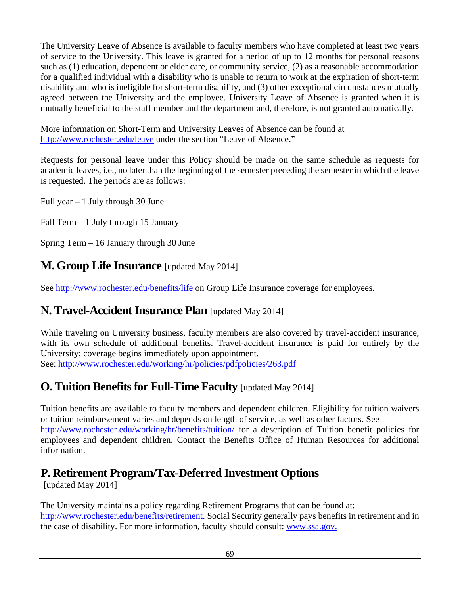The University Leave of Absence is available to faculty members who have completed at least two years of service to the University. This leave is granted for a period of up to 12 months for personal reasons such as (1) education, dependent or elder care, or community service, (2) as a reasonable accommodation for a qualified individual with a disability who is unable to return to work at the expiration of short-term disability and who is ineligible for short-term disability, and (3) other exceptional circumstances mutually agreed between the University and the employee. University Leave of Absence is granted when it is mutually beneficial to the staff member and the department and, therefore, is not granted automatically.

More information on Short-Term and University Leaves of Absence can be found at <http://www.rochester.edu/leave> under the section "Leave of Absence."

Requests for personal leave under this Policy should be made on the same schedule as requests for academic leaves, i.e., no later than the beginning of the semester preceding the semester in which the leave is requested. The periods are as follows:

Full year  $-1$  July through 30 June

Fall Term – 1 July through 15 January

Spring Term – 16 January through 30 June

## **M. Group Life Insurance** [updated May 2014]

See<http://www.rochester.edu/benefits/life> on Group Life Insurance coverage for employees.

## **N. Travel-Accident Insurance Plan** [updated May 2014]

While traveling on University business, faculty members are also covered by travel-accident insurance, with its own schedule of additional benefits. Travel-accident insurance is paid for entirely by the University; coverage begins immediately upon appointment. See: <http://www.rochester.edu/working/hr/policies/pdfpolicies/263.pdf>

# **O. Tuition Benefits for Full-Time Faculty** [updated May 2014]

Tuition benefits are available to faculty members and dependent children. Eligibility for tuition waivers or tuition reimbursement varies and depends on length of service, as well as other factors. See <http://www.rochester.edu/working/hr/benefits/tuition/> for a description of Tuition benefit policies for employees and dependent children. Contact the Benefits Office of Human Resources for additional information.

# **P. Retirement Program/Tax-Deferred Investment Options**

[updated May 2014]

The University maintains a policy regarding Retirement Programs that can be found at: [http://www.rochester.edu/benefits/retirement.](http://www.rochester.edu/benefits/retirement) Social Security generally pays benefits in retirement and in the case of disability. For more information, faculty should consult: [www.ssa.gov.](http://www.ssa.gov/)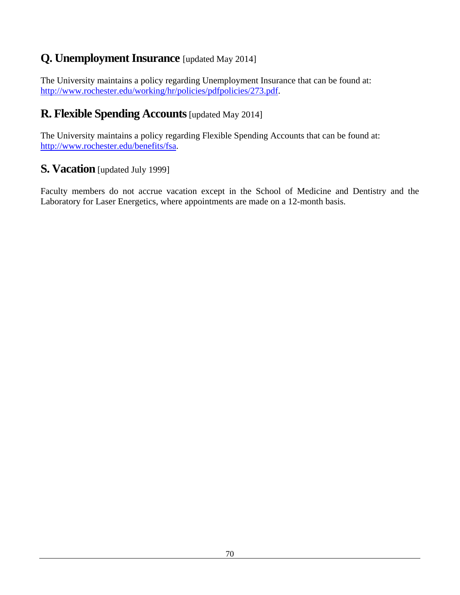# **Q. Unemployment Insurance** [updated May 2014]

The University maintains a policy regarding Unemployment Insurance that can be found at: [http://www.rochester.edu/working/hr/policies/pdfpolicies/273.pdf.](http://www.rochester.edu/working/hr/policies/pdfpolicies/273.pdf)

# **R. Flexible Spending Accounts**[updated May 2014]

The University maintains a policy regarding Flexible Spending Accounts that can be found at: [http://www.rochester.edu/benefits/fsa.](http://www.rochester.edu/benefits/fsa)

## **S. Vacation** [updated July 1999]

Faculty members do not accrue vacation except in the School of Medicine and Dentistry and the Laboratory for Laser Energetics, where appointments are made on a 12-month basis.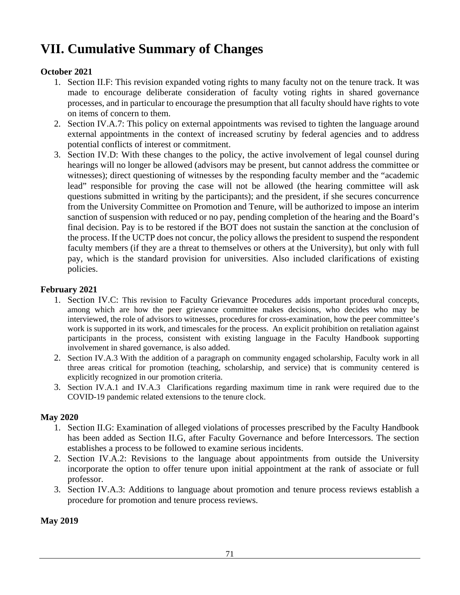# **VII. Cumulative Summary of Changes**

#### **October 2021**

- 1. Section II.F: This revision expanded voting rights to many faculty not on the tenure track. It was made to encourage deliberate consideration of faculty voting rights in shared governance processes, and in particular to encourage the presumption that all faculty should have rights to vote on items of concern to them.
- 2. Section IV.A.7: This policy on external appointments was revised to tighten the language around external appointments in the context of increased scrutiny by federal agencies and to address potential conflicts of interest or commitment.
- 3. Section IV.D: With these changes to the policy, the active involvement of legal counsel during hearings will no longer be allowed (advisors may be present, but cannot address the committee or witnesses); direct questioning of witnesses by the responding faculty member and the "academic lead" responsible for proving the case will not be allowed (the hearing committee will ask questions submitted in writing by the participants); and the president, if she secures concurrence from the University Committee on Promotion and Tenure, will be authorized to impose an interim sanction of suspension with reduced or no pay, pending completion of the hearing and the Board's final decision. Pay is to be restored if the BOT does not sustain the sanction at the conclusion of the process. If the UCTP does not concur, the policy allows the president to suspend the respondent faculty members (if they are a threat to themselves or others at the University), but only with full pay, which is the standard provision for universities. Also included clarifications of existing policies.

#### **February 2021**

- 1. Section IV.C: This revision to Faculty Grievance Procedures adds important procedural concepts, among which are how the peer grievance committee makes decisions, who decides who may be interviewed, the role of advisors to witnesses, procedures for cross-examination, how the peer committee's work is supported in its work, and timescales for the process. An explicit prohibition on retaliation against participants in the process, consistent with existing language in the Faculty Handbook supporting involvement in shared governance, is also added.
- 2. Section IV.A.3 With the addition of a paragraph on community engaged scholarship, Faculty work in all three areas critical for promotion (teaching, scholarship, and service) that is community centered is explicitly recognized in our promotion criteria.
- 3. Section IV.A.1 and IV.A.3 Clarifications regarding maximum time in rank were required due to the COVID-19 pandemic related extensions to the tenure clock.

#### **May 2020**

- 1. Section II.G: Examination of alleged violations of processes prescribed by the Faculty Handbook has been added as Section II.G, after Faculty Governance and before Intercessors. The section establishes a process to be followed to examine serious incidents.
- 2. Section IV.A.2: Revisions to the language about appointments from outside the University incorporate the option to offer tenure upon initial appointment at the rank of associate or full professor.
- 3. Section IV.A.3: Additions to language about promotion and tenure process reviews establish a procedure for promotion and tenure process reviews.

**May 2019**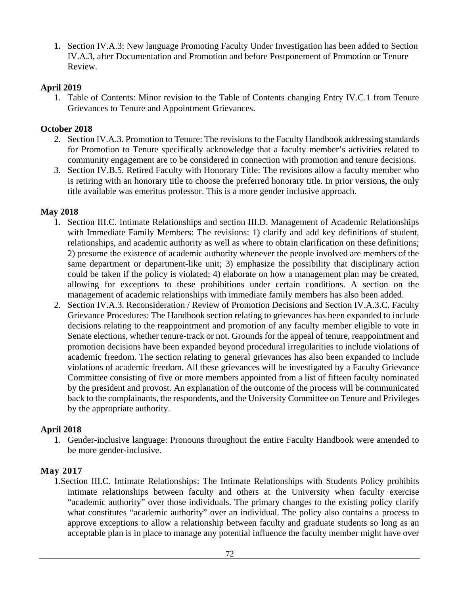**1.** Section IV.A.3: New language Promoting Faculty Under Investigation has been added to Section IV.A.3, after Documentation and Promotion and before Postponement of Promotion or Tenure Review.

### **April 2019**

1. Table of Contents: Minor revision to the Table of Contents changing Entry IV.C.1 from Tenure Grievances to Tenure and Appointment Grievances.

### **October 2018**

- 2. Section IV.A.3. Promotion to Tenure: The revisions to the Faculty Handbook addressing standards for Promotion to Tenure specifically acknowledge that a faculty member's activities related to community engagement are to be considered in connection with promotion and tenure decisions.
- 3. Section IV.B.5. Retired Faculty with Honorary Title: The revisions allow a faculty member who is retiring with an honorary title to choose the preferred honorary title. In prior versions, the only title available was emeritus professor. This is a more gender inclusive approach.

### **May 2018**

- 1. Section III.C. Intimate Relationships and section III.D. Management of Academic Relationships with Immediate Family Members: The revisions: 1) clarify and add key definitions of student, relationships, and academic authority as well as where to obtain clarification on these definitions; 2) presume the existence of academic authority whenever the people involved are members of the same department or department-like unit; 3) emphasize the possibility that disciplinary action could be taken if the policy is violated; 4) elaborate on how a management plan may be created, allowing for exceptions to these prohibitions under certain conditions. A section on the management of academic relationships with immediate family members has also been added.
- 2. Section IV.A.3. Reconsideration / Review of Promotion Decisions and Section IV.A.3.C. Faculty Grievance Procedures: The Handbook section relating to grievances has been expanded to include decisions relating to the reappointment and promotion of any faculty member eligible to vote in Senate elections, whether tenure-track or not. Grounds for the appeal of tenure, reappointment and promotion decisions have been expanded beyond procedural irregularities to include violations of academic freedom. The section relating to general grievances has also been expanded to include violations of academic freedom. All these grievances will be investigated by a Faculty Grievance Committee consisting of five or more members appointed from a list of fifteen faculty nominated by the president and provost. An explanation of the outcome of the process will be communicated back to the complainants, the respondents, and the University Committee on Tenure and Privileges by the appropriate authority.

# **April 2018**

1. Gender-inclusive language: Pronouns throughout the entire Faculty Handbook were amended to be more gender-inclusive.

# **May 2017**

1.Section III.C. Intimate Relationships: The Intimate Relationships with Students Policy prohibits intimate relationships between faculty and others at the University when faculty exercise "academic authority" over those individuals. The primary changes to the existing policy clarify what constitutes "academic authority" over an individual. The policy also contains a process to approve exceptions to allow a relationship between faculty and graduate students so long as an acceptable plan is in place to manage any potential influence the faculty member might have over